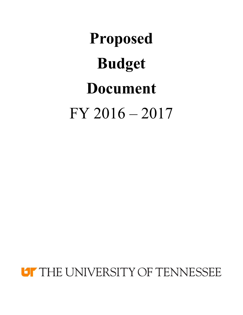# **Proposed Budget Document** FY 2016 – 2017

**LIF THE UNIVERSITY OF TENNESSEE**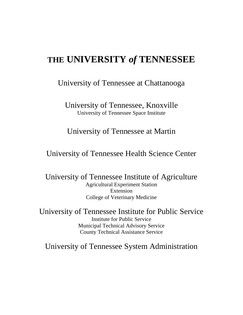# **THE UNIVERSITY** *of* **TENNESSEE**

University of Tennessee at Chattanooga

University of Tennessee, Knoxville University of Tennessee Space Institute

University of Tennessee at Martin

University of Tennessee Health Science Center

University of Tennessee Institute of Agriculture Agricultural Experiment Station Extension College of Veterinary Medicine

University of Tennessee Institute for Public Service Institute for Public Service Municipal Technical Advisory Service County Technical Assistance Service

University of Tennessee System Administration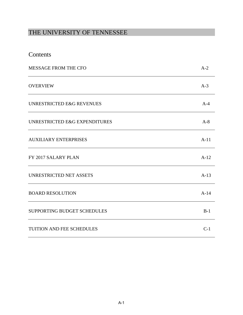# THE UNIVERSITY OF TENNESSEE

| Contents |
|----------|
|----------|

| <b>MESSAGE FROM THE CFO</b>   | $A-2$  |
|-------------------------------|--------|
| <b>OVERVIEW</b>               | $A-3$  |
| UNRESTRICTED E&G REVENUES     | $A-4$  |
| UNRESTRICTED E&G EXPENDITURES | $A-8$  |
| <b>AUXILIARY ENTERPRISES</b>  | $A-11$ |
| FY 2017 SALARY PLAN           | $A-12$ |
| UNRESTRICTED NET ASSETS       | $A-13$ |
| <b>BOARD RESOLUTION</b>       | $A-14$ |
| SUPPORTING BUDGET SCHEDULES   | $B-1$  |
| TUITION AND FEE SCHEDULES     | $C-1$  |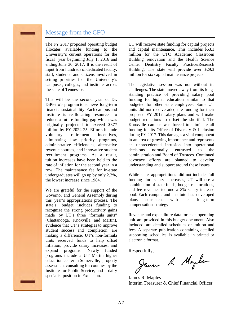## Message from the CFO

The FY 2017 proposed operating budget allocates available funding to the University's current operations for the fiscal year beginning July 1, 2016 and ending June 30, 2017. It is the result of input from hundreds of dedicated faculty, staff, students and citizens involved in setting priorities for the University's campuses, colleges, and institutes across the state of Tennessee.

This will be the second year of Dr. DiPietro's program to achieve long-term financial sustainability. Each campus and institute is reallocating resources to reduce a future funding gap which was originally projected to exceed \$377 million by FY 2024-25. Efforts include voluntary retirement incentives, eliminating low priority programs, administrative efficiencies, alternative revenue sources, and innovative student recruitment programs. As a result, tuition increases have been held to the rate of inflation for the second year in a row. The maintenance fee for in-state undergraduates will go up by only 2.2%, the lowest increase since 1984.

We are grateful for the support of the Governor and General Assembly during this year's appropriations process. The state's budget includes funding to recognize the strong productivity gains made by UT's three "formula units" (Chattanooga, Knoxville, and Martin), evidence that UT's strategies to improve student success and completion are making a difference. UT's non-formula units received funds to help offset inflation, provide salary increases, and expand programs. Newly funded programs include a UT Martin higher education center in Somerville, property assessment consulting for counties by the Institute for Public Service, and a dairy specialist position in Extension.

UT will receive state funding for capital projects and capital maintenance. This includes \$63.1 million for the UTC Academic Classroom Building renovation and the Health Science Center Dentistry Faculty Practice/Research Building. The state will provide over \$29.3 million for six capital maintenance projects.

The legislative session was not without its challenges. The state moved away from its longstanding practice of providing salary pool funding for higher education similar to that budgeted for other state employees. Some UT units did not receive adequate funding for their proposed FY 2017 salary plans and will make budget reductions to offset the shortfall. The Knoxville campus was forced to eliminate all funding for its Office of Diversity & Inclusion during FY 2017. This damages a vital component in an area of growing importance and represents an unprecedented intrusion into operational decisions normally entrusted to the administration and Board of Trustees. Continued advocacy efforts are planned to develop understanding and support around these issues.

While state appropriations did not include full funding for salary increases, UT will use a combination of state funds, budget reallocations, and fee revenues to fund a 3% salary increase pool. Each campus and institute has developed plans consistent with its long-term compensation strategy.

Revenue and expenditure data for each operating unit are provided in this budget document. Also included are detailed schedules on tuition and fees. A separate publication containing detailed supporting schedules is available in printed or electronic format.

Respectfully,<br>James R Mogels

James R. Maples Interim Treasurer & Chief Financial Officer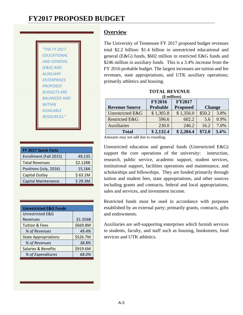| "THE FY 2017        |
|---------------------|
| <b>FDUCATIONAL</b>  |
| <b>AND GENERAL</b>  |
| (E&G) AND           |
| <b>AUXILIARY</b>    |
| <b>FNTFRPRISES</b>  |
| <b>PROPOSED</b>     |
| <b>BUDGFTS ARF</b>  |
| <i>BALANCED AND</i> |
| <b>WITHIN</b>       |
| <b>AVAILABLE</b>    |
| <b>RESOURCES."</b>  |
|                     |

| 49,135   |
|----------|
| \$2.128B |
| 15,166   |
| \$63.1M  |
| \$29.3M  |
|          |

| <b>Unrestricted E&amp;G Funds</b> |          |
|-----------------------------------|----------|
| Unrestricted E&G                  |          |
| Revenues                          | \$1.356B |
| <b>Tuition &amp; Fees</b>         | \$669.8M |
| % of Revenues                     | 49.4%    |
| <b>State Appropriations</b>       | \$526.7M |
| % of Revenues                     | 38.8%    |
| Salaries & Benefits               | \$919.6M |
| % of Expenditures                 | 68.0%    |

## **Overview**

The University of Tennessee FY 2017 proposed budget revenues total \$2.2 billion: \$1.4 billion in unrestricted educational and general (E&G) funds, \$602 million in restricted E&G funds and \$246 million in auxiliary funds. This is a 3.4% increase from the FY 2016 probable budget. The largest increases are tuition and fee revenues, state appropriations, and UTK auxiliary operations; primarily athletics and housing.

#### **TOTAL REVENUE**

| $$$ millions)         |               |                 |        |               |  |
|-----------------------|---------------|-----------------|--------|---------------|--|
|                       | <b>FY2016</b> | <b>FY2017</b>   |        |               |  |
| <b>Revenue Source</b> | Probable      | <b>Proposed</b> |        | <b>Change</b> |  |
| Unrestricted E&G      | \$1,305.8     | \$1,356.0       | \$50.2 | 3.8%          |  |
| Restricted E&G        | 596.6         | 602.2           | 5.6    | 0.9%          |  |
| <b>Auxiliaries</b>    | 230.0         | 246.2           | 16.2   | 7.0%          |  |
| <b>Total</b>          | \$2,132.4     | \$2,204.4       | \$72.0 | 3.4%          |  |

Amounts may not add due to rounding.

Unrestricted education and general funds (Unrestricted E&G) support the core operations of the university: instruction, research, public service, academic support, student services, institutional support, facilities operations and maintenance, and scholarships and fellowships. They are funded primarily through tuition and student fees, state appropriations, and other sources including grants and contracts, federal and local appropriations, sales and services, and investment income.

Restricted funds must be used in accordance with purposes established by an external party; primarily grants, contracts, gifts and endowments.

Auxiliaries are self-supporting enterprises which furnish services to students, faculty, and staff such as housing, bookstores, food services and UTK athletics.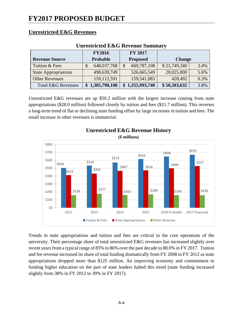## **Unrestricted E&G Revenues**

| Um con ictea Deco Ite (chuc d'annihai ( |                 |                 |               |      |  |  |  |
|-----------------------------------------|-----------------|-----------------|---------------|------|--|--|--|
|                                         | <b>FY2016</b>   | <b>FY 2017</b>  |               |      |  |  |  |
| <b>Revenue Source</b>                   | <b>Probable</b> | <b>Proposed</b> | <b>Change</b> |      |  |  |  |
| Tuition & Fees                          | 648,037,768     | 669,787,108     | \$21,749,340  | 3.4% |  |  |  |
| <b>State Appropriations</b>             | 498,639,749     | 526,665,549     | 28,025,800    | 5.6% |  |  |  |
| <b>Other Revenues</b>                   | 159, 112, 591   | 159,541,083     | 428,492       | 0.3% |  |  |  |
| <b>Total E&amp;G Revenues</b>           | 1,305,790,108   | \$1,355,993,740 | \$50,203,632  | 3.8% |  |  |  |

## **Unrestricted E&G Revenue Summary**

Unrestricted E&G revenues are up \$50.2 million with the largest increase coming from state appropriations (\$28.0 million) followed closely by tuition and fees (\$21.7 million). This reverses a long-term trend of flat or declining state funding offset by large increases in tuition and fees. The small increase in other revenues is immaterial.



## **Unrestricted E&G Revenue History**

Trends in state appropriations and tuition and fees are critical to the core operations of the university. Their percentage share of total unrestricted E&G revenues has increased slightly over recent years from a typical range of 85% to 86% over the past decade to 88.0% in FY 2017. Tuition and fee revenue increased its share of total funding dramatically from FY 2008 to FY 2012 as state appropriations dropped more than \$125 million. An improving economy and commitment to funding higher education on the part of state leaders halted this trend (state funding increased slightly from 38% in FY 2012 to 39% in FY 2017).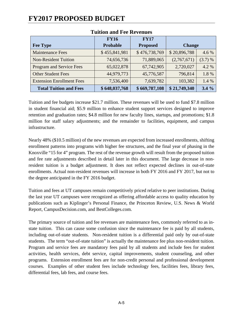|                                  | <b>FY16</b>   | <b>FY17</b>     |               |         |
|----------------------------------|---------------|-----------------|---------------|---------|
| <b>Fee Type</b>                  | Probable      | <b>Proposed</b> | <b>Change</b> |         |
| <b>Maintenance Fees</b>          | \$455,841,981 | \$476,738,769   | \$20,896,788  | 4.6 %   |
| <b>Non-Resident Tuition</b>      | 74,656,736    | 71,889,065      | (2,767,671)   | (3.7) % |
| Program and Service Fees         | 65,022,878    | 67,742,905      | 2,720,027     | 4.2 %   |
| <b>Other Student Fees</b>        | 44,979,773    | 45,776,587      | 796,814       | 1.8%    |
| <b>Extension Enrollment Fees</b> | 7,536,400     | 7,639,782       | 103,382       | 1.4 %   |
| <b>Total Tuition and Fees</b>    | \$648,037,768 | \$669,787,108   | \$21,749,340  | 3.4%    |

## **Tuition and Fee Revenues**

Tuition and fee budgets increase \$21.7 million. These revenues will be used to fund \$7.8 million in student financial aid; \$5.9 million to enhance student support services designed to improve retention and graduation rates; \$4.8 million for new faculty lines, startups, and promotions; \$1.8 million for staff salary adjustments; and the remainder to facilities, equipment, and campus infrastructure.

Nearly 48% (\$10.5 million) of the new revenues are expected from increased enrollments, shifting enrollment patterns into programs with higher fee structures, and the final year of phasing in the Knoxville "15 for 4" program. The rest of the revenue growth will result from the proposed tuition and fee rate adjustments described in detail later in this document. The large decrease in nonresident tuition is a budget adjustment. It does not reflect expected declines in out-of-state enrollments. Actual non-resident revenues will increase in both FY 2016 and FY 2017, but not to the degree anticipated in the FY 2016 budget.

Tuition and fees at UT campuses remain competitively priced relative to peer institutions. During the last year UT campuses were recognized as offering affordable access to quality education by publications such as Kiplinger's Personal Finance, the Princeton Review, U.S. News & World Report, CampusDecision.com, and BestColleges.com.

The primary source of tuition and fee revenues are maintenance fees, commonly referred to as instate tuition. This can cause some confusion since the maintenance fee is paid by all students, including out-of-state students. Non-resident tuition is a differential paid only by out-of-state students. The term "out-of-state tuition" is actually the maintenance fee plus non-resident tuition. Program and service fees are mandatory fees paid by all students and include fees for student activities, health services, debt service, capital improvements, student counseling, and other programs. Extension enrollment fees are for non-credit personal and professional development courses. Examples of other student fees include technology fees, facilities fees, library fees, differential fees, lab fees, and course fees.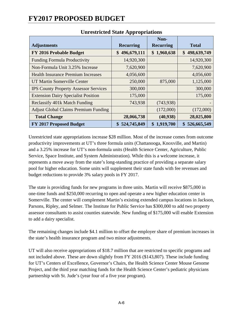|                                              |                   | Non-             |                   |
|----------------------------------------------|-------------------|------------------|-------------------|
| <b>Adjustments</b>                           | <b>Recurring</b>  | <b>Recurring</b> | <b>Total</b>      |
| FY 2016 Probable Budget                      | 496,679,111<br>\$ | \$1,960,638      | 498,639,749<br>\$ |
| <b>Funding Formula Productivity</b>          | 14,920,300        |                  | 14,920,300        |
| Non-Formula Unit 3.25% Increase              | 7,620,900         |                  | 7,620,900         |
| <b>Health Insurance Premium Increases</b>    | 4,056,600         |                  | 4,056,600         |
| UT Martin Somerville Center                  | 250,000           | 875,000          | 1,125,000         |
| <b>IPS County Property Assessor Services</b> | 300,000           |                  | 300,000           |
| <b>Extension Dairy Specialist Position</b>   | 175,000           |                  | 175,000           |
| Reclassify 401k Match Funding                | 743,938           | (743, 938)       |                   |
| <b>Adjust Global Claims Premium Funding</b>  |                   | (172,000)        | (172,000)         |
| <b>Total Change</b>                          | 28,066,738        | (40, 938)        | 28,025,800        |
| FY 2017 Proposed Budget                      | 524,745,849       | \$1,919,700      | \$<br>526,665,549 |

## **Unrestricted State Appropriations**

Unrestricted state appropriations increase \$28 million. Most of the increase comes from outcome productivity improvements at UT's three formula units (Chattanooga, Knoxville, and Martin) and a 3.25% increase for UT's non-formula units (Health Science Center, Agriculture, Public Service, Space Institute, and System Administration). While this is a welcome increase, it represents a move away from the state's long-standing practice of providing a separate salary pool for higher education. Some units will supplement their state funds with fee revenues and budget reductions to provide 3% salary pools in FY 2017.

The state is providing funds for new programs in three units. Martin will receive \$875,000 in one-time funds and \$250,000 recurring to open and operate a new higher education center in Somerville. The center will complement Martin's existing extended campus locations in Jackson, Parsons, Ripley, and Selmer. The Institute for Public Service has \$300,000 to add two property assessor consultants to assist counties statewide. New funding of \$175,000 will enable Extension to add a dairy specialist.

The remaining changes include \$4.1 million to offset the employer share of premium increases in the state's health insurance program and two minor adjustments.

UT will also receive appropriations of \$18.7 million that are restricted to specific programs and not included above. These are down slightly from FY 2016 (\$143,807). These include funding for UT's Centers of Excellence, Governor's Chairs, the Health Science Center Mouse Genome Project, and the third year matching funds for the Health Science Center's pediatric physicians partnership with St. Jude's (year four of a five year program).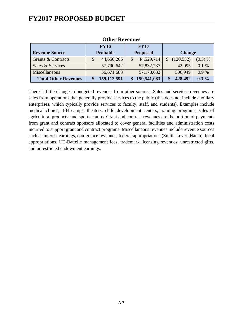|                             | <b>FY16</b><br><b>FY17</b> |               |                 |             |  |               |         |
|-----------------------------|----------------------------|---------------|-----------------|-------------|--|---------------|---------|
| <b>Revenue Source</b>       | <b>Probable</b>            |               | <b>Proposed</b> |             |  | <b>Change</b> |         |
| Grants & Contracts          |                            | 44,650,266    |                 | 44,529,714  |  | (120, 552)    | (0.3) % |
| Sales & Services            |                            | 57,790,642    |                 | 57,832,737  |  | 42,095        | 0.1%    |
| Miscellaneous               |                            | 56,671,683    |                 | 57,178,632  |  | 506,949       | 0.9%    |
| <b>Total Other Revenues</b> |                            | 159, 112, 591 |                 | 159,541,083 |  | 428,492       | $0.3\%$ |

#### **Other Revenues**

There is little change in budgeted revenues from other sources. Sales and services revenues are sales from operations that generally provide services to the public (this does not include auxiliary enterprises, which typically provide services to faculty, staff, and students). Examples include medical clinics, 4-H camps, theaters, child development centers, training programs, sales of agricultural products, and sports camps. Grant and contract revenues are the portion of payments from grant and contract sponsors allocated to cover general facilities and administration costs incurred to support grant and contract programs. Miscellaneous revenues include revenue sources such as interest earnings, conference revenues, federal appropriations (Smith-Lever, Hatch), local appropriations, UT-Battelle management fees, trademark licensing revenues, unrestricted gifts, and unrestricted endowment earnings.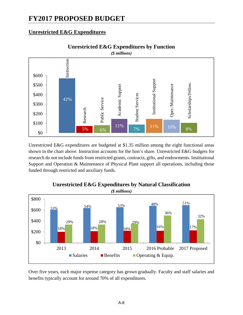## **Unrestricted E&G Expenditures**



**Unrestricted E&G Expenditures by Function**

Unrestricted E&G expenditures are budgeted at \$1.35 million among the eight functional areas shown in the chart above. Instruction accounts for the lion's share. Unrestricted E&G budgets for research do not include funds from restricted grants, contracts, gifts, and endowments. Institutional Support and Operation & Maintenance of Physical Plant support all operations, including those funded through restricted and auxiliary funds.



# **Unrestricted E&G Expenditures by Natural Classification**

Over five years, each major expense category has grown gradually. Faculty and staff salaries and benefits typically account for around 70% of all expenditures.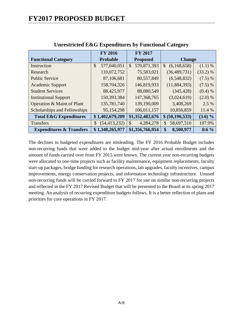|                                     | <b>FY 2016</b>      | <b>FY 2017</b>               |                              |            |
|-------------------------------------|---------------------|------------------------------|------------------------------|------------|
| <b>Functional Category</b>          | <b>Probable</b>     | <b>Proposed</b>              | <b>Change</b>                |            |
| Instruction                         | \$<br>577,040,051   | 570,871,393<br>$\mathcal{S}$ | $\mathcal{S}$<br>(6,168,658) | (1.1) %    |
| Research                            | 110,072,752         | 75,583,021                   | (36, 489, 731)               | $(33.2)$ % |
| <b>Public Service</b>               | 87,106,681          | 80,557,849                   | (6,548,832)                  | (7.5) %    |
| <b>Academic Support</b>             | 158,704,326         | 146,819,933                  | (11, 884, 393)               | (7.5) %    |
| <b>Student Services</b>             | 88,425,977          | 88,080,549                   | (345, 428)                   | (0.4) %    |
| <b>Institutional Support</b>        | 150,393,384         | 147, 368, 765                | (3,024,619)                  | (2.0) %    |
| Operation & Maint.of Plant          | 135,781,740         | 139,190,009                  | 3,408,269                    | 2.5 %      |
| Scholarships and Fellowships        | 95,154,298          | 106,011,157                  | 10,856,859                   | 11.4 %     |
| <b>Total E&amp;G Expenditures</b>   | \$1,402,679,209     | \$1,352,482,676              | \$ (50, 196, 533)            | $(3.6) \%$ |
| Transfers                           | (54, 413, 232)<br>S | $\mathcal{S}$<br>4,284,278   | 58,697,510<br>\$             | 107.9%     |
| <b>Expenditures &amp; Transfers</b> | \$1,348,265,977     | \$1,356,766,954              | \$<br>8,500,977              | $0.6\%$    |

## **Unrestricted E&G Expenditures by Functional Category**

The declines in budgeted expenditures are misleading. The FY 2016 Probable Budget includes non-recurring funds that were added to the budget mid-year after actual enrollments and the amount of funds carried over from FY 2015 were known. The current year non-recurring budgets were allocated to one-time projects such as facility maintenance, equipment replacements, faculty start-up packages, bridge funding for research operations, lab upgrades, faculty incentives, campus improvements, energy conservation projects, and information technology infrastructure. Unused non-recurring funds will be carried forward to FY 2017 for use on similar non-recurring projects and reflected in the FY 2017 Revised Budget that will be presented to the Board at its spring 2017 meeting. An analysis of recurring expenditure budgets follows. It is a better reflection of plans and priorities for core operations in FY 2017.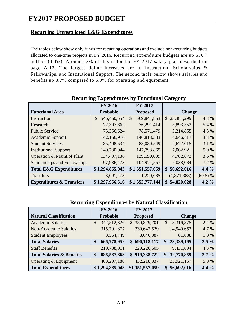## **Recurring Unrestricted E&G Expenditures**

The tables below show only funds for recurring operations and exclude non-recurring budgets allocated to one-time projects in FY 2016. Recurring expenditure budgets are up \$56.7 million (4.4%). Around 43% of this is for the FY 2017 salary plan described on page A-12. The largest dollar increases are in Instruction, Scholarships & Fellowships, and Institutional Support. The second table below shows salaries and benefits up 3.7% compared to 5.9% for operating and equipment.

|                                     | <b>FY 2016</b>              | <b>FY 2017</b>               |                  |          |
|-------------------------------------|-----------------------------|------------------------------|------------------|----------|
| <b>Functional Area</b>              | Probable                    | <b>Proposed</b>              | <b>Change</b>    |          |
| Instruction                         | 546,460,554<br>$\mathbb{S}$ | 569,841,853<br>$\mathcal{S}$ | \$23,381,299     | 4.3 %    |
| Research                            | 72,397,862                  | 76,291,414                   | 3,893,552        | 5.4 %    |
| <b>Public Service</b>               | 75,356,624                  | 78,571,479                   | 3,214,855        | 4.3 %    |
| <b>Academic Support</b>             | 142,166,916                 | 146,813,333                  | 4,646,417        | 3.3 %    |
| <b>Student Services</b>             | 85,408,534                  | 88,080,549                   | 2,672,015        | 3.1 %    |
| <b>Institutional Support</b>        | 140,730,944                 | 147,793,865                  | 7,062,921        | 5.0%     |
| Operation & Maint.of Plant          | 134,407,136                 | 139,190,009                  | 4,782,873        | 3.6 %    |
| Scholarships and Fellowships        | 97,936,473                  | 104,974,557                  | 7,038,084        | 7.2 %    |
| <b>Total E&amp;G Expenditures</b>   | \$1,294,865,043             | \$1,351,557,059              | \$56,692,016     | $4.4\%$  |
| Transfers                           | 3,091,473                   | 1,220,085                    | (1,871,388)      | (60.5) % |
| <b>Expenditures &amp; Transfers</b> | \$1,297,956,516             | \$1,352,777,144              | 54,820,628<br>\$ | 4.2 $%$  |

## **Recurring Expenditures by Functional Category**

## **Recurring Expenditures by Natural Classification**

|                                      | <b>FY 2016</b>    | FY 2017         |                             |         |
|--------------------------------------|-------------------|-----------------|-----------------------------|---------|
| <b>Natural Classification</b>        | Probable          | <b>Proposed</b> | <b>Change</b>               |         |
| <b>Academic Salaries</b>             | 342,512,326<br>\$ | \$350,829,201   | 8,316,875<br>\$             | 2.4 %   |
| <b>Non-Academic Salaries</b>         | 315,701,877       | 330,642,529     | 14,940,652                  | 4.7 %   |
| <b>Student Employees</b>             | 8,564,749         | 8,646,387       | 81,638                      | 1.0%    |
| <b>Total Salaries</b>                | 666,778,952<br>\$ | \$690,118,117   | 23,339,165<br>\$            | $3.5\%$ |
| <b>Staff Benefits</b>                | 219,788,911       | 229,220,605     | 9,431,694                   | 4.3 %   |
| <b>Total Salaries &amp; Benefits</b> | 886,567,863<br>\$ | \$919,338,722   | 32,770,859<br>\$            | $3.7\%$ |
| Operating & Equipment                | 408,297,180       | 432,218,337     | 23,921,157                  | 5.9%    |
| <b>Total Expenditures</b>            | \$1,294,865,043   | \$1,351,557,059 | 56,692,016<br>$\mathbf{\$}$ | 4.4 $%$ |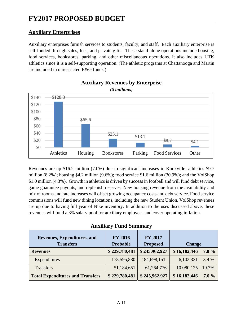## **Auxiliary Enterprises**

Auxiliary enterprises furnish services to students, faculty, and staff. Each auxiliary enterprise is self-funded through sales, fees, and private gifts. These stand-alone operations include housing, food services, bookstores, parking, and other miscellaneous operations. It also includes UTK athletics since it is a self-supporting operation. (The athletic programs at Chattanooga and Martin are included in unrestricted E&G funds.)



# **Auxiliary Revenues by Enterprise**

Revenues are up \$16.2 million (7.0%) due to significant increases in Knoxville: athletics \$9.7 million (8.2%); housing \$4.2 million (9.6%); food service \$1.6 million (30.9%); and the VolShop \$1.0 million (4.3%). Growth in athletics is driven by success in football and will fund debt service, game guarantee payouts, and replenish reserves. New housing revenue from the availability and mix of rooms and rate increases will offset growing occupancy costs and debt service. Food service commissions will fund new dining locations, including the new Student Union. VolShop revenues are up due to having full year of Nike inventory. In addition to the uses discussed above, these revenues will fund a 3% salary pool for auxiliary employees and cover operating inflation.

| Revenues, Expenditures, and<br><b>Transfers</b> | <b>FY 2016</b><br><b>Probable</b> | <b>FY 2017</b><br><b>Proposed</b> | <b>Change</b> |       |
|-------------------------------------------------|-----------------------------------|-----------------------------------|---------------|-------|
| <b>Revenues</b>                                 | \$229,780,481                     | \$245,962,927                     | \$16,182,446  | 7.0%  |
| Expenditures                                    | 178,595,830                       | 184,698,151                       | 6,102,321     | 3.4 % |
| <b>Transfers</b>                                | 51,184,651                        | 61,264,776                        | 10,080,125    | 19.7% |
| <b>Total Expenditures and Transfers</b>         | \$229,780,481                     | \$245,962,927                     | \$16,182,446  | 7.0%  |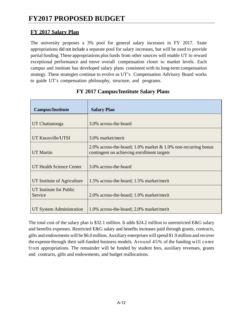## **FY 2017 Salary Plan**

The university proposes a 3% pool for general salary increases in FY 2017. State appropriations did not include a separate pool for salary increases, but will be used to provide partial funding. These appropriations plus funds from other sources will enable UT to reward exceptional performance and move overall compensation closer to market levels. Each campus and institute has developed salary plans consistent with its long-term compensation strategy. These strategies continue to evolve as UT's Compensation Advisory Board works to guide UT's compensation philosophy, structure, and programs.

| <b>Campus/Institute</b>            | <b>Salary Plan</b>                                                                                             |
|------------------------------------|----------------------------------------------------------------------------------------------------------------|
| UT Chattanooga                     | 3.0% across-the-board                                                                                          |
| UT Knoxville/UTSI                  | 3.0% market/merit                                                                                              |
| <b>UT Martin</b>                   | 2.0% across-the-board; 1.0% market $& 1.0\%$ non-recurring bonus<br>contingent on achieving enrollment targets |
| UT Health Science Center           | 3.0% across-the-board                                                                                          |
| UT Institute of Agriculture        | 1.5% across-the-board; 1.5% market/merit                                                                       |
| UT Institute for Public<br>Service | 2.0% across-the-board; 1.0% market/merit                                                                       |
| UT System Administration           | 1.0% across-the-board; 2.0% market/merit                                                                       |

## **FY 2017 Campus/Institute Salary Plans**

The total cost of the salary plan is \$32.1 million. It adds \$24.2 million to unrestricted E&G salary and benefits expenses. Restricted E&G salary and benefits increases paid through grants, contracts, gifts and endowments will be \$6.0 million. Auxiliary enterprises will spend \$1.9 million and recover the expense through their self-funded business models. Around 45% of the funding will come from appropriations. The remainder will be funded by student fees, auxiliary revenues, grants and contracts, gifts and endowments, and budget reallocations.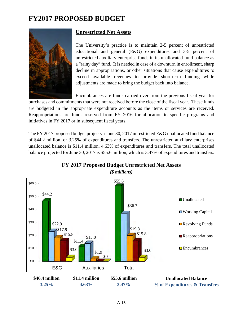

## **Unrestricted Net Assets**

The University's practice is to maintain 2-5 percent of unrestricted educational and general (E&G) expenditures and 3-5 percent of unrestricted auxiliary enterprise funds in its unallocated fund balance as a "rainy day" fund. It is needed in case of a downturn in enrollment, sharp decline in appropriations, or other situations that cause expenditures to exceed available revenues to provide short-term funding while adjustments are made to bring the budget back into balance.

Encumbrances are funds carried over from the previous fiscal year for

purchases and commitments that were not received before the close of the fiscal year. These funds are budgeted in the appropriate expenditure accounts as the items or services are received. Reappropriations are funds reserved from FY 2016 for allocation to specific programs and initiatives in FY 2017 or in subsequent fiscal years.

The FY 2017 proposed budget projects a June 30, 2017 unrestricted E&G unallocated fund balance of \$44.2 million, or 3.25% of expenditures and transfers. The unrestricted auxiliary enterprises unallocated balance is \$11.4 million, 4.63% of expenditures and transfers. The total unallocated balance projected for June 30, 2017 is \$55.6 million, which is 3.47% of expenditures and transfers.



**FY 2017 Proposed Budget Unrestricted Net Assets**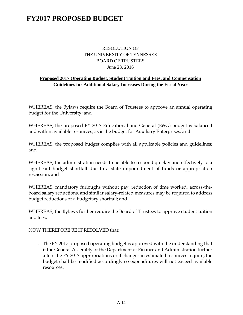## RESOLUTION OF THE UNIVERSITY OF TENNESSEE BOARD OF TRUSTEES June 23, 2016

## **Proposed 2017 Operating Budget, Student Tuition and Fees, and Compensation Guidelines for Additional Salary Increases During the Fiscal Year**

WHEREAS, the Bylaws require the Board of Trustees to approve an annual operating budget for the University; and

WHEREAS, the proposed FY 2017 Educational and General (E&G) budget is balanced and within available resources, as is the budget for Auxiliary Enterprises; and

WHEREAS, the proposed budget complies with all applicable policies and guidelines; and

WHEREAS, the administration needs to be able to respond quickly and effectively to a significant budget shortfall due to a state impoundment of funds or appropriation rescission; and

WHEREAS, mandatory furloughs without pay, reduction of time worked, across-theboard salary reductions, and similar salary-related measures may be required to address budget reductions or a budgetary shortfall; and

WHEREAS, the Bylaws further require the Board of Trustees to approve student tuition and fees;

NOW THEREFORE BE IT RESOLVED that:

1. The FY 2017 proposed operating budget is approved with the understanding that if the General Assembly or the Department of Finance and Administration further alters the FY 2017 appropriations or if changes in estimated resources require, the budget shall be modified accordingly so expenditures will not exceed available resources.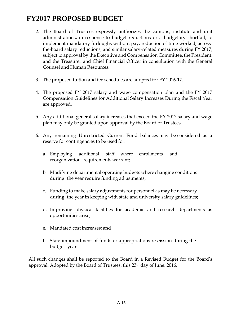- 2. The Board of Trustees expressly authorizes the campus, institute and unit administrations, in response to budget reductions or a budgetary shortfall, to implement mandatory furloughs without pay, reduction of time worked, acrossthe-board salary reductions, and similar salary-related measures during FY 2017, subject to approval by the Executive and Compensation Committee, the President, and the Treasurer and Chief Financial Officer in consultation with the General Counsel and Human Resources.
- 3. The proposed tuition and fee schedules are adopted for FY 2016-17.
- 4. The proposed FY 2017 salary and wage compensation plan and the FY 2017 Compensation Guidelines for Additional Salary Increases During the Fiscal Year are approved.
- 5. Any additional general salary increases that exceed the FY 2017 salary and wage plan may only be granted upon approval by the Board of Trustees.
- 6. Any remaining Unrestricted Current Fund balances may be considered as a reserve for contingencies to be used for:
	- a. Employing additional staff where enrollments and reorganization requirements warrant;
	- b. Modifying departmental operating budgets where changing conditions during the year require funding adjustments;
	- c. Funding to make salary adjustments for personnel as may be necessary during the year in keeping with state and university salary guidelines;
	- d. Improving physical facilities for academic and research departments as opportunities arise;
	- e. Mandated cost increases; and
	- f. State impoundment of funds or appropriations rescission during the budget year.

All such changes shall be reported to the Board in a Revised Budget for the Board's approval. Adopted by the Board of Trustees, this 23th day of June, 2016.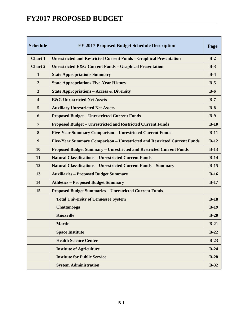| <b>Schedule</b>         | FY 2017 Proposed Budget Schedule Description                               | Page   |
|-------------------------|----------------------------------------------------------------------------|--------|
| Chart 1                 | <b>Unrestricted and Restricted Current Funds - Graphical Presentation</b>  | $B-2$  |
| <b>Chart 2</b>          | <b>Unrestricted E&amp;G Current Funds - Graphical Presentation</b>         | $B-3$  |
| $\mathbf{1}$            | <b>State Appropriations Summary</b>                                        | $B-4$  |
| $\overline{2}$          | <b>State Appropriations Five-Year History</b>                              | $B-5$  |
| $\mathbf{3}$            | <b>State Appropriations - Access &amp; Diversity</b>                       | $B-6$  |
| $\overline{\mathbf{4}}$ | <b>E&amp;G Unrestricted Net Assets</b>                                     | $B-7$  |
| 5                       | <b>Auxiliary Unrestricted Net Assets</b>                                   | $B-8$  |
| 6                       | <b>Proposed Budget - Unrestricted Current Funds</b>                        | $B-9$  |
| $\overline{7}$          | <b>Proposed Budget - Unrestricted and Restricted Current Funds</b>         | $B-10$ |
| 8                       | <b>Five-Year Summary Comparison - Unrestricted Current Funds</b>           | $B-11$ |
| 9                       | Five-Year Summary Comparison - Unrestricted and Restricted Current Funds   | $B-12$ |
| 10                      | <b>Proposed Budget Summary - Unrestricted and Restricted Current Funds</b> | $B-13$ |
| 11                      | <b>Natural Classifications - Unrestricted Current Funds</b>                | $B-14$ |
| 12                      | <b>Natural Classifications - Unrestricted Current Funds - Summary</b>      | $B-15$ |
| 13                      | <b>Auxiliaries - Proposed Budget Summary</b>                               | $B-16$ |
| 14                      | <b>Athletics - Proposed Budget Summary</b>                                 | $B-17$ |
| 15                      | <b>Proposed Budget Summaries - Unrestricted Current Funds</b>              |        |
|                         | <b>Total University of Tennessee System</b>                                | $B-18$ |
|                         | Chattanooga                                                                | $B-19$ |
|                         | <b>Knoxville</b>                                                           | $B-20$ |
|                         | <b>Martin</b>                                                              | $B-21$ |
|                         | <b>Space Institute</b>                                                     | $B-22$ |
|                         | <b>Health Science Center</b>                                               | $B-23$ |
|                         | <b>Institute of Agriculture</b>                                            | $B-24$ |
|                         | <b>Institute for Public Service</b>                                        | $B-28$ |
|                         | <b>System Administration</b>                                               | $B-32$ |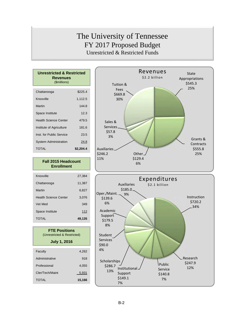## The University of Tennessee FY 2017 Proposed Budget Unrestricted & Restricted Funds

| <b>Unrestricted &amp; Restricted</b><br><b>Revenues</b><br>(\$millions) |           |
|-------------------------------------------------------------------------|-----------|
|                                                                         |           |
| Chattanooga                                                             | \$225.4   |
| Knoxville                                                               | 1,112.5   |
| Martin                                                                  | 1448      |
| Space Institute                                                         | 12.3      |
| <b>Health Science Center</b>                                            | 479.5     |
| Institute of Agriculture                                                | 181.6     |
| Inst. for Public Service                                                | 23.5      |
| <b>System Administration</b>                                            | 24.8      |
| TOTAI                                                                   | \$2,204.4 |

#### **Fall 2015 Headcount Enrollment**

| Knoxville                    | 27.384 |
|------------------------------|--------|
| Chattanooga                  | 11,387 |
| Martin                       | 6,827  |
| <b>Health Science Center</b> | 3,076  |
| Vet Med                      | 349    |
| Space Institute              | 112    |
| TOTAL                        | 49,135 |
|                              |        |

| <b>FTE Positions</b>        |
|-----------------------------|
| (Unrestricted & Restricted) |
| <b>July 1, 2016</b>         |

| Faculty         | 4,262  |
|-----------------|--------|
| Administrative  | 918    |
| Professional    | 4,055  |
| Cler/Tech/Maint | 5,931  |
| <b>TOTAL</b>    | 15,166 |



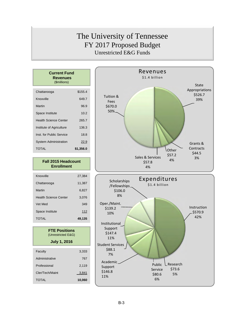# The University of Tennessee FY 2017 Proposed Budget Unrestricted E&G Funds

| <b>Current Fund</b><br>Revenues<br>(\$millions) |           |
|-------------------------------------------------|-----------|
| Chattanooga                                     | \$155.4   |
| Knoxville                                       | 649.7     |
| Martin                                          | 96.9      |
| Space Institute                                 | 10.2      |
| <b>Health Science Center</b>                    | 265.7     |
| Institute of Agriculture                        | 136.3     |
| Inst. for Public Service                        | 18.8      |
| <b>System Administration</b>                    | 22.9      |
| <b>TOTAL</b>                                    | \$1,356.0 |
|                                                 |           |

#### **Fall 2015 Headcount Enrollment**

| Knoxville                    | 27.384 |
|------------------------------|--------|
| Chattanooga                  | 11,387 |
| Martin                       | 6,827  |
| <b>Health Science Center</b> | 3.076  |
| Vet Med                      | 349    |
| Space Institute              | 112    |
| <b>TOTAL</b>                 | 49,135 |

**FTE Positions** 

| 3.333  |
|--------|
| 767    |
| 2.119  |
| 3,841  |
| 10.060 |
|        |



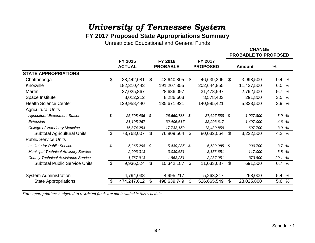## **FY 2017 Proposed State Appropriations Summary**

Unrestricted Educational and General Funds

**CHANGEPROBABLE TO PROPOSED**

|                                            | FY 2015             | FY 2016            | FY 2017           |                  |               |
|--------------------------------------------|---------------------|--------------------|-------------------|------------------|---------------|
|                                            | <b>ACTUAL</b>       | <b>PROBABLE</b>    | <b>PROPOSED</b>   | <b>Amount</b>    | $\frac{9}{6}$ |
| <b>STATE APPROPRIATIONS</b>                |                     |                    |                   |                  |               |
| Chattanooga                                | \$<br>38,442,081    | \$<br>42,640,805   | \$<br>46,639,305  | \$<br>3,998,500  | 9.4 %         |
| Knoxville                                  | 182,310,443         | 191,207,355        | 202,644,855       | 11,437,500       | 6.0<br>%      |
| Martin                                     | 27,025,867          | 28,686,097         | 31,478,597        | 2,792,500        | 9.7<br>$\%$   |
| Space Institute                            | 8,012,212           | 8,286,603          | 8,578,403         | 291,800          | 3.5%          |
| <b>Health Science Center</b>               | 129,958,440         | 135,671,921        | 140,995,421       | 5,323,500        | 3.9%          |
| <b>Agricultural Units</b>                  |                     |                    |                   |                  |               |
| <b>Agricultural Experiment Station</b>     | \$<br>25,698,486 \$ | 26,669,788 \$      | 27,697,588 \$     | 1,027,800        | 3.9 %         |
| Extension                                  | 31,195,267          | 32,406,617         | 33,903,617        | 1,497,000        | 4.6 %         |
| College of Veterinary Medicine             | 16,874,254          | 17,733,159         | 18,430,859        | 697,700          | 3.9 %         |
| <b>Subtotal Agricultural Units</b>         | \$<br>73,768,007    | \$<br>76,809,564   | \$<br>80,032,064  | \$<br>3,222,500  | 4.2 %         |
| <b>Public Service Units</b>                |                     |                    |                   |                  |               |
| Institute for Public Service               | \$<br>5,265,298     | \$<br>5,439,285 \$ | 5,639,985 \$      | 200,700          | 3.7%          |
| Municipal Technical Advisory Service       | 2,903,313           | 3,039,651          | 3,156,651         | 117,000          | 3.8%          |
| <b>County Technical Assistance Service</b> | 1,767,913           | 1,863,251          | 2,237,051         | 373,800          | 20.1 %        |
| <b>Subtotal Public Service Units</b>       | \$<br>9,936,524     | \$<br>10,342,187   | \$<br>11,033,687  | \$<br>691,500    | 6.7 %         |
| <b>System Administration</b>               | 4,794,038           | 4,995,217          | 5,263,217         | 268,000          | 5.4<br>%      |
| <b>State Appropriations</b>                | \$<br>474,247,612   | \$<br>498,639,749  | \$<br>526,665,549 | \$<br>28,025,800 | 5.6 %         |

*State appropriations budgeted to restricted funds are not included in this schedule.*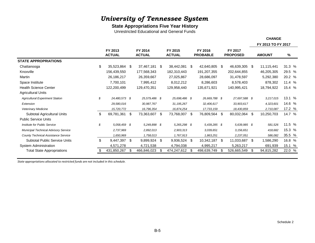#### **State Appropriations Five Year History**

Unrestricted Educational and General Funds

|                                            |                          |     |                          |      |                          |    |                            |      |                            |     | FY 2013 TO FY 2017 |        |  |
|--------------------------------------------|--------------------------|-----|--------------------------|------|--------------------------|----|----------------------------|------|----------------------------|-----|--------------------|--------|--|
|                                            | FY 2013<br><b>ACTUAL</b> |     | FY 2014<br><b>ACTUAL</b> |      | FY 2015<br><b>ACTUAL</b> |    | FY 2016<br><b>PROBABLE</b> |      | FY 2017<br><b>PROPOSED</b> |     | <b>AMOUNT</b>      | %      |  |
| <b>STATE APPROPRIATIONS</b>                |                          |     |                          |      |                          |    |                            |      |                            |     |                    |        |  |
| Chattanooga                                | \$<br>35,523,864         | -\$ | 37,467,181               | - \$ | 38,442,081               | \$ | 42,640,805 \$              |      | 46,639,305 \$              |     | 11,115,441         | 31.3 % |  |
| Knoxville                                  | 156,439,550              |     | 177,568,343              |      | 182,310,443              |    | 191,207,355                |      | 202,644,855                |     | 46,205,305         | 29.5 % |  |
| Martin                                     | 26,186,217               |     | 26,359,667               |      | 27,025,867               |    | 28,686,097                 |      | 31,478,597                 |     | 5,292,380          | 20.2 % |  |
| Space Institute                            | 7,700,101                |     | 7,995,412                |      | 8,012,212                |    | 8,286,603                  |      | 8,578,403                  |     | 878,302            | 11.4%  |  |
| <b>Health Science Center</b>               | 122,200,499              |     | 129,470,351              |      | 129,958,440              |    | 135,671,921                |      | 140,995,421                |     | 18,794,922         | 15.4 % |  |
| <b>Agricultural Units</b>                  |                          |     |                          |      |                          |    |                            |      |                            |     |                    |        |  |
| <b>Agricultural Experiment Station</b>     | \$<br>24,480,573 \$      |     | 25,579,486 \$            |      | 25,698,486 \$            |    | 26,669,788 \$              |      | 27,697,588 \$              |     | 3,217,015          | 13.1 % |  |
| Extension                                  | 29,580,016               |     | 30,987,767               |      | 31, 195, 267             |    | 32,406,617                 |      | 33,903,617                 |     | 4,323,601          | 14.6 % |  |
| <b>Veterinary Medicine</b>                 | 15,720,772               |     | 16,796,354               |      | 16,874,254               |    | 17,733,159                 |      | 18,430,859                 |     | 2,710,087          | 17.2 % |  |
| Subtotal Agricultural Units                | \$<br>69,781,361         | \$  | 73,363,607               | -\$  | 73,768,007               | S. | 76,809,564                 | S.   | 80,032,064                 | -\$ | 10,250,703         | 14.7 % |  |
| <b>Public Service Units</b>                |                          |     |                          |      |                          |    |                            |      |                            |     |                    |        |  |
| Institute for Public Service               | \$<br>5,058,459 \$       |     | 5,249,898 \$             |      | 5,265,298 \$             |    | 5,439,285 \$               |      | 5,639,985 \$               |     | 581,526            | 11.5 % |  |
| Municipal Technical Advisory Service       | 2,737,969                |     | 2,892,013                |      | 2,903,313                |    | 3.039.651                  |      | 3,156,651                  |     | 418,682            | 15.3 % |  |
| <b>County Technical Assistance Service</b> | 1,650,969                |     | 1,758,013                |      | 1,767,913                |    | 1,863,251                  |      | 2,237,051                  |     | 586,082            | 35.5 % |  |
| <b>Subtotal Public Service Units</b>       | \$<br>9,447,397          | \$  | 9,899,924 \$             |      | 9,936,524 \$             |    | 10,342,187                 | - \$ | 11,033,687 \$              |     | 1,586,290          | 16.8 % |  |
| <b>System Administration</b>               | 4,571,278                |     | 4,721,538                |      | 4,794,038                |    | 4,995,217                  |      | 5,263,217                  |     | 691,939            | 15.1 % |  |
| <b>Total State Appropriations</b>          | 431,850,267              | \$  | 466,846,023              | \$   | 474,247,612              | \$ | 498,639,749                | \$   | 526,665,549                | -\$ | 94,815,282         | 22.0 % |  |

*State appropriations allocated to restricted funds are not included in this schedule.*

**CHANGE**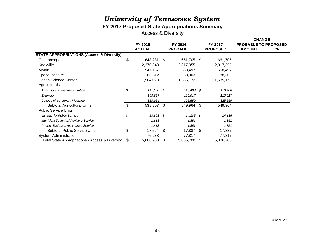## **FY 2017 Proposed State Appropriations Summary**

Access & Diversity

|                                                      |                    |    |                 |      |                 | <b>CHANGE</b>               |   |
|------------------------------------------------------|--------------------|----|-----------------|------|-----------------|-----------------------------|---|
|                                                      | FY 2015            |    | FY 2016         |      | FY 2017         | <b>PROBABLE TO PROPOSED</b> |   |
|                                                      | <b>ACTUAL</b>      |    | <b>PROBABLE</b> |      | <b>PROPOSED</b> | <b>AMOUNT</b>               | % |
| <b>STATE APPROPRIATIONS (Access &amp; Diversity)</b> |                    |    |                 |      |                 |                             |   |
| Chattanooga                                          | \$<br>648,281 \$   |    | 661,705 \$      |      | 661,705         |                             |   |
| Knoxville                                            | 2,270,343          |    | 2,317,355       |      | 2,317,355       |                             |   |
| Martin                                               | 547,167            |    | 558,497         |      | 558,497         |                             |   |
| Space Institute                                      | 86,512             |    | 88,303          |      | 88,303          |                             |   |
| <b>Health Science Center</b>                         | 1,504,028          |    | 1,535,172       |      | 1,535,172       |                             |   |
| <b>Agricultural Units</b>                            |                    |    |                 |      |                 |                             |   |
| <b>Agricultural Experiment Station</b>               | \$<br>$111,186$ \$ |    | 113,488 \$      |      | 113,488         |                             |   |
| Extension                                            | 108,667            |    | 110,917         |      | 110,917         |                             |   |
| College of Veterinary Medicine                       | 318,954            |    | 325,559         |      | 325,559         |                             |   |
| Subtotal Agricultural Units                          | \$<br>538,807 \$   |    | 549,964         | - \$ | 549,964         |                             |   |
| <b>Public Service Units</b>                          |                    |    |                 |      |                 |                             |   |
| Institute for Public Service                         | \$<br>13,898 \$    |    | $14,185$ \$     |      | 14,185          |                             |   |
| <b>Municipal Technical Advisory Service</b>          | 1,813              |    | 1,851           |      | 1,851           |                             |   |
| <b>County Technical Assistance Service</b>           | 1,813              |    | 1,851           |      | 1,851           |                             |   |
| <b>Subtotal Public Service Units</b>                 | \$<br>17,524 \$    |    | 17,887          | \$   | 17,887          |                             |   |
| <b>System Administration</b>                         | 76,238             |    | 77,817          |      | 77,817          |                             |   |
| Total State Appropriations - Access & Diversity      | \$<br>5,688,900    | S. | 5,806,700       | \$   | 5,806,700       |                             |   |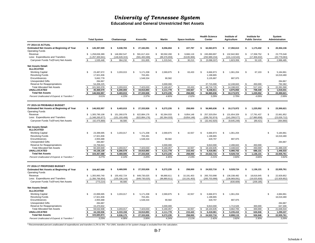**Educational and General Unrestricted Net Assets**

|                                                                            | <b>Total System</b>                    | Chattanooga                          | Knoxville                            | <b>Martin</b>                      | <b>Space Institute</b>             | <b>Health Science</b><br>Center       | Institute of<br><b>Agriculture</b>   | Institute for<br><b>Public Service</b> | System<br>Administration            |
|----------------------------------------------------------------------------|----------------------------------------|--------------------------------------|--------------------------------------|------------------------------------|------------------------------------|---------------------------------------|--------------------------------------|----------------------------------------|-------------------------------------|
| FY 2014-15 ACTUAL                                                          |                                        |                                      |                                      |                                    |                                    |                                       |                                      |                                        |                                     |
| <b>Estimated Net Assets at Beginning of Year</b><br><b>Operating Funds</b> | 145.397.509<br>s                       | \$<br>9.038.783                      | 27.182.091<br>\$                     | \$<br>8.056.694                    | \$<br>227,787                      | 62.063.973<br>Ŝ.                      | 17.350.613<br>\$.                    | 1.173.432<br>\$                        | \$<br>20.304.136                    |
| Revenue<br>Less: Expenditures and Transfers                                | \$<br>1,258,836,389<br>(1,257,300,941) | \$<br>146,992,547<br>(146, 628, 315) | \$<br>591,617,424<br>(591, 465, 589) | \$<br>90,592,200<br>(89, 376, 659) | \$<br>9,666,119<br>(9,635,906)     | \$.<br>245,890,897<br>(250, 989, 234) | 132,942,902<br>-S<br>(131, 119, 543) | \$.<br>17,358,752<br>(17, 306, 632)    | \$<br>23,775,548<br>(20, 779, 063)  |
| Carryover Funds To/(From) Net Assets                                       | 1,535,448                              | $\mathbf{s}$<br>364,232              | \$<br>151,835                        | \$<br>1,215,541                    | \$<br>30,213                       | \$<br>(5,098,337)                     | $\mathfrak s$<br>1,823,359           | 52,120<br>$\mathfrak{L}$               | \$<br>2,996,485                     |
| <b>Net Assets Detail:</b><br><b>ALLOCATED</b>                              |                                        |                                      |                                      |                                    |                                    |                                       |                                      |                                        |                                     |
| <b>Working Capital</b>                                                     | \$<br>23,487,672                       | \$<br>3,203,015                      | \$<br>5,171,208                      | \$<br>2,069,875                    | \$<br>63,433                       | \$<br>6,666,973                       | \$<br>1,061,204                      | \$.<br>67,103                          | \$<br>5,184,861                     |
| <b>Revolving Funds</b>                                                     | 17,921,836                             |                                      | 703,491                              |                                    |                                    | 1,198,865                             |                                      |                                        | 16,019,480                          |
| Encumbrances                                                               | 5,662,778                              |                                      | 1,548,334                            | 90,582                             |                                    | 3,135,887                             | 887,975                              |                                        |                                     |
| <b>Unexpended Gifts</b><br>Reserve for Reappropriations                    | 284,867<br>54,206,225                  |                                      |                                      | 3,000,000                          |                                    | 37,715,000                            | 12,248,843                           | 450,000<br>\$                          | 284,867<br>792,382                  |
| <b>Total Allocated Net Assets</b>                                          | \$<br>101,563,378                      | 3,203,015<br>\$                      | \$<br>7,423,033                      | \$<br>5,160,457                    | 63,433<br>\$                       | 48,716,725<br>\$                      | 14,198,022<br>\$                     | \$<br>517,103                          | 22,281,590<br>\$                    |
| <b>UNALLOCATED</b>                                                         | $\overline{\mathbf{s}}$<br>45,369,579  | $\bullet$<br>6,200,000               | $\overline{\bullet}$<br>19,910,893   | $\overline{\bullet}$<br>4,111,778  | $\overline{\mathbf{s}}$<br>194.567 | $\overline{\bullet}$<br>8,248,911     | $\bullet$<br>4,975,950               | $\overline{\mathbf{s}}$<br>708,449     | $\overline{\bullet}$<br>1.019.031   |
| <b>Total Net Assets</b>                                                    | 146,932,957<br>s.                      | 9,403,015<br>\$                      | \$<br>27,333,926                     | \$<br>9,272,235                    | \$<br>258,000                      | \$<br>56,965,636                      | 19,173,972<br>\$                     | 1,225,552<br>\$                        | \$<br>23,300,621                    |
| Percent Unallocated of Expend. & Transfers                                 | 3.61%                                  | 4.23%                                | 3.37%                                | 4.60%                              | 2.02%                              | 3.29%                                 | 3.79%                                | 4.09%                                  | 2.99%                               |
| FY 2015-16 PROBABLE BUDGET                                                 |                                        |                                      |                                      |                                    |                                    |                                       |                                      |                                        |                                     |
| <b>Estimated Net Assets at Beginning of Year</b><br><b>Operating Funds</b> | 146.932.957<br>S                       | 9,403,015<br>\$                      | 27.333.926<br>\$                     | 9.272.235<br>\$                    | \$<br>258.000                      | 56.965.636<br>S                       | 19,173,972<br>\$                     | 1.225.552<br>S                         | \$<br>23,300,621                    |
| Revenue                                                                    | \$<br>1,305,790,108                    | \$<br>151,260,079                    | 622,884,176<br>\$                    | \$<br>92,364,033                   | \$<br>9,854,148                    | 257,320,054<br>\$                     | \$<br>131,654,329                    | \$<br>17,791,437                       | 22,661,852<br>$\mathfrak{L}$        |
| Less: Expenditures and Transfers                                           | (1,348,265,977)                        | (151, 193, 499)                      | (622, 884, 176)                      | (92, 364, 033)                     | (9,854,148)                        | (289, 762, 974)                       | (141, 299, 577)                      | (17,880,858)                           | (23,026,712)                        |
| Carryover Funds To/(From) Net Assets                                       | (42, 475, 869)<br>-96                  | \$<br>66,580                         | \$<br>$\sim$                         | \$                                 | S.                                 | \$<br>(32.442.920)                    | \$<br>(9,645,248)                    | (89, 421)<br>\$                        | $\mathbf s$<br>(364, 860)           |
| <b>Net Assets Detail:</b><br><b>ALLOCATED</b>                              |                                        |                                      |                                      |                                    |                                    |                                       |                                      |                                        |                                     |
| <b>Working Capital</b>                                                     | \$<br>23,399,695                       | \$<br>3,203,017                      | 5,171,208<br>\$                      | \$<br>2,069,875                    | \$<br>42,557                       | S<br>6,666,973                        | $\mathfrak{L}$<br>1,061,204          |                                        | \$<br>5,184,861                     |
| <b>Revolving Funds</b>                                                     | 17,921,836                             |                                      | 703,491                              |                                    |                                    | 1,198,865                             |                                      |                                        | 16,019,480                          |
| Encumbrances                                                               | 2,955,688                              |                                      | 1,548,334                            | 90,582                             |                                    | 428,797                               | 887,975                              |                                        |                                     |
| <b>Unexpended Gifts</b>                                                    | 284,887                                |                                      |                                      |                                    |                                    |                                       |                                      |                                        | 284,887                             |
| Reserve for Reappropriations<br><b>Total Allocated Net Assets</b>          | 15,758,843<br>60,320,949               | 3,203,017                            |                                      | 3,000,000                          | 42,557                             | 9,810,000<br>18,104,635               | 2,498,843<br>4,448,022               | 450,000<br>\$<br>450,000<br>\$         |                                     |
| UNALLOCATED                                                                | $\overline{\bullet}$<br>44,136,139     | \$<br>\$<br>6,266,578                | 7,423,033<br>\$<br>\$<br>19,910,893  | 5,160,457<br>\$<br>\$<br>4,111,778 | \$<br>\$<br>215,443                | \$<br>\$<br>6,418,081                 | \$<br>5,080,702<br>\$                | \$<br>686,131                          | 21,489,228<br>\$<br>\$<br>1,446,533 |
| <b>Total Net Assets</b>                                                    | 104.457.088<br>ŝ.                      | 9.469.595<br>\$                      | 27.333.926<br>£.                     | \$<br>9.272.235                    | \$<br>258.000                      | \$<br>24.522.716                      | 9.528.724<br>\$                      | 1,136,131                              | \$<br>22.935.761                    |
| Percent Unallocated of Expend. & Transfers '                               | 3.27%                                  | 4.14%                                | 3.20%                                | 4.45%                              | 2.19%                              | 2.21%                                 | 3.60%                                | 3.84%                                  | 3.82%                               |
| FY 2016-17 PROPOSED BUDGET                                                 |                                        |                                      |                                      |                                    |                                    |                                       |                                      |                                        |                                     |
| <b>Estimated Net Assets at Beginning of Year</b><br><b>Operating Funds</b> | 104.457.088<br>Ŝ                       | 9,469,595<br>S                       | \$<br>27,333,926                     | \$<br>9,272,235                    | 258,000<br>S                       | Ŝ<br>24,522,716                       | 9,528,724                            | \$<br>1,136,131                        | 22,935,761<br>\$                    |
| Revenue                                                                    | \$<br>1,355,993,740                    | $\mathbb{S}$<br>155,402,724          | \$<br>649,730,025                    | \$<br>96,880,611                   | \$<br>10,191,403                   | \$<br>265,703,998                     | \$<br>136,338,482                    | \$.<br>18,816,645                      | \$<br>22,929,852                    |
| Less: Expenditures and Transfers                                           | (1,356,766,954)                        | (155, 336, 144)                      | (649, 730, 025)                      | (96, 880, 611)                     | (10, 191, 403)                     | (265,703,998)                         | (136, 969, 091)                      | (19,025,830)                           | (22, 929, 852)                      |
| Carryover Funds To/(From) Net Assets                                       | (773, 214)                             | 66,580<br>\$                         | \$<br>÷,                             | <sup>\$</sup>                      | \$                                 | S                                     | \$<br>(630, 609)                     | \$<br>(209, 185)                       | \$                                  |
| <b>Net Assets Detail:</b><br><b>ALLOCATED</b>                              |                                        |                                      |                                      |                                    |                                    |                                       |                                      |                                        |                                     |
| <b>Working Capital</b>                                                     | 22,899,695<br>\$.                      | \$<br>3,203,017                      | \$<br>5,171,208                      | \$<br>2,069,875                    | \$<br>42,557                       | S<br>6,666,973                        | 1,061,204<br>\$                      |                                        | \$<br>4,684,861                     |
| <b>Revolving Funds</b>                                                     | 17,921,836                             |                                      | 703,491                              |                                    |                                    | 1,198,865                             |                                      |                                        | 16,019,480                          |
| Encumbrances                                                               | 2,955,688                              |                                      | 1,548,334                            | 90,582                             |                                    | 428,797                               | 887,975                              |                                        |                                     |
| <b>Unexpended Gifts</b>                                                    | 284,887                                |                                      |                                      |                                    |                                    |                                       |                                      |                                        | 284,887                             |
| Reserve for Reappropriations                                               | 15,470,832                             |                                      |                                      | 3,000,000                          |                                    | 9,810,000                             | 1,713,526                            | 300,000                                | 647,306                             |
| <b>Total Allocated Net Assets</b>                                          | 59,532,938                             | 3,203,017<br>\$                      | 7,423,033<br>\$                      | 5,160,457<br>\$                    | 42,557<br>\$                       | 18,104,635<br>\$                      | 3,662,705<br>\$                      | \$<br>300,000                          | 21,636,534<br>\$                    |
| UNALLOCATED                                                                | \$<br>44,150,936                       | \$<br>6,333,158                      | 19,910,893<br>\$                     | \$<br>4,111,778                    | \$<br>215,443                      | \$<br>6,418,081                       | 5,235,410<br>\$                      | \$<br>626,946                          | \$<br>1,299,227                     |
| <b>Total Net Assets</b>                                                    | 103,683,874<br>Ŝ.                      | 9,536,175<br>\$                      | \$<br>27,333,926                     | \$<br>9,272,235                    | \$<br>258,000                      | s.<br>24,522,716                      | 8,898,115<br>\$                      | 926,946                                | 22,935,761<br>\$                    |
| Percent Unallocated of Expend, & Transfers                                 | 3.25%                                  | 4.08%                                | 3.06%                                | 4.24%                              | 2.11%                              | 2.42%                                 | 3.82%                                | 3.30%                                  | 3.26%                               |

*\* Recommended percent unallocated of expenditures and transfers is 2% to 5%. For UWA, transfers-in for system charge is excluded from the calculation.*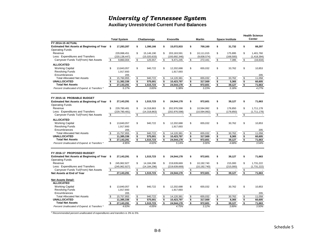**Auxiliary Unrestricted Current Fund Balances**

|                                                                        |                                                 |                                       |                                                 |                          |                    |                          |                         |                          |                                                    |                          |                                            | <b>Health Science</b> |
|------------------------------------------------------------------------|-------------------------------------------------|---------------------------------------|-------------------------------------------------|--------------------------|--------------------|--------------------------|-------------------------|--------------------------|----------------------------------------------------|--------------------------|--------------------------------------------|-----------------------|
|                                                                        |                                                 | <b>Total System</b>                   |                                                 | Chattanooga              |                    | Knoxville                |                         | <b>Martin</b>            |                                                    | <b>Space Institute</b>   |                                            | <b>Center</b>         |
| <b>FY 2014-15 ACTUAL</b>                                               |                                                 |                                       |                                                 |                          |                    |                          |                         |                          |                                                    |                          |                                            |                       |
| Estimated Net Assets at Beginning of Year \$<br><b>Operating Funds</b> |                                                 | 17,283,287                            | \$                                              | 1,390,166                | \$                 | 15,072,933               | \$                      | 700,160                  | \$                                                 | 31,732                   | \$                                         | 88,297                |
| Revenue                                                                |                                                 | 229,998,451                           | \$                                              | 15,146,190               | \$                 | 203,163,591              | \$                      | 10,111,015               | \$                                                 | 175,895                  | \$                                         | 1,401,760             |
| Less: Expenditures and Transfers                                       |                                                 | (220, 138, 447)                       |                                                 | (15,020,633)             |                    | (193, 692, 346)          |                         | (9,838,574)              |                                                    | (168, 500)               |                                            | (1,418,394)           |
| Carryover Funds To/(From) Net Assets                                   | \$                                              | 9,860,004                             | \$                                              | 125,557                  | \$                 | 9,471,245                | \$                      | 272,441                  | \$                                                 | 7,395                    | \$                                         | (16, 634)             |
|                                                                        |                                                 |                                       |                                                 |                          |                    |                          |                         |                          |                                                    |                          |                                            |                       |
| <b>ALLOCATED</b>                                                       |                                                 |                                       |                                                 |                          |                    |                          |                         |                          |                                                    |                          |                                            |                       |
| <b>Working Capital</b>                                                 | \$                                              | 13,843,057                            | \$                                              | 940,722                  | \$                 | 12.202.688               | \$                      | 655,032                  | \$                                                 | 33,762                   | \$                                         | 10,853                |
| <b>Revolving Funds</b>                                                 |                                                 | 1,917,693                             |                                                 |                          |                    | 1,917,693                |                         |                          |                                                    |                          |                                            |                       |
| Encumbrances                                                           |                                                 | 205                                   |                                                 |                          |                    |                          |                         |                          |                                                    |                          |                                            | 205                   |
| <b>Total Allocated Net Assets</b>                                      | \$                                              | 15,760,955                            | \$                                              | 940,722                  | \$                 | 14,120,381               | \$                      | 655,032                  | \$                                                 | 33,762                   | \$                                         | 11.058                |
| <b>UNALLOCATED</b><br><b>Total Net Assets</b>                          | $\overline{\mathbf{s}}$<br>$\overline{\bullet}$ | 11,382,336<br>$\overline{27,}143,291$ | $\overline{\bullet}$<br>$\overline{\mathbf{s}}$ | 575,001                  | \$<br>\$           | 10,423,797               | \$<br>\$                | 317,569<br>972,601       | $\overline{\mathbf{s}}$<br>$\overline{\mathbf{s}}$ | 5,365<br>39,127          | $\overline{\mathbf{s}}$                    | 60.605                |
|                                                                        |                                                 | 5.17%                                 |                                                 | 1,515,723<br>3.83%       |                    | 24,544,178<br>5.38%      |                         | 3.23%                    |                                                    | 3.18%                    | $\overline{\boldsymbol{\mathsf{s}}}$       | 71,663<br>4.27%       |
| Percent Unallocated of Expend. & Transfers *                           |                                                 |                                       |                                                 |                          |                    |                          |                         |                          |                                                    |                          |                                            |                       |
| FY 2015-16 PROBABLE BUDGET                                             |                                                 |                                       |                                                 |                          |                    |                          |                         |                          |                                                    |                          |                                            |                       |
| Estimated Net Assets at Beginning of Year \$<br><b>Operating Funds</b> |                                                 | 27,143,291                            | \$                                              | 1,515,723                | \$                 | 24,544,178               | \$                      | 972,601                  | \$                                                 | 39,127                   | \$                                         | 71,663                |
| Revenue                                                                | \$                                              | 229,780,481                           | \$                                              | 14,318,863               | \$                 | 202,976,598              | \$                      | 10,594,992               | \$                                                 | 178,850                  | \$                                         | 1,711,178             |
| Less: Expenditures and Transfers                                       |                                                 | (229, 780, 481)                       |                                                 | (14, 318, 863)           |                    | (202,976,598)            |                         | (10, 594, 992)           |                                                    | (178, 850)               |                                            | (1,711,178)           |
| Carryover Funds To/(From) Net Assets                                   | \$                                              | $\overline{a}$                        | \$                                              | $\overline{\phantom{a}}$ | \$                 | $\overline{\phantom{a}}$ | \$                      | $\overline{\phantom{a}}$ | \$                                                 | $\overline{\phantom{a}}$ | \$                                         |                       |
| <b>ALLOCATED</b>                                                       |                                                 |                                       |                                                 |                          |                    |                          |                         |                          |                                                    |                          |                                            |                       |
| <b>Working Capital</b>                                                 | \$                                              | 13,840,057                            | \$                                              | 940,722                  | \$                 | 12,202,688               | \$                      | 655,032                  | \$                                                 | 30,762                   | \$                                         | 10,853                |
| <b>Revolving Funds</b>                                                 |                                                 | 1,917,693                             |                                                 |                          |                    | 1.917.693                |                         |                          |                                                    |                          |                                            |                       |
| Encumbrances                                                           |                                                 | 205                                   |                                                 |                          |                    |                          |                         |                          |                                                    |                          |                                            | 205                   |
| <b>Total Allocated Net Assets</b>                                      | \$                                              | 15,757,955                            | \$                                              | 940,722                  | \$                 | 14,120,381               | \$                      | 655,032                  | \$                                                 | 30,762                   | \$                                         | 11,058                |
| <b>UNALLOCATED</b>                                                     |                                                 | 11,385,336                            | $\overline{\bullet}$                            | 575,001                  | \$                 | 10,423,797               | \$                      | 317,569                  | $\overline{\boldsymbol{\mathsf{s}}}$               | 8,365                    | $\overline{\boldsymbol{\mathsf{s}}}$       | 60,605                |
| <b>Total Net Assets</b>                                                | \$                                              | 27,143,291                            | $\bullet$                                       | 1,515,723                | \$                 | 24,544,178               | \$                      | 972,601                  | \$                                                 | 39,127                   | $\overline{\mathbf{3}}$                    | 71,663                |
| Percent Unallocated of Expend. & Transfers *                           |                                                 | 4.95%                                 |                                                 | 4.02%                    |                    | 5.14%                    |                         | 3.00%                    |                                                    | 4.68%                    |                                            | 3.54%                 |
| FY 2016-17 PROPOSED BUDGET                                             |                                                 |                                       |                                                 |                          |                    |                          |                         |                          |                                                    |                          |                                            |                       |
|                                                                        |                                                 |                                       |                                                 |                          |                    |                          |                         | 972.601                  |                                                    |                          | \$                                         |                       |
| Estimated Net Assets at Beginning of Year \$<br><b>Operating Funds</b> |                                                 | 27.143.291                            | \$                                              | 1.515.723                | \$                 | 24,544,178               | \$                      |                          | \$                                                 | 39.127                   |                                            | 71.663                |
| Revenue                                                                | \$                                              | 245.962.927                           | \$                                              | 14.184.296               | \$                 | 219.639.669              | \$                      | 10.192.740               | \$                                                 | 215.000                  | \$                                         | 1.731.222             |
| Less: Expenditures and Transfers                                       |                                                 | (245, 962, 927)                       |                                                 | (14, 184, 296)           |                    | (219,639,669)            |                         | (10, 192, 740)           |                                                    | (215,000)                |                                            | (1,731,222)           |
| Carryover Funds To/(From) Net Assets                                   | $\sqrt[6]{\frac{2}{5}}$                         |                                       | \$                                              |                          | \$                 |                          | \$                      |                          | \$                                                 |                          | \$                                         |                       |
| Net Assets at End of Year                                              |                                                 | 27,143,291                            | $\overline{\bullet}$                            | 1,515,723                | उ                  | 24,544,178               | 5                       | 972,601                  | $\overline{\boldsymbol{\mathsf{s}}}$               | 39,127                   | $\overline{\mathbf{3}}$                    | 71,663                |
| <b>Net Assets Detail:</b>                                              |                                                 |                                       |                                                 |                          |                    |                          |                         |                          |                                                    |                          |                                            |                       |
| <b>ALLOCATED</b>                                                       |                                                 |                                       |                                                 |                          |                    |                          |                         |                          |                                                    |                          |                                            |                       |
| <b>Working Capital</b>                                                 | \$                                              | 13.840.057                            | \$                                              | 940.722                  | \$                 | 12.202.688               | \$                      | 655.032                  | \$                                                 | 30.762                   | \$                                         | 10.853                |
| <b>Revolving Funds</b>                                                 |                                                 | 1,917,693                             |                                                 |                          |                    | 1,917,693                |                         |                          |                                                    |                          |                                            |                       |
| Encumbrances<br><b>Total Allocated Net Assets</b>                      | \$                                              | 205<br>15,757,955                     |                                                 | 940,722                  | \$                 | 14,120,381               | \$                      | 655,032                  |                                                    | 30,762                   |                                            | 205<br>11,058         |
| <b>UNALLOCATED</b>                                                     |                                                 | 11,385,336                            | \$<br>$\overline{\bullet}$                      | 575,001                  | \$                 | 10,423,797               | $\overline{\bullet}$    | 317,569                  | \$<br>$\overline{\boldsymbol{\mathsf{s}}}$         | 8,365                    | \$<br>$\overline{\boldsymbol{\mathsf{s}}}$ | 60,605                |
| <b>Total Net Assets</b>                                                | \$                                              | 27,143,291                            | $\frac{1}{2}$                                   | 1,515,723                | $\overline{\cdot}$ | 24,544,178               | $\overline{\mathbf{r}}$ | 972,601                  | \$                                                 | 39,127                   | $\frac{1}{2}$                              | 71.663                |
| Percent Unallocated of Expend. & Transfers *                           |                                                 | 4.63%                                 |                                                 | 4.05%                    |                    | 4.75%                    |                         | 3.12%                    |                                                    | 3.89%                    |                                            | 3.50%                 |
|                                                                        |                                                 |                                       |                                                 |                          |                    |                          |                         |                          |                                                    |                          |                                            |                       |

*\* Recommended percent unallocated of expenditures and transfers is 3% to 5%.*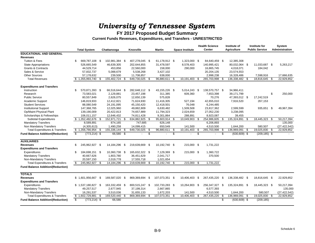**FY 2017 Proposed Budget Summary**

**Current Funds Revenues, Expenditures, and Transfers - UNRESTRICTED**

|                                           |     |                     |      |                |      |                  |      |                |      |                        |      | <b>Health Science</b> |     | Institute of       |      | Institute for         |      | System         |
|-------------------------------------------|-----|---------------------|------|----------------|------|------------------|------|----------------|------|------------------------|------|-----------------------|-----|--------------------|------|-----------------------|------|----------------|
|                                           |     | <b>Total System</b> |      | Chattanooga    |      | <b>Knoxville</b> |      | <b>Martin</b>  |      | <b>Space Institute</b> |      | Center                |     | <b>Agriculture</b> |      | <b>Public Service</b> |      | Administration |
| <b>EDUCATIONAL AND GENERAL</b>            |     |                     |      |                |      |                  |      |                |      |                        |      |                       |     |                    |      |                       |      |                |
| <b>Revenues</b>                           |     |                     |      |                |      |                  |      |                |      |                        |      |                       |     |                    |      |                       |      |                |
| Tuition & Fees                            | \$  | 669.787.108 \$      |      | 102,981,384 \$ |      | 407,278,045 \$   |      | 61.178.912 \$  |      | 1.323.000 \$           |      | 84,640,459 \$         |     | 12.385.308         |      |                       |      |                |
| <b>State Appropriations</b>               |     | 526,665,549         |      | 46,639,305     |      | 202,644,855      |      | 31,478,597     |      | 8,578,403              |      | 140,995,421           |     | 80,032,064 \$      |      | 11,033,687 \$         |      | 5,263,217      |
| <b>Grants &amp; Contracts</b>             |     | 44,529,714          |      | 453,856        |      | 22,560,000       |      | 158,000        |      | 290,000                |      | 16,865,745            |     | 4,018,071          |      | 184,042               |      |                |
| Sales & Service                           |     | 57,832,737          |      | 5,088,679      |      | 5,538,268        |      | 3,427,102      |      |                        |      | 20,204,135            |     | 23,574,553         |      |                       |      |                |
| <b>Other Sources</b>                      |     | 57,178,632          |      | 239,500        |      | 11,708,857       |      | 638,000        |      |                        |      | 2,998,238             |     | 16,328,486         |      | 7,598,916             |      | 17,666,635     |
| <b>Total Revenues</b>                     | \$. | 1,355,993,740       |      | 155.402.724 \$ |      | 649.730.025      | -\$  | 96,880,611     |      | 10.191.403             | - \$ | 265.703.998           | -\$ | 136,338,482        |      | 18,816,645 \$         |      | 22.929.852     |
| <b>Expenditures and Transfers</b>         |     |                     |      |                |      |                  |      |                |      |                        |      |                       |     |                    |      |                       |      |                |
| Instruction                               | \$  | 570,871,393 \$      |      | 66,516,644 \$  |      | 282,648,112 \$   |      | 43,155,226 \$  |      | 5,014,243 \$           |      | 138,570,757 \$        |     | 34,966,411         |      |                       |      |                |
| Research                                  |     | 73,583,021          |      | 2,129,881      |      | 23,457,198       |      | 311,385        |      | 609,360                |      | 7,653,398             |     | 39,171,799         |      |                       | \$   | 250,000        |
| <b>Public Service</b>                     |     | 80,557,849          |      | 2,626,075      |      | 12,650,139       |      | 575,828        |      |                        |      | 70,276                |     | 47,393,012 \$      |      | 17,242,519            |      |                |
| Academic Support                          |     | 146,819,933         |      | 12,412,821     |      | 71,624,930       |      | 11,416,305     |      | 527,194                |      | 42,655,010            |     | 7,916,520          |      | 267,153               |      |                |
| <b>Student Services</b>                   |     | 88,080,549          |      | 24,191,095     |      | 45,150,420       |      | 12,418,501     |      | 76,048                 |      | 6,244,485             |     |                    |      |                       |      |                |
| <b>Institutional Support</b>              |     | 147,368,765         |      | 12,025,960     |      | 49,882,809       |      | 6,630,482      |      | 1,509,508              |      | 23,817,362            |     | 2,599,599          |      | 935,651 \$            |      | 49.967.394     |
| <b>Op/Maint Physical Plant</b>            |     | 139,190,009         |      | 20,422,813     |      | 74,657,889       |      | 11,794,323     |      | 2,024,659              |      | 27,052,230            |     | 3,238,095          |      |                       |      |                |
| Scholarships & Fellowships                |     | 106,011,157         |      | 12,646,432     |      | 74,811,428       |      | 9,301,864      |      | 288,891                |      | 8,923,087             |     | 39,455             |      |                       |      |                |
| <b>Subtotal Expenditures</b>              |     | \$1,352,482,676     | -\$  | 152,971,721 \$ |      | 634,882,925 \$   |      | 95,603,914     | - \$ | 10,049,903 \$          |      | 254,986,605           | -\$ | 135,324,891        | -\$  | 18,445,323 \$         |      | 50,217,394     |
| <b>Mandatory Transfers</b>                |     | 8,589,891           |      | 874,165        |      | 747,685          |      | 626.148        |      |                        |      | 6,206,893             |     |                    |      |                       |      | 135.000        |
| Non Mandatory Transfers                   |     | (4,305,613)         |      | 1.490.258      |      | 14,099,415       |      | 650,549        |      | 141,500                |      | 4,510,500             |     | 1,644,200          |      | 580,507               |      | (27, 422, 542) |
| <b>Total Expenditures &amp; Transfers</b> |     | \$1,356,766,954     |      | 155,336,144    | - \$ | 649,730,025      | \$   | 96,880,611     | -\$  | 10,191,403             | -\$  | 265,703,998           | \$  | 136,969,091        | - \$ | 19,025,830            | - \$ | 22,929,852     |
| <b>Fund Balance Addition/(Reduction)</b>  | \$  | $(773, 214)$ \$     |      | 66,580 \$      |      |                  | \$   | $\mathbf{r}$   | \$   |                        | \$   |                       | \$  | $(630, 609)$ \$    |      | $(209, 185)$ \$       |      |                |
| <b>AUXILIARIES</b>                        |     |                     |      |                |      |                  |      |                |      |                        |      |                       |     |                    |      |                       |      |                |
| <b>Revenues</b>                           | \$  | 245,962,927 \$      |      | 14,184,296     | -\$  | 219,639,669 \$   |      | 10,192,740 \$  |      | 215,000 \$             |      | 1,731,222             |     |                    |      |                       |      |                |
| <b>Expenditures and Transfers</b>         |     |                     |      |                |      |                  |      |                |      |                        |      |                       |     |                    |      |                       |      |                |
| Expenditures                              | \$  | 184,698,151 \$      |      | 10,360,738 \$  |      | 165,632,322 \$   |      | 7,129,369 \$   |      | 215,000 \$             |      | 1,360,722             |     |                    |      |                       |      |                |
| <b>Mandatory Transfers</b>                |     | 40,667,626          |      | 1,803,780      |      | 36,451,629       |      | 2,041,717      |      |                        |      | 370,500               |     |                    |      |                       |      |                |
| Non-Mandatory Transfers                   |     | 20.597.150          |      | 2,019,778      |      | 17,555,718       |      | 1,021,654      |      |                        |      |                       |     |                    |      |                       |      |                |
| <b>Total Expenditures &amp; Transfers</b> | \$  | 245,962,927         | \$   | 14,184,296     | \$   | 219,639,669      | \$   | 10,192,740     | \$   | 215,000                | -\$  | 1,731,222             |     |                    |      |                       |      |                |
| <b>Fund Balance Addition/(Reduction)</b>  |     |                     |      |                |      |                  |      |                |      |                        |      |                       |     |                    |      |                       |      |                |
| <b>TOTALS</b>                             |     |                     |      |                |      |                  |      |                |      |                        |      |                       |     |                    |      |                       |      |                |
| <b>Revenues</b>                           |     | \$1,601,956,667 \$  |      | 169,587,020    | \$   | 869,369,694      | - \$ | 107,073,351 \$ |      | 10,406,403             | \$   | 267,435,220           | -\$ | 136,338,482 \$     |      | 18,816,645 \$         |      | 22,929,852     |
| <b>Expenditures and Transfers</b>         |     |                     |      |                |      |                  |      |                |      |                        |      |                       |     |                    |      |                       |      |                |
| Expenditures                              |     | \$1,537,180,827     | - \$ | 163,332,459 \$ |      | 800,515,247      | - \$ | 102,733,283 \$ |      | 10,264,903 \$          |      | 256,347,327           | -\$ | 135,324,891 \$     |      | 18,445,323 \$         |      | 50,217,394     |
| <b>Mandatory Transfers</b>                |     | 49,257,517          |      | 2,677,945      |      | 37,199,314       |      | 2,667,865      |      |                        |      | 6,577,393             |     |                    |      |                       |      | 135,000        |
| Non-Mandatory Transfers                   |     | 16,291,537          |      | 3,510,036      |      | 31,655,133       |      | 1,672,203      |      | 141,500                |      | 4,510,500             |     | 1,644,200          |      | 580,507               |      | (27, 422, 542) |
| <b>Total Expenditures &amp; Transfers</b> |     | \$1,602,729,881     | \$   | 169,520,440    | - \$ | 869,369,694      | \$   | 107,073,351    |      | 10,406,403             | - \$ | 267,435,220           | \$  | 136,969,091        | - \$ | 19,025,830            | - \$ | 22,929,852     |
| <b>Fund Balance Addition/(Reduction)</b>  | \$  | $(773, 214)$ \$     |      | 66,580         |      |                  |      |                |      |                        |      |                       | \$  | $(630, 609)$ \$    |      | (209, 185)            |      |                |
|                                           |     |                     |      |                |      |                  |      |                |      |                        |      |                       |     |                    |      |                       |      |                |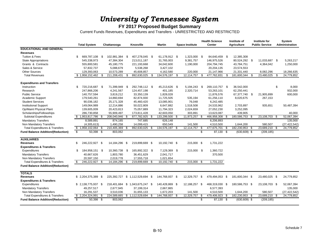#### **FY 2017 Proposed Budget Summary**

Current Funds Revenues, Expenditures and Transfers - UNRESTRICTED AND RESTRICTED

|                                           |                         |                      |      |                |      |                                 |      |                |     |                        |      | <b>Health Science</b> |      | Institute of       |      | Institute for         |      | System         |
|-------------------------------------------|-------------------------|----------------------|------|----------------|------|---------------------------------|------|----------------|-----|------------------------|------|-----------------------|------|--------------------|------|-----------------------|------|----------------|
|                                           |                         | <b>Total System</b>  |      | Chattanooga    |      | Knoxville                       |      | <b>Martin</b>  |     | <b>Space Institute</b> |      | <b>Center</b>         |      | <b>Agriculture</b> |      | <b>Public Service</b> |      | Administration |
| <b>EDUCATIONAL AND GENERAL</b>            |                         |                      |      |                |      |                                 |      |                |     |                        |      |                       |      |                    |      |                       |      |                |
| <b>Revenues</b>                           |                         |                      |      |                |      |                                 |      |                |     |                        |      |                       |      |                    |      |                       |      |                |
| Tuition & Fees                            | \$.                     | 669,787,108          | - \$ | 102,981,384 \$ |      | 407,278,045 \$                  |      | 61,178,912 \$  |     | 1,323,000 \$           |      | 84,640,459 \$         |      | 12,385,308         |      |                       |      |                |
| <b>State Appropriations</b>               |                         | 545,338,973          |      | 47,384,304     |      | 213,011,187                     |      | 31,765,003     |     | 9,381,757              |      | 146,975,526           |      | 80,524,292         | - \$ | 11,033,687 \$         |      | 5,263,217      |
| Grants & Contracts                        |                         | 555,800,581          |      | 45,180,775     |      | 221,193,668                     |      | 34,042,600     |     | 1,190,000              |      | 204,794,745           |      | 43,784,751         |      | 4,364,042             |      | 1,250,000      |
| Sales & Service                           |                         | 57,832,737           |      | 5,088,679      |      | 5,538,268                       |      | 3,427,102      |     |                        |      | 20,204,135            |      | 23,574,553         |      |                       |      |                |
| <b>Other Sources</b>                      |                         | 129,393,063          |      | 10,573,289     |      | 45,608,857                      |      | 4,162,580      |     | 220,000                |      | 21,147,966            |      | 21,331,440         |      | 8,082,296             |      | 18,266,635     |
| <b>Total Revenues</b>                     |                         | \$1,958,152,462      |      | 211,208,431    | -S   | 892,630,025                     | \$   | 134,576,197    | \$  | 12,114,757             | -\$  | 477,762,831           | \$   | 181,600,344        | \$.  | 23,480,025            | - \$ | 24,779,852     |
|                                           |                         |                      |      |                |      |                                 |      |                |     |                        |      |                       |      |                    |      |                       |      |                |
| <b>Expenditures and Transfers</b>         |                         |                      |      |                |      |                                 |      |                |     |                        |      |                       |      |                    |      |                       |      |                |
| Instruction                               | \$.                     | 720,216,687 \$       |      | 71,399,949     | - \$ | 292,748,112 \$                  |      | 45,213,626 \$  |     | 5,194,243 \$           |      | 269,110,757 \$        |      | 36.542.000         |      |                       | \$   | 8,000          |
| Research                                  |                         | 247,866,206          |      | 4,241,567      |      | 124,457,198                     |      | 401,185        |     | 2,320,714              |      | 53,263,101            |      | 62,250,441         |      |                       |      | 932,000        |
| <b>Public Service</b>                     |                         | 140,757,594          |      | 3,819,212      |      | 33,350,139                      |      | 1,828,028      |     |                        |      | 11,876,576            |      | 67,377,740         | - \$ | 21,905,899            |      | 600,000        |
| Academic Support                          |                         | 179,540,261          |      | 14,860,694     |      | 82,874,930                      |      | 11,725,505     |     | 535,194                |      | 61,256,110            |      | 8,020,675          |      | 267,153               |      |                |
| <b>Student Services</b>                   |                         | 90,036,182           |      | 25,171,328     |      | 45,460,420                      |      | 13,085,901     |     | 76,048                 |      | 6,242,485             |      |                    |      |                       |      |                |
| <b>Institutional Support</b>              |                         | 149,064,989          |      | 12,214,886     |      | 50,022,809                      |      | 6,647,882      |     | 1,518,508              |      | 24,533,962            |      | 2,703,897          |      | 935,651               |      | 50,487,394     |
| Op/Maint Physical Plant                   |                         | 139,605,009          |      | 20,423,813     |      | 75,057,889                      |      | 11,794,323     |     | 2,024,659              |      | 27,052,230            |      | 3,252,095          |      |                       |      |                |
| Scholarships/Fellowships                  |                         | 286,730,858          |      | 55,909,497     |      | 173,811,428                     |      | 42,603,050     |     | 303,891                |      | 13,623,087            |      | 439,905            |      |                       |      | 40,000         |
| <b>Subtotal Expenditures</b>              |                         | \$1,953,817,786      | - \$ | 208,040,946 \$ |      | 877,782,925 \$                  |      | 133,299,500    | -\$ | 11,973,257 \$          |      | 466,958,308           | - \$ | 180,586,753        | - \$ | 23,108,703 \$         |      | 52,067,394     |
| <b>Mandatory Transfers</b>                |                         | 8,589,891            |      | 874,165        |      | 747,685                         |      | 626,148        |     |                        |      | 6,206,893             |      |                    |      |                       |      | 135,000        |
| Non Mandatory Transfers                   |                         | (4,305,613)          |      | 1,490,258      |      | 14,099,415                      |      | 650,549        |     | 141,500                |      | 4,510,500             |      | 1,644,200          |      | 580,507               |      | (27, 422, 542) |
| <b>Total Expenditures &amp; Transfers</b> |                         | \$1,958,102,064      | £.   | 210,405,369    | -\$  | 892,630,025                     | -\$  | 134,576,197    | -\$ | 12,114,757             | -\$  | 477,675,701           | - \$ | 182,230,953        | \$   | 23,689,210            | -S   | 24,779,852     |
| <b>Fund Balance Addition/(Reduction)</b>  | s,                      | $50,398$ \$          |      | 803,062        |      |                                 |      |                |     |                        | \$   | 87,130 \$             |      | $(630, 609)$ \$    |      | (209, 185)            |      |                |
|                                           |                         |                      |      |                |      |                                 |      |                |     |                        |      |                       |      |                    |      |                       |      |                |
| <b>AUXILIARIES</b>                        |                         |                      |      |                |      |                                 |      |                |     |                        |      |                       |      |                    |      |                       |      |                |
| <b>Revenues</b>                           | \$                      | 246,222,927 \$       |      | 14,184,296 \$  |      | 219,899,669 \$                  |      | 10,192,740 \$  |     | 215,000 \$             |      | 1,731,222             |      |                    |      |                       |      |                |
| <b>Expenditures &amp; Transfers</b>       |                         |                      |      |                |      |                                 |      |                |     |                        |      |                       |      |                    |      |                       |      |                |
| Expenditures                              | \$                      | 184,958,151          | - \$ | 10,360,738 \$  |      | 165,892,322 \$                  |      | 7,129,369 \$   |     | 215,000 \$             |      | 1,360,722             |      |                    |      |                       |      |                |
| <b>Mandatory Transfers</b>                |                         | 40,667,626           |      | 1,803,780      |      | 36,451,629                      |      | 2,041,717      |     |                        |      | 370,500               |      |                    |      |                       |      |                |
| Non Mandatory Transfers                   |                         | 20,597,150           |      | 2,019,778      |      | 17,555,718                      |      | 1,021,654      |     |                        |      |                       |      |                    |      |                       |      |                |
| <b>Total Expenditures &amp; Transfers</b> | \$                      | 246,222,927          | \$.  | 14,184,296     | -S   | 219,899,669                     | - \$ | 10,192,740     | \$  | 215,000                | - \$ | 1,731,222             |      |                    |      |                       |      |                |
| <b>Fund Balance Addition/(Reduction)</b>  |                         |                      |      |                |      |                                 |      |                |     |                        |      |                       |      |                    |      |                       |      |                |
|                                           |                         |                      |      |                |      |                                 |      |                |     |                        |      |                       |      |                    |      |                       |      |                |
| <b>TOTALS</b>                             |                         |                      |      |                |      |                                 |      |                |     |                        |      |                       |      |                    |      |                       |      |                |
| <b>Revenues</b>                           |                         | $$2,204,375,389$ \\$ |      | 225,392,727    |      | \$1,112,529,694                 | - \$ | 144,768,937 \$ |     | 12,329,757 \$          |      | 479,494,053           | - \$ | 181,600,344 \$     |      | 23,480,025 \$         |      | 24,779,852     |
| <b>Expenditures &amp; Transfers</b>       |                         |                      |      |                |      |                                 |      |                |     |                        |      |                       |      |                    |      |                       |      |                |
| Expenditures                              |                         | $$2,138,775,937$ \\$ |      |                |      | 218,401,684 \$ 1,043,675,247 \$ |      | 140,428,869 \$ |     | 12,188,257 \$          |      | 468,319,030 \$        |      | 180,586,753 \$     |      | 23,108,703 \$         |      | 52,067,394     |
| <b>Mandatory Transfers</b>                |                         | 49,257,517           |      | 2,677,945      |      | 37,199,314                      |      | 2,667,865      |     |                        |      | 6,577,393             |      |                    |      |                       |      | 135,000        |
| Non Mandatory Transfers                   |                         | 16,291,537           |      | 3,510,036      |      | 31,655,133                      |      | 1,672,203      |     | 141,500                |      | 4,510,500             |      | 1,644,200          |      | 580,507               |      | (27, 422, 542) |
| <b>Total Expenditures &amp; Transfers</b> |                         | \$2,204,324,991      | \$   | 224,589,665    |      | \$1,112,529,694                 | \$   | 144,768,937    |     | 12,329,757             | -\$  | 479,406,923           | -\$  | 182,230,953        | - \$ | 23,689,210            | -\$  | 24,779,852     |
| <b>Fund Balance Addition/(Reduction)</b>  | $\overline{\mathbf{s}}$ | $50,398$ \$          |      | 803,062        |      |                                 |      |                |     |                        | \$   | 87,130 \$             |      | $(630, 609)$ \$    |      | (209, 185)            |      |                |
|                                           |                         |                      |      |                |      |                                 |      |                |     |                        |      |                       |      |                    |      |                       |      |                |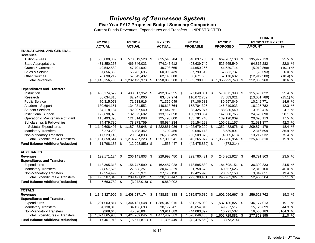#### **Five Year FY17 Proposed Budget Summary Comparison**

Current Funds Revenues, Expenditures and Transfers - UNRESTRICTED

|                                           |                          |                |      |                     |      |                  |      |                     |     |                  |    | <b>CHANGE</b>      |          |
|-------------------------------------------|--------------------------|----------------|------|---------------------|------|------------------|------|---------------------|-----|------------------|----|--------------------|----------|
|                                           |                          | FY 2013        |      | FY 2014             |      | FY 2015          |      | FY 2016             |     | FY 2017          |    | FY 2013 TO FY 2017 |          |
|                                           |                          | <b>ACTUAL</b>  |      | <b>ACTUAL</b>       |      | <b>ACTUAL</b>    |      | <b>PROBABLE</b>     |     | <b>PROPOSED</b>  |    | <b>AMOUNT</b>      | %        |
| <b>EDUCATIONAL AND GENERAL</b>            |                          |                |      |                     |      |                  |      |                     |     |                  |    |                    |          |
| <b>Revenues</b>                           |                          |                |      |                     |      |                  |      |                     |     |                  |    |                    |          |
| <b>Tuition &amp; Fees</b>                 | S                        | 533.809.389 \$ |      | 573,319,528 \$      |      | 615,545,784 \$   |      | 648,037,768 \$      |     | 669,787,108 \$   |    | 135,977,719        | 25.5 %   |
| <b>State Appropriations</b>               |                          | 431,850,267    |      | 466,846,023         |      | 474,247,612      |      | 498,639,749         |     | 526,665,549      |    | 94,815,282         | 22.0 %   |
| <b>Grants &amp; Contracts</b>             |                          | 49,542,582     |      | 47,701,692          |      | 46,798,665       |      | 44,650,266          |     | 44,529,714       |    | (5,012,868)        | (10.1) % |
| Sales & Service                           |                          | 57,856,330     |      | 56,782,696          |      | 60,095,439       |      | 57,790,642          |     | 57,832,737       |    | (23, 593)          | 0.0%     |
| <b>Other Sources</b>                      |                          | 70,098,212     |      | 57,843,432          |      | 62,148,888       |      | 56,671,683          |     | 57,178,632       |    | (12, 919, 580)     | (18.4) % |
| <b>Total Revenues</b>                     | \$                       | 1,143,156,780  | \$   | 1,202,493,370       | \$   | 1,258,836,388    |      | 1,305,790,108       | \$  | 1,355,993,740    | \$ | 212,836,960        | 18.6 %   |
| <b>Expenditures and Transfers</b>         |                          |                |      |                     |      |                  |      |                     |     |                  |    |                    |          |
| Instruction                               | \$                       | 455,174,572 \$ |      | 483,317,352 \$      |      | 492,352,355 \$   |      | 577,040,051 \$      |     | 570,871,393 \$   |    | 115,696,822        | 25.4 %   |
| Research                                  |                          | 86,634,810     |      | 82,247,060          |      | 83,487,974       |      | 110,072,752         |     | 73,583,021       |    | (13,051,789)       | (15.1) % |
| <b>Public Service</b>                     |                          | 70,315,078     |      | 71,218,916          |      | 71,365,049       |      | 87,106,681          |     | 80,557,849       |    | 10,242,771         | 14.6 %   |
| Academic Support                          |                          | 130,694,151    |      | 134,931,552         |      | 140,613,764      |      | 158,704,326         |     | 146,819,933      |    | 16,125,782         | 12.3 %   |
| <b>Student Services</b>                   |                          | 84,118,134     |      | 82,207,540          |      | 87,447,751       |      | 88,425,977          |     | 88,080,549       |    | 3,962,415          | 4.7 %    |
| <b>Institutional Support</b>              |                          | 122,698,075    |      | 132,823,682         |      | 133,117,858      |      | 150,393,384         |     | 147,368,765      |    | 24,670,690         | 20.1 %   |
| Operation & Maintenance of Plant          |                          | 118,493,896    |      | 121,814,088         |      | 125,493,000      |      | 135,781,740         |     | 139,190,009      |    | 20,696,113         | 17.5 %   |
| Scholarships & Fellowships                |                          | 74,479,780     |      | 78,873,759          |      | 88,984,234       |      | 95,154,298          |     | 106,011,157      |    | 31,531,377         | 42.3 %   |
| <b>Subtotal Expenditures</b>              | \$                       | 1,142,608,497  | \$   | 1,187,433,948       | \$   | 1,222,861,986    |      | 1,402,679,209       | \$. | 1,352,482,676    | \$ | 209,874,179        | 18.4 %   |
| <b>Mandatory Transfers</b>                |                          | 6,273,292      |      | 6,498,442           |      | 7,702,456        |      | 9,096,143           |     | 8,589,891        |    | 2,316,599          | 36.9 %   |
| Non-Mandatory Transfers                   |                          | (17, 523, 145) |      | 20,854,833          |      | 26,736,499       |      | (63, 509, 375)      |     | (4,305,613)      |    | 13,217,532         | 75.4 %   |
| <b>Total Expenditures &amp; Transfers</b> | \$                       | 1,131,358,644  | \$   | 1,214,787,223       | -\$  | 1,257,300,941    | ß.   | 1,348,265,977       | \$  | 1,356,766,954    | -S | 225,408,310        | 19.9 %   |
| <b>Fund Balance Addition/(Reduction)</b>  | \$                       | 11,798,136     | -\$  | $(12, 293, 853)$ \$ |      | $1,535,447$ \$   |      | $(42, 475, 869)$ \$ |     | (773, 214)       |    |                    |          |
| <b>AUXILIARIES</b>                        |                          |                |      |                     |      |                  |      |                     |     |                  |    |                    |          |
| <b>Revenues</b>                           | \$                       | 199,171,124    | - \$ | 206,143,803         | - \$ | 229,998,450      | - \$ | 229,780,481 \$      |     | 245,962,927 \$   |    | 46,791,803         | 23.5 %   |
| <b>Expenditures and Transfers</b>         |                          |                |      |                     |      |                  |      |                     |     |                  |    |                    |          |
| Expenditures                              | \$                       | 148,395,318 \$ |      | 156,747,599 \$      |      | 162,487,928 \$   |      | 178,595,830 \$      |     | 184,698,151 \$   |    | 36,302,833         | 24.5 %   |
| <b>Mandatory Transfers</b>                |                          | 27,857,526     |      | 27,638,251          |      | 30,475,329       |      | 31,758,673          |     | 40,667,626       |    | 12,810,100         | 46.0 %   |
| Non-Mandatory Transfers                   |                          | 17,254,499     |      | 25,035,971          |      | 27,175,190       |      | 19,425,978          |     | 20,597,150       |    | 3,342,651          | 19.4 %   |
| <b>Total Expenditures &amp; Transfers</b> | $\overline{\mathbf{e}}$  | 193,507,343    | -\$  | 209,421,821         | -\$  | 220, 138, 447    | \$   | 229,780,481         | \$  | 245,962,927      | \$ | 52,455,584         | 27.1 %   |
| <b>Fund Balance Addition/(Reduction)</b>  | $\overline{\mathcal{E}}$ | $5,663,782$ \$ |      | $(3,278,018)$ \$    |      | 9,860,002        |      |                     |     |                  |    |                    |          |
| <b>TOTALS</b>                             |                          |                |      |                     |      |                  |      |                     |     |                  |    |                    |          |
| <b>Revenues</b>                           | \$                       | 1,342,327,905  | \$   | 1,408,637,174       | \$   | 1,488,834,838    | \$   | 1,535,570,589       | \$  | 1,601,956,667 \$ |    | 259,628,762        | 19.3 %   |
| <b>Expenditures and Transfers</b>         |                          |                |      |                     |      |                  |      |                     |     |                  |    |                    |          |
| Expenditures                              | S                        | 1,291,003,814  | - S  | 1,344,181,548       | - \$ | 1,385,349,915 \$ |      | 1,581,275,039       | -S  | 1,537,180,827 \$ |    | 246, 177, 013      | 19.1%    |
| <b>Mandatory Transfers</b>                |                          | 34,130,818     |      | 34,136,693          |      | 38,177,785       |      | 40,854,816          |     | 49,257,517       |    | 15,126,699         | 44.3 %   |
| Non-Mandatory Transfers                   |                          | (268, 646)     |      | 45,890,804          |      | 53,911,689       |      | (44,083,397)        |     | 16,291,537       |    | 16,560,183         | 6164.3 % |
| <b>Total Expenditures &amp; Transfers</b> | \$.                      | 1,324,865,986  | \$   | 1,424,209,045       | \$   | 1,477,439,389    | \$   | 1,578,046,458       | S   | 1,602,729,881    | \$ | 277,863,895        | 21.0 %   |
| <b>Fund Balance Addition/(Reduction)</b>  | \$                       | 17,461,918     | \$   | $(15,571,871)$ \$   |      | 11,395,449       | \$   | $(42, 475, 869)$ \$ |     | (773, 214)       |    |                    |          |
|                                           |                          |                |      |                     |      |                  |      |                     |     |                  |    |                    |          |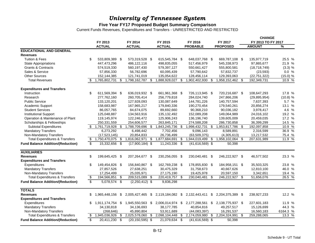#### **Five Year FY17 Proposed Budget Summary Comparison**

Current Funds Revenues, Expenditures and Transfers - UNRESTRICTED AND RESTRICTED

|                                           |                          |                     |      |                     |     |                  |     |                     |     |                  |      | <b>CHANGE</b>      |          |
|-------------------------------------------|--------------------------|---------------------|------|---------------------|-----|------------------|-----|---------------------|-----|------------------|------|--------------------|----------|
|                                           |                          | FY 2013             |      | FY 2014             |     | FY 2015          |     | FY 2016             |     | FY 2017          |      | FY 2013 TO FY 2017 |          |
|                                           |                          | <b>ACTUAL</b>       |      | <b>ACTUAL</b>       |     | <b>ACTUAL</b>    |     | <b>PROBABLE</b>     |     | <b>PROPOSED</b>  |      | <b>AMOUNT</b>      | %        |
| <b>EDUCATIONAL AND GENERAL</b>            |                          |                     |      |                     |     |                  |     |                     |     |                  |      |                    |          |
| <b>Revenues</b>                           |                          |                     |      |                     |     |                  |     |                     |     |                  |      |                    |          |
| <b>Tuition &amp; Fees</b>                 | \$                       | 533,809,389 \$      |      | 573,319,528 \$      |     | 615,545,784 \$   |     | 648,037,768 \$      |     | 669,787,108 \$   |      | 135,977,719        | 25.5 %   |
| <b>State Appropriations</b>               |                          | 447,473,296         |      | 486,122,116         |     | 498,835,055      |     | 517,456,979         |     | 545,338,973      |      | 97,865,677         | 21.9 %   |
| <b>Grants &amp; Contracts</b>             |                          | 574,519,330         |      | 560,197,430         |     | 579,397,127      |     | 550,661,427         |     | 555,800,581      |      | (18, 718, 749)     | (3.3) %  |
| Sales & Service                           |                          | 57,856,330          |      | 56,782,696          |     | 60,095,439       |     | 57,790,642          |     | 57,832,737       |      | (23, 593)          | 0.0 %    |
| <b>Other Sources</b>                      |                          | 152,144,385         |      | 121,741,019         |     | 135,054,622      |     | 128,456,114         |     | 129,393,063      |      | (22, 751, 322)     | (15.0) % |
| <b>Total Revenues</b>                     | \$                       | 1,765,802,731       | \$   | 1,798,162,787       | -\$ | 1,888,928,027    | \$  | 1,902,402,930       | \$  | 1,958,152,462    | -\$  | 192,349,731        | 10.9 %   |
| <b>Expenditures and Transfers</b>         |                          |                     |      |                     |     |                  |     |                     |     |                  |      |                    |          |
| Instruction                               | \$                       | 611,569,394 \$      |      | 636,019,932 \$      |     | 661,961,368 \$   |     | 726,113,945 \$      |     | 720,216,687 \$   |      | 108,647,293        | 17.8 %   |
| Research                                  |                          | 277,762,160         |      | 260,705,414         |     | 256,779,818      |     | 284,024,740         |     | 247,866,206      |      | (29, 895, 954)     | (10.8) % |
| <b>Public Service</b>                     |                          | 133,120,201         |      | 127,928,093         |     | 130,087,649      |     | 144,781,226         |     | 140,757,594      |      | 7,637,393          | 5.7 %    |
| Academic Support                          |                          | 158,683,987         |      | 167,965,217         |     | 179,840,336      |     | 190,270,454         |     | 179,540,261      |      | 20,856,274         | 13.1 %   |
| <b>Student Services</b>                   |                          | 86,057,765          |      | 84,674,075          |     | 89,692,660       |     | 90,368,210          |     | 90,036,182       |      | 3,978,417          | 4.6 %    |
| <b>Institutional Support</b>              |                          | 125,048,887         |      | 134,563,916         |     | 135, 132, 492    |     | 152,089,208         |     | 149,064,989      |      | 24,016,102         | 19.2 %   |
| Operation & Maintenance of Plant          |                          | 119,145,974         |      | 122,246,472         |     | 125,906,243      |     | 136,196,740         |     | 139,605,009      |      | 20,459,035         | 17.2 %   |
| Scholarships & Fellowships                |                          | 250,331,559         |      | 254,606,577         |     | 263,845,171      |     | 274,588,208         |     | 286,730,858      |      | 36,399,299         | 14.5 %   |
| <b>Subtotal Expenditures</b>              |                          | $$1,761,719,928$ \$ |      | 1,788,709,696 \$    |     | 1,843,245,736    | \$. | 1,998,432,731       | \$. | 1,953,817,786    | - \$ | 192,097,858        | 10.9 %   |
| <b>Mandatory Transfers</b>                |                          | 6,273,292           |      | 6,498,442           |     | 7,702,456        |     | 9,096,143           |     | 8,589,891        |      | 2,316,599          | 36.9 %   |
| Non-Mandatory Transfers                   |                          | (17,523,145)        |      | 20,854,833          |     | 26,736,499       |     | (63, 509, 375)      |     | (4,305,613)      |      | 13,217,532         | 75.4 %   |
| <b>Total Expenditures &amp; Transfers</b> | \$                       | 1,750,470,075       | \$   | 1,816,062,971 \$    |     | 1,877,684,691    | \$. | 1,944,019,499       | S   | 1,958,102,064    | -\$  | 207,631,989        | 11.9 %   |
| <b>Fund Balance Addition/(Reduction)</b>  | \$                       | 15,332,656          | \$   | $(17,900,184)$ \$   |     | 11,243,336 \$    |     | $(41,616,569)$ \$   |     | 50,398           |      |                    |          |
|                                           |                          |                     |      |                     |     |                  |     |                     |     |                  |      |                    |          |
| <b>AUXILIARIES</b>                        |                          |                     |      |                     |     |                  |     |                     |     |                  |      |                    |          |
| <b>Revenues</b>                           | \$                       | 199,645,425         | - \$ | 207,264,677 \$      |     | 230,256,055 \$   |     | 230,040,481 \$      |     | 246,222,927 \$   |      | 46,577,502         | 23.3 %   |
| <b>Expenditures and Transfers</b>         |                          |                     |      |                     |     |                  |     |                     |     |                  |      |                    |          |
| Expenditures                              | \$                       | 149,454,826 \$      |      | 156,840,867 \$      |     | 162,769,238 \$   |     | 178,855,830 \$      |     | 184,958,151 \$   |      | 35,503,325         | 23.8 %   |
| <b>Mandatory Transfers</b>                |                          | 27,857,526          |      | 27,638,251          |     | 30,475,329       |     | 31,758,673          |     | 40,667,626       |      | 12,810,100         | 46.0 %   |
| Non-Mandatory Transfers                   |                          | 17,254,499          |      | 25,035,971          |     | 27,175,190       |     | 19,425,978          |     | 20,597,150       |      | 3,342,651          | 19.4 %   |
| <b>Total Expenditures &amp; Transfers</b> | \$                       | 194,566,851         | \$   | 209,515,089 \$      |     | 220,419,757      | -\$ | 230,040,481         | \$  | 246.222.927      | -\$  | 51,656,076         | 26.5 %   |
| <b>Fund Balance Addition/(Reduction)</b>  | $\overline{\mathcal{E}}$ | $5,078,574$ \$      |      | $(2,250,412)$ \$    |     | 9,836,298        |     |                     |     |                  |      |                    |          |
| <b>TOTALS</b>                             |                          |                     |      |                     |     |                  |     |                     |     |                  |      |                    |          |
| <b>Revenues</b>                           | \$                       | 1,965,448,156       | \$   | 2,005,427,465       | \$  | 2,119,184,082 \$ |     | 2,132,443,411       | \$  | 2,204,375,389 \$ |      | 238,927,233        | 12.2 %   |
| <b>Expenditures and Transfers</b>         |                          |                     |      |                     |     |                  |     |                     |     |                  |      |                    |          |
| <b>Expenditures</b>                       | \$                       | 1,911,174,754 \$    |      | 1,945,550,563 \$    |     | 2,006,014,974 \$ |     | 2,177,288,561       | \$  | 2,138,775,937 \$ |      | 227,601,183        | 11.9 %   |
| <b>Mandatory Transfers</b>                |                          | 34,130,818          |      | 34,136,693          |     | 38,177,785       |     | 40,854,816          |     | 49,257,517       |      | 15,126,699         | 44.3 %   |
| Non-Mandatory Transfers                   |                          | (268, 646)          |      | 45,890,804          |     | 53,911,689       |     | (44, 083, 397)      |     | 16,291,537       |      | 16,560,183         | 6164.3 % |
| <b>Total Expenditures &amp; Transfers</b> | \$                       | 1,945,036,926       | \$   | 2,025,578,060       | \$  | 2,098,104,448    | \$  | 2,174,059,980       | \$  | 2,204,324,991    | \$   | 259,288,065        | 13.3 %   |
| <b>Fund Balance Addition/(Reduction)</b>  | $\overline{\mathbb{S}}$  | 20,411,230          | -\$  | $(20, 150, 595)$ \$ |     | 21,079,634       | -\$ | $(41, 616, 569)$ \$ |     | 50,398           |      |                    |          |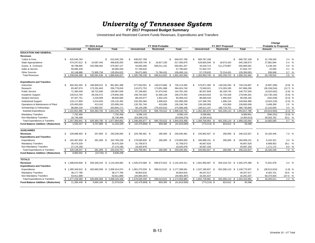**FY 2017 Proposed Budget Summary**

Unrestricted and Restricted Current Funds Revenues, Expenditures and Transfers

|                                            |                            |                     |                                   |                                  |                   |                              |                         |                              |               |          | Change                      |            |
|--------------------------------------------|----------------------------|---------------------|-----------------------------------|----------------------------------|-------------------|------------------------------|-------------------------|------------------------------|---------------|----------|-----------------------------|------------|
|                                            |                            | FY 2015 Actual      |                                   |                                  | FY 2016 Probable  |                              |                         | FY 2017 Proposed             |               |          | <b>Probable to Proposed</b> |            |
|                                            | <b>Unrestricted</b>        | Restricted          | Total                             | <b>Unrestricted</b>              | <b>Restricted</b> | Total                        | <b>Unrestricted</b>     | <b>Restricted</b>            | Total         |          | Amount                      | %          |
| <b>EDUCATION AND GENERAL</b>               |                            |                     |                                   |                                  |                   |                              |                         |                              |               |          |                             |            |
| <b>Revenues</b>                            |                            |                     |                                   |                                  |                   |                              |                         |                              |               |          |                             |            |
| Tuition & Fees                             | 615,545,784<br>-S          |                     | \$<br>615,545,784                 | 648,037,768<br>-S                |                   | \$.<br>648,037,768           | \$<br>669,787,108       | \$                           | 669,787,108   | S.       | 21,749,340                  | 3.4%       |
| <b>State Appropriations</b>                | 474.247.612 \$             | 24,587,443          | 498,835,055                       | 498,639,749 \$                   | 18.817.230        | 517,456,979                  | 526,665,549 \$          | 18,673,424                   | 545,338,973   |          | 27,881,994                  | 5.4 %      |
| Grants & Contracts                         | 46,798,665                 | 532,598,462         | 579,397,127                       | 44,650,266                       | 506,011,161       | 550,661,427                  | 44,529,714              | 511,270,867                  | 555,800,581   |          | 5,139,154                   | 0.9 %      |
| Sales & Service                            | 60,095,439                 |                     | 60,095,439                        | 57,790,642                       |                   | 57,790,642                   | 57,832,737              |                              | 57,832,737    |          | 42,095                      | 0.1 %      |
| <b>Other Sources</b>                       | 62.148.888                 | 72.905.734          | 135,054,622                       | 56.671.683                       | 71.784.431        | 128,456,114                  | 57.178.632              | 72.214.431                   | 129,393,063   |          | 936.949                     | 0.7 %      |
| <b>Total Revenues</b>                      | \$.<br>1,258,836,388       |                     | 630,091,639 \$ 1,888,928,027      | $$1,305,790,108$ \$              | 596,612,822 \$    | 1,902,402,930                | \$1,355,993,740<br>- \$ | 602,158,722 \$               | 1,958,152,462 | \$       | 55,749,532                  | 2.9 %      |
| <b>Expenditures and Transfers</b>          |                            |                     |                                   |                                  |                   |                              |                         |                              |               |          |                             |            |
| Instruction                                | 492,352,355 \$<br>-S       | 169,609,012 \$      | 661,961,368                       | 577,040,051 \$                   | 149,073,894 \$    | 726,113,945                  | S.<br>570,871,393 \$    | 149,345,294 \$               | 720,216,687   | S.       | (5,897,258)                 | $(0.8)$ %  |
| Research                                   | 83,487,974                 | 173,291,843         | 256.779.818                       | 110,072,752                      | 173,951,988       | 284,024,740                  | 73,583,021              | 174,283,185                  | 247,866,206   |          | (36, 158, 534)              | $(12.7)$ % |
| <b>Public Service</b>                      | 71,365,049                 | 58,722,600          | 130,087,649                       | 87,106,681                       | 57.674.545        | 144,781,226                  | 80.557.849              | 60,199,745                   | 140,757,594   |          | (4,023,632)                 | $(2.8)$ %  |
| Academic Support                           | 140,613,764                | 39,226,572          | 179,840,336                       | 158,704,326                      | 31,566,128        | 190,270,454                  | 146,819,933             | 32,720,328                   | 179,540,261   |          | (10, 730, 193)              | $(5.6)$ %  |
| <b>Student Services</b>                    | 87,447,751                 | 2,244,909           | 89,692,660                        | 88,425,977                       | 1,942,233         | 90,368,210                   | 88,080,549              | 1,955,633                    | 90,036,182    |          | (332, 028)                  | $(0.4)$ %  |
| <b>Institutional Support</b>               | 133,117,858                | 2,014,635           | 135, 132, 492                     | 150,393,384                      | 1,695,824         | 152,089,208                  | 147,368,765             | 1,696,224                    | 149,064,989   |          | (3,024,219)                 | $(2.0)$ %  |
| Operations & Maintenance of Plant          | 125,493,000                | 413,242             | 125,906,243                       | 135,781,740                      | 415,000           | 136, 196, 740                | 139,190,009             | 415,000                      | 139,605,009   |          | 3,408,269                   | 2.5 %      |
| Scholarships & Fellowships                 | 88,984,234                 | 174,860,937         | 263,845,171                       | 95,154,298                       | 179,433,910       | 274,588,208                  | 106,011,157             | 180,719,701                  | 286,730,858   |          | 12,142,650                  | 4.4 %      |
| <b>Subtotal Expenditures</b>               | \$1,222,861,986            |                     | 620, 383, 750 \$ 1, 843, 245, 736 | \$1,402,679,209<br>$\mathcal{L}$ | 595,753,522 \$    | 1,998,432,731                | $$1,352,482,676$ \$     | 601,335,110 \$ 1,953,817,786 |               | S.       | (44, 614, 945)              | $(2.2)$ %  |
| <b>Mandatory Transfers</b>                 | 7,702,456                  |                     | 7,702,456                         | 9,096,143                        |                   | 9,096,143                    | 8,589,891               |                              | 8,589,891     |          | (506, 252)                  | $(5.6)$ %  |
| Non-Mandatory Transfers                    | 26,736,499                 |                     | 26,736,499                        | (63, 509, 375)                   |                   | (63, 509, 375)               | (4,305,613)             |                              | (4,305,613)   |          | 59,203,762                  | 93.2 %     |
| <b>Total Expenditures &amp; Transfers</b>  | $$1,257,300,941$ \$        |                     | 620,383,750 \$ 1,877,684,691      | $$1,348,265,977$ \\$             | 595,753,522 \$    | 1,944,019,499                | $$1,356,766,954$ \$     | 601,335,110 \$ 1,958,102,064 |               | <b>S</b> | 14,082,565                  | 0.7 %      |
| <b>Fund Balance Addition / (Reduction)</b> | 1,535,447 \$<br>-S         | 9,707,889 \$        | 11,243,336                        | S.<br>$(42, 475, 869)$ \$        | 859.300           | (41,616,569)<br>- \$         | $(773, 214)$ \$<br>- \$ | 823,612 \$                   | 50,398        |          |                             |            |
| <b>AUXILIARIES</b>                         |                            |                     |                                   |                                  |                   |                              |                         |                              |               |          |                             |            |
| Revenues                                   | 229,998,450 \$<br><b>S</b> | 257,605<br>- \$     | 230,256,055                       | 229,780,481 \$<br>\$             | 260,000           | 230,040,481<br>\$            | 245,962,927 \$<br>\$    | 260,000<br>-S                | 246,222,927   | \$.      | 16,182,446                  | 7.0 %      |
| <b>Expenditures and Transfers</b>          |                            |                     |                                   |                                  |                   |                              |                         |                              |               |          |                             |            |
| Expenditures                               | 162,487,928 \$<br>-S       | 281,309 \$          | 162,769,238                       | \$.<br>178,595,830 \$            | 260,000 \$        | 178,855,830                  | S.<br>184,698,151 \$    | 260,000 \$                   | 184,958,151   | S.       | 6,102,321                   | 3.4%       |
| <b>Mandatory Transfers</b>                 | 30,475,329                 |                     | 30,475,329                        | 31,758,673                       |                   | 31,758,673                   | 40,667,626              |                              | 40,667,626    |          | 8,908,953                   | 28.1 %     |
| Non-Mandatory Transfers                    | 27.175.190                 |                     | 27,175,190                        | 19,425,978                       |                   | 19,425,978                   | 20.597.150              |                              | 20,597,150    |          | 1,171,172                   | 6.0 %      |
| <b>Total Expenditures &amp; Transfers</b>  | 220,138,447 \$<br>S.       | 281,309 \$          | 220,419,757                       | S.<br>229,780,481 \$             | 260,000 \$        | 230,040,481                  | S.<br>245,962,927 \$    | 260,000 \$                   | 246,222,927   | S.       | 16,182,446                  | 7.0 %      |
| <b>Fund Balance Addition / (Reduction)</b> | \$<br>9,860,002 \$         | $(23,704)$ \$       | 9,836,298                         |                                  |                   |                              |                         |                              |               |          |                             |            |
| <b>TOTALS</b>                              |                            |                     |                                   |                                  |                   |                              |                         |                              |               |          |                             |            |
| <b>Revenues</b>                            | \$1.488.834.838            | 630.349.244<br>- \$ | \$ 2.119.184.082                  | \$1,535,570,589 \$               | 596.872.822 \$    | 2,132,443,411                | \$1,601,956,667<br>- \$ | 602,418,722 \$               | 2.204.375.389 | S.       | 71,931,978                  | 3.4%       |
| <b>Expenditures and Transfers</b>          |                            |                     |                                   |                                  |                   |                              |                         |                              |               |          |                             |            |
| Expenditures                               | \$1,385,349,915            | - \$                | 620.665.059 \$ 2.006.014.974      | \$1,581,275,039<br>- \$          |                   | 596.013.522 \$ 2.177.288.561 | \$1,537,180,827<br>- \$ | 601.595.110 \$ 2.138.775.937 |               | \$       | (38, 512, 624)              | $(1.8)$ %  |
| <b>Mandatory Transfers</b>                 | 38,177,785                 |                     | 38,177,785                        | 40,854,816                       |                   | 40,854,816                   | 49,257,517              |                              | 49,257,517    |          | 8,402,701                   | 20.6 %     |
| Non-Mandatory Transfers                    | 53,911,689                 |                     | 53,911,689                        | (44,083,397)                     |                   | (44,083,397)                 | 16,291,537              |                              | 16,291,537    |          | 60,374,934                  | 137.0 %    |
| <b>Total Expenditures &amp; Transfers</b>  | \$1,477,439,389            |                     | 620,665,059 \$2,098,104,448       | $$1,578,046,458$ \$              |                   | 596,013,522 \$ 2,174,059,980 | \$1,602,729,881<br>- \$ | 601,595,110 \$ 2,204,324,991 |               | \$       | 30,265,011                  | 1.4%       |
| <b>Fund Balance Addition / (Reduction)</b> | S.<br>11,395,449 \$        | 9,684,184 \$        | 21,079,634                        | s.<br>$(42, 475, 869)$ \$        | 859,300           | - \$<br>(41,616,569)         | \$<br>$(773, 214)$ \$   | 823,612 \$                   | 50,398        |          |                             |            |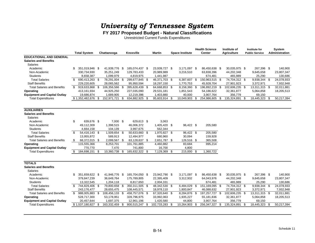**FY 2017 Proposed Budget - Natural Classifications**

Unrestricted Current Funds Expenditures

|                                     |     |                     |      |                |      |                |               |      |                        | <b>Health Science</b> |      | Institute of       |      | <b>Institute for</b>  | <b>System</b>         |
|-------------------------------------|-----|---------------------|------|----------------|------|----------------|---------------|------|------------------------|-----------------------|------|--------------------|------|-----------------------|-----------------------|
|                                     |     | <b>Total System</b> |      | Chattanooga    |      | Knoxville      | <b>Martin</b> |      | <b>Space Institute</b> | Center                |      | <b>Agriculture</b> |      | <b>Public Service</b> | <b>Administration</b> |
| <b>EDUCATIONAL AND GENERAL</b>      |     |                     |      |                |      |                |               |      |                        |                       |      |                    |      |                       |                       |
| <b>Salaries and Benefits</b>        |     |                     |      |                |      |                |               |      |                        |                       |      |                    |      |                       |                       |
| Salaries                            |     |                     |      |                |      |                |               |      |                        |                       |      |                    |      |                       |                       |
| Academic                            | \$  | 351.019.946 \$      |      | 41,939,776 \$  |      | 165,074,437 \$ | 23,939,727 \$ |      | 3,171,097 \$           | 86.450.638 \$         |      | 30,035,975 \$      |      | 267,396 \$            | 140,900               |
| Non-Academic                        |     | 330,734,930         |      | 35,251,249     |      | 129,783,433    | 20,989,989    |      | 3,216,510              | 63,838,396            |      | 44,202,348         |      | 9,645,658             | 23,807,347            |
| <b>Students</b>                     |     | 8,658,387           |      | 1,099,979      |      | 4,819,975      | 1,441,987     |      |                        | 674,481               |      | 465,989            |      | 25,290                | 130,686               |
| <b>Total Salaries</b>               | \$  | 690,413,263 \$      |      | 78,291,004 \$  |      | 299,677,845 \$ | 46,371,703 \$ |      | 6,387,607 \$           | 150,963,515 \$        |      | 74,704,312 \$      |      | 9,938,344 \$          | 24,078,933            |
| <b>Staff Benefits</b>               |     | 229,220,605         |      | 28,065,562     |      | 95,950,594     | 18,297,150    |      | 1,770,753              | 45,928,704            |      | 27,901,923         |      | 3,372,971             | 7,932,948             |
| <b>Total Salaries and Benefits</b>  | \$  | 919,633,868         | \$   | 106,356,566 \$ |      | 395,628,439 \$ | 64,668,853 \$ |      | 8,158,360 \$           | 196,892,219           | - \$ | 102,606,235 \$     |      | 13,311,315 \$         | 32,011,881            |
| Operating                           |     | 413,161,934         |      | 44,925,250     |      | 227,035,090    | 29,531,181    |      | 1,851,543              | 54,186,622            |      | 32,361,877         |      | 5,064,858             | 18,205,513            |
| <b>Equipment and Capital Outlay</b> |     | 19,686,874          |      | 1,689,905      |      | 12,219,396     | 1,403,880     |      | 40,000                 | 3,907,764             |      | 356,779            |      | 69,150                |                       |
| <b>Total Expenditures</b>           |     | \$1,352,482,676     | \$   | 152,971,721    | \$   | 634,882,925 \$ | 95,603,914 \$ |      | 10,049,903             | \$<br>254,986,605     | \$   | 135,324,891        | - \$ | 18,445,323 \$         | 50,217,394            |
|                                     |     |                     |      |                |      |                |               |      |                        |                       |      |                    |      |                       |                       |
|                                     |     |                     |      |                |      |                |               |      |                        |                       |      |                    |      |                       |                       |
| <b>AUXILIARIES</b>                  |     |                     |      |                |      |                |               |      |                        |                       |      |                    |      |                       |                       |
| <b>Salaries and Benefits</b>        |     |                     |      |                |      |                |               |      |                        |                       |      |                    |      |                       |                       |
| <b>Salaries</b>                     |     |                     |      |                |      |                |               |      |                        |                       |      |                    |      |                       |                       |
| Academic                            | \$  | 639,676 \$          |      | $7,000$ \$     |      | 629,613 \$     | 3,063         |      |                        |                       |      |                    |      |                       |                       |
| Non-Academic                        |     | 49,112,309          |      | 1,398,515      |      | 46,006,372     | 1,405,420 \$  |      | 96,422 \$              | 205,580               |      |                    |      |                       |                       |
| <b>Students</b>                     |     | 4,664,158           |      | 104,139        |      | 3,997,675      | 562,344       |      |                        |                       |      |                    |      |                       |                       |
| <b>Total Salaries</b>               | \$  | 54,416,143 \$       |      | 1,509,654 \$   |      | 50,633,660 \$  | 1,970,827 \$  |      | 96,422 \$              | 205,580               |      |                    |      |                       |                       |
| <b>Staff Benefits</b>               |     | 13,955,872          |      | 589,913        |      | 12,494,977     | 680,960       |      | 30,094                 | 159,928               |      |                    |      |                       |                       |
| <b>Total Salaries and Benefits</b>  | \$  | 68,372,015 \$       |      | 2,099,567 \$   |      | 63,128,637 \$  | 2,651,787 \$  |      | 126,516 \$             | 365,508               |      |                    |      |                       |                       |
| Operating                           |     | 115,555,366         |      | 8,253,701      |      | 101,761,885    | 4,460,882     |      | 83,684                 | 995,214               |      |                    |      |                       |                       |
| <b>Equipment and Capital Outlay</b> |     | 770,770             |      | 7,470          |      | 741,800        | 16,700        |      | 4,800                  |                       |      |                    |      |                       |                       |
| <b>Total Expenditures</b>           | \$  | 184,698,151 \$      |      | 10,360,738     | -\$  | 165,632,322 \$ | 7,129,369 \$  |      | 215,000 \$             | 1,360,722             |      |                    |      |                       |                       |
|                                     |     |                     |      |                |      |                |               |      |                        |                       |      |                    |      |                       |                       |
| <b>TOTALS</b>                       |     |                     |      |                |      |                |               |      |                        |                       |      |                    |      |                       |                       |
| <b>Salaries and Benefits</b>        |     |                     |      |                |      |                |               |      |                        |                       |      |                    |      |                       |                       |
|                                     |     |                     |      |                |      |                |               |      |                        |                       |      |                    |      |                       |                       |
| <b>Salaries</b><br>Academic         | \$. | 351,659,622 \$      |      | 41,946,776 \$  |      | 165,704,050 \$ | 23,942,790 \$ |      |                        | 86,450,638 \$         |      | 30,035,975 \$      |      | 267,396 \$            | 140,900               |
| Non-Academic                        |     | 379,847,239         |      | 36,649,764     |      | 175,789,805    | 22,395,409    |      | 3,171,097 \$           | 64,043,976            |      | 44,202,348         |      | 9,645,658             | 23,807,347            |
|                                     |     |                     |      |                |      |                |               |      | 3,312,932              |                       |      |                    |      |                       |                       |
| <b>Students</b>                     | \$  | 13,322,545          |      | 1,204,118      |      | 8,817,650      | 2,004,331     |      |                        | 674,481               |      | 465,989            |      | 25,290                | 130,686               |
| <b>Total Salaries</b>               |     | 744,829,406         | - \$ | 79,800,658 \$  |      | 350,311,505 \$ | 48,342,530 \$ |      | 6,484,029              | \$<br>151,169,095     | - \$ | 74,704,312 \$      |      | 9,938,344 \$          | 24,078,933            |
| <b>Staff Benefits</b>               |     | 243,176,477         |      | 28,655,475     |      | 108,445,571    | 18,978,110    |      | 1,800,847              | 46,088,632            |      | 27,901,923         |      | 3,372,971             | 7,932,948             |
| <b>Total Salaries and Benefits</b>  | \$  | 988,005,883         | \$   | 108,456,133 \$ |      | 458,757,076 \$ | 67,320,640 \$ |      | 8,284,876 \$           | 197,257,727 \$        |      | 102,606,235 \$     |      | 13,311,315 \$         | 32,011,881            |
| Operating                           |     | 528,717,300         |      | 53,178,951     |      | 328,796,975    | 33,992,063    |      | 1,935,227              | 55,181,836            |      | 32,361,877         |      | 5,064,858             | 18,205,513            |
| <b>Equipment and Capital Outlay</b> |     | 20,457,644          |      | 1,697,375      |      | 12,961,196     | 1,420,580     |      | 44,800                 | 3,907,764             |      | 356,779            |      | 69,150                |                       |
| <b>Total Expenditures</b>           |     | \$1,537,180,827     | S    | 163,332,459    | - \$ | 800,515,247 \$ | 102,733,283   | - \$ | 10,264,903             | \$<br>256, 347, 327   | -\$  | 135,324,891        |      | 18,445,323 \$         | 50,217,394            |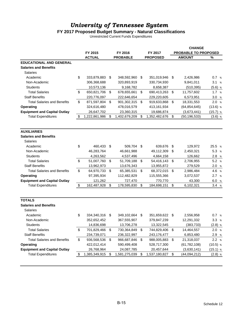#### **FY 2017 Proposed Budget Summary - Natural Classifications**

Unrestricted Current Funds Expenditures

|                                     |                     |                      |                     |                           | <b>CHANGE</b>               |            |
|-------------------------------------|---------------------|----------------------|---------------------|---------------------------|-----------------------------|------------|
|                                     | FY 2015             | FY 2016              | FY 2017             |                           | <b>PROBABLE TO PROPOSED</b> |            |
|                                     | <b>ACTUAL</b>       | <b>PROBABLE</b>      | <b>PROPOSED</b>     |                           | <b>AMOUNT</b>               | %          |
| <b>EDUCATIONAL AND GENERAL</b>      |                     |                      |                     |                           |                             |            |
| <b>Salaries and Benefits</b>        |                     |                      |                     |                           |                             |            |
| Salaries                            |                     |                      |                     |                           |                             |            |
| Academic                            | \$<br>333,879,883   | \$<br>348,592,960    | \$<br>351,019,946   | \$                        | 2,426,986                   | 0.7%       |
| Non-Academic                        | 306,368,688         | 320,893,919          | 330,734,930         |                           | 9,841,011                   | 3.1%       |
| <b>Students</b>                     | 10,573,136          | 9,168,782            | 8,658,387           |                           | (510, 395)                  | $(5.6)$ %  |
| <b>Total Salaries</b>               | \$<br>650,821,706   | \$<br>678,655,661    | \$<br>690,413,263   | \$                        | 11,757,602                  | 1.7%       |
| <b>Staff Benefits</b>               | 220,776,097         | 222,646,654          | 229,220,605         |                           | 6,573,951                   | 3.0%       |
| <b>Total Salaries and Benefits</b>  | \$<br>871,597,804   | \$<br>901,302,315 \$ | 919,633,868         | \$                        | 18,331,553                  | 2.0%       |
| Operating                           | 324,616,480         | 478,016,579          | 413,161,934         |                           | (64, 854, 645)              | $(13.6)$ % |
| <b>Equipment and Capital Outlay</b> | 26,647,702          | 23,360,315           | 19,686,874          |                           | (3,673,441)                 | $(15.7)$ % |
| <b>Total Expenditures</b>           | \$<br>1,222,861,986 | \$<br>1,402,679,209  | \$<br>1,352,482,676 | \$                        | (50, 196, 533)              | $(3.6)$ %  |
| <b>AUXILIARIES</b>                  |                     |                      |                     |                           |                             |            |
| <b>Salaries and Benefits</b>        |                     |                      |                     |                           |                             |            |
| <b>Salaries</b>                     |                     |                      |                     |                           |                             |            |
| Academic                            | \$<br>460,433       | \$<br>509.704        | \$<br>639,676       | \$                        | 129,972                     | 25.5 %     |
| Non-Academic                        | 46,283,764          | 46,661,988           | 49,112,309          | \$                        | 2,450,321                   | 5.3 %      |
| <b>Students</b>                     | 4,263,562           | 4,537,496            | 4,664,158           |                           | 126,662                     | 2.8 %      |
| <b>Total Salaries</b>               | \$<br>51,007,760    | \$<br>51,709,188     | \$<br>54,416,143    | \$                        | 2,706,955                   | 5.2 %      |
| <b>Staff Benefits</b>               | 13,962,973          | 13,676,343           | 13,955,872          |                           | 279,529                     | 2.0%       |
| <b>Total Salaries and Benefits</b>  | \$<br>64,970,733    | \$<br>65,385,531     | \$<br>68,372,015    | $\boldsymbol{\mathsf{S}}$ | 2,986,484                   | 4.6 %      |
| Operating                           | 97,395,934          | 112,482,829          | 115,555,366         |                           | 3,072,537                   | 2.7%       |
| <b>Equipment and Capital Outlay</b> |                     |                      |                     |                           |                             | 6.0 %      |
| <b>Total Expenditures</b>           | \$<br>121,262       | \$<br>727,470        | \$<br>770,770       | \$                        | 43,300                      |            |
|                                     | 162,487,928         | 178,595,830          | 184,698,151         |                           | 6,102,321                   | 3.4%       |
| <b>TOTALS</b>                       |                     |                      |                     |                           |                             |            |
| <b>Salaries and Benefits</b>        |                     |                      |                     |                           |                             |            |
| Salaries                            |                     |                      |                     |                           |                             |            |
| Academic                            | \$<br>334,340,316   | \$<br>349,102,664    | \$<br>351,659,622   | \$                        | 2,556,958                   | 0.7%       |
| Non-Academic                        | 352,652,452         | 367,555,907          | 379,847,239         |                           | 12,291,332                  | 3.3%       |
| <b>Students</b>                     | 14,836,698          | 13,706,278           | 13,322,545          |                           | (383,733)                   | $(2.8)$ %  |
| <b>Total Salaries</b>               | \$<br>701,829,466   | \$<br>730,364,849    | \$<br>744,829,406   | \$                        | 14,464,557                  | 2.0%       |
| <b>Staff Benefits</b>               | 234,739,071         | 236,322,997          | 243,176,477         |                           | 6,853,480                   | 2.9 %      |
| <b>Total Salaries and Benefits</b>  | \$<br>936,568,536   | \$<br>966,687,846    | \$<br>988,005,883   | \$                        | 21,318,037                  | 2.2 %      |
| Operating                           | 422,012,414         | 590,499,408          | 528,717,300         |                           | (61, 782, 108)              | $(10.5)$ % |
| <b>Equipment and Capital Outlay</b> | 26,768,964          | 24,087,785           | 20,457,644          |                           | (3,630,141)                 | $(15.1)$ % |
| <b>Total Expenditures</b>           | \$<br>1,385,349,915 | \$<br>1,581,275,039  | \$<br>1,537,180,827 | \$                        | (44,094,212)                | $(2.8)$ %  |
|                                     |                     |                      |                     |                           |                             |            |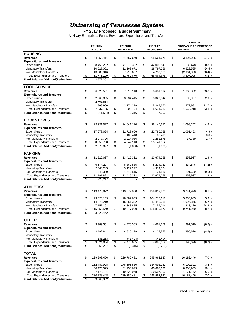**FY 2017 Proposed Budget Summary**

Auxiliary Enterprises Funds Revenues, Expenditures and Transfers

| FY 2015<br>FY 2016<br>FY 2017<br>PROBABLE TO PROPOSED<br><b>AMOUNT</b><br><b>ACTUAL</b><br><b>PROBABLE</b><br><b>PROPOSED</b><br>%<br><b>HOUSING</b><br>\$<br>64,353,411<br>\$<br>\$<br>\$<br>6.16%<br><b>Revenues</b><br>61,757,670<br>65,564,675<br>3,807,005<br><b>Expenditures and Transfers</b><br>\$<br>Expenditures<br>\$<br>41,870,392<br>\$<br>42,009,840<br>\$<br>0.3%<br>38,459,292<br>139,448<br><b>Mandatory Transfers</b><br>10,027,001<br>12.168.671<br>18,797,266<br>6,628,595<br>54.5 %<br>Non-Mandatory Transfers<br>13,289,816<br>7,718,607<br>4,757,569<br>(2,961,038)<br>$(38.4)$ %<br>\$<br>61,757,670<br>65,564,675<br>\$<br><b>Total Expenditures and Transfers</b><br>61,776,109<br>\$<br>\$<br>3,807,005<br>6.2%<br>$\mathbf{\hat{s}}$<br><b>Fund Balance Addition/(Reduction)</b><br>\$<br>2,577,302<br><b>FOOD SERVICE</b><br>\$<br>\$<br>\$<br>\$<br>23.8 %<br><b>Revenues</b><br>6,925,581<br>7,015,110<br>8,681,912<br>1,666,802<br><b>Expenditures and Transfers</b><br>Expenditures<br>\$<br>\$<br>3,234,415<br>\$<br>\$<br>2.9%<br>2,563,395<br>3,327,342<br>92,927<br><b>Mandatory Transfers</b><br>2,703,864<br>Non-Mandatory Transfers<br>1,969,906<br>3,774,379<br>5,347,370<br>1,572,991<br>41.7 %<br>1,665,918<br>23.8 %<br><b>Total Expenditures and Transfers</b><br>\$<br>7,008,794<br>8,674,712<br>\$<br>7,237,165<br>\$<br>\$<br>\$<br>\$<br>\$<br><b>Fund Balance Addition/(Reduction)</b><br>(311, 584)<br>6,316<br>7,200<br><b>BOOKSTORES</b><br>\$<br>\$<br>\$<br>\$<br><b>Revenues</b><br>23,331,077<br>24,041,110<br>25,140,352<br>1,099,242<br>4.6 %<br><b>Expenditures and Transfers</b><br>\$<br>Expenditures<br>17,678,024<br>\$<br>\$<br>4.9%<br>\$<br>21,718,606<br>22,780,059<br>1,061,453<br><b>Mandatory Transfers</b><br>109,418<br>109,418<br>0.0 %<br>Non-Mandatory Transfers<br>37,789<br>2,977,726<br>2,214,086<br>2,251,875<br>1.7%<br><b>Total Expenditures and Transfers</b><br>\$<br>20,655,750<br>\$<br>24,042,110<br>\$<br>25, 141, 352<br>$\overline{\mathbb{S}}$<br>\$<br>\$<br>2,675,327<br><b>Fund Balance Addition/(Reduction)</b><br>(1,000)<br>(1,000)<br><b>PARKING</b><br>\$<br>\$<br>\$<br>\$<br>1.9%<br><b>Revenues</b><br>11,920,037<br>13,415,322<br>13,674,259<br>258,937<br><b>Expenditures and Transfers</b><br>Expenditures<br>\$<br>\$<br>\$<br>\$<br>$(7.2)$ %<br>6,674,207<br>8,869,585<br>8,234,739<br>(634, 846)<br><b>Mandatory Transfers</b><br>3,129,222<br>4,314,704<br>2,868,245<br>Non-Mandatory Transfers<br>1,649,369<br>1,416,515<br>$(20.6)$ %<br>1,124,816<br>(291, 699)<br><b>Total Expenditures and Transfers</b><br>\$<br>11,191,821<br>\$<br>13,415,322<br>13,674,259<br>\$<br>258,937<br>1.9%<br>\$<br>$\overline{\mathcal{G}}$<br>\$<br>\$<br><b>Fund Balance Addition/(Reduction)</b><br>728,217<br><b>ATHLETICS</b><br>\$<br>\$<br>\$<br>8.2%<br><b>Revenues</b><br>119,478,992<br>119,077,900<br>128,819,870<br>9,741,970<br><b>Expenditures and Transfers</b><br>Expenditures<br>\$<br>\$<br>\$<br>5.9 %<br>93,620,169<br>98,382,653<br>104,216,618<br>5,833,965<br><b>Mandatory Transfers</b><br>6.7%<br>14,876,219<br>16,351,362<br>17,446,238<br>1,094,876<br>Non-Mandatory Transfers<br>7,157,162<br>4,343,885<br>7,157,014<br>2,813,129<br>64.8 %<br><b>Total Expenditures and Transfers</b><br>\$<br>\$<br>8.2%<br>\$<br>115,653,549<br>119,077,900<br>\$<br>128,819,870<br>9,741,970<br><b>Fund Balance Addition/(Reduction)</b><br>\$<br>3,825,442<br><b>OTHER</b><br>\$<br>3,989,351<br>\$<br>4,473,369<br>\$<br>4,081,859<br>\$<br>(391, 510)<br>$(8.8)$ %<br><b>Revenues</b><br><b>Expenditures and Transfers</b><br>Expenditures<br>\$<br>\$<br>4,520,179<br>\$<br>\$<br>$(8.6)$ %<br>3,492,841<br>4,129,553<br>(390, 626)<br><b>Mandatory Transfers</b><br>Non-Mandatory Transfers<br>131,213<br>(41, 494)<br>(41,494)<br>$\boldsymbol{\theta}$<br>(390, 626)<br><b>Total Expenditures and Transfers</b><br>\$<br>3,624,054<br>\$<br>4,478,685<br>\$<br>4,088,059<br>$(8.7)$ %<br>\$<br>\$<br>$\boldsymbol{\mathsf{s}}$<br><b>Fund Balance Addition/(Reduction)</b><br>365,297<br>(5,316)<br>(6,200)<br><b>TOTAL</b><br>\$<br>229,998,450<br>\$<br>229,780,481<br>\$<br>\$<br>7.0 %<br><b>Revenues</b><br>245,962,927<br>16,182,446<br><b>Expenditures and Transfers</b><br>Expenditures<br>\$<br>\$<br>\$<br>3.4%<br>162,487,928<br>178,595,830<br>\$<br>184,698,151<br>6,102,321<br><b>Mandatory Transfers</b><br>28.1 %<br>30,475,329<br>31,758,673<br>40,667,626<br>8,908,953<br>Non-Mandatory Transfers<br>27,175,191<br>19,425,978<br>20,597,150<br>1,171,172<br>6.0%<br><b>Total Expenditures and Transfers</b><br>229,780,481<br>\$<br>220,138,448<br>\$<br>245,962,927<br>16,182,446<br>7.0 %<br>\$<br>\$<br>s,<br>9,860,002<br><b>Fund Balance Addition/(Reduction)</b> |  |  |  |  |  | <b>CHANGE</b> |  |  |  |
|------------------------------------------------------------------------------------------------------------------------------------------------------------------------------------------------------------------------------------------------------------------------------------------------------------------------------------------------------------------------------------------------------------------------------------------------------------------------------------------------------------------------------------------------------------------------------------------------------------------------------------------------------------------------------------------------------------------------------------------------------------------------------------------------------------------------------------------------------------------------------------------------------------------------------------------------------------------------------------------------------------------------------------------------------------------------------------------------------------------------------------------------------------------------------------------------------------------------------------------------------------------------------------------------------------------------------------------------------------------------------------------------------------------------------------------------------------------------------------------------------------------------------------------------------------------------------------------------------------------------------------------------------------------------------------------------------------------------------------------------------------------------------------------------------------------------------------------------------------------------------------------------------------------------------------------------------------------------------------------------------------------------------------------------------------------------------------------------------------------------------------------------------------------------------------------------------------------------------------------------------------------------------------------------------------------------------------------------------------------------------------------------------------------------------------------------------------------------------------------------------------------------------------------------------------------------------------------------------------------------------------------------------------------------------------------------------------------------------------------------------------------------------------------------------------------------------------------------------------------------------------------------------------------------------------------------------------------------------------------------------------------------------------------------------------------------------------------------------------------------------------------------------------------------------------------------------------------------------------------------------------------------------------------------------------------------------------------------------------------------------------------------------------------------------------------------------------------------------------------------------------------------------------------------------------------------------------------------------------------------------------------------------------------------------------------------------------------------------------------------------------------------------------------------------------------------------------------------------------------------------------------------------------------------------------------------------------------------------------------------------------------------------------------------------------------------------------------------------------------------------------------------------------------------------------------------------------------------------------------------------------------------------------------------------------------------------------------------------------------------------------------------------------------------------------------------------------------------------------------------------------------------------------------------------------------------------------------------------------------------------------------------------------------------------------------------------------------------------------------------------------------------------------------------------------------|--|--|--|--|--|---------------|--|--|--|
|                                                                                                                                                                                                                                                                                                                                                                                                                                                                                                                                                                                                                                                                                                                                                                                                                                                                                                                                                                                                                                                                                                                                                                                                                                                                                                                                                                                                                                                                                                                                                                                                                                                                                                                                                                                                                                                                                                                                                                                                                                                                                                                                                                                                                                                                                                                                                                                                                                                                                                                                                                                                                                                                                                                                                                                                                                                                                                                                                                                                                                                                                                                                                                                                                                                                                                                                                                                                                                                                                                                                                                                                                                                                                                                                                                                                                                                                                                                                                                                                                                                                                                                                                                                                                                                                                                                                                                                                                                                                                                                                                                                                                                                                                                                                                                                                                  |  |  |  |  |  |               |  |  |  |
|                                                                                                                                                                                                                                                                                                                                                                                                                                                                                                                                                                                                                                                                                                                                                                                                                                                                                                                                                                                                                                                                                                                                                                                                                                                                                                                                                                                                                                                                                                                                                                                                                                                                                                                                                                                                                                                                                                                                                                                                                                                                                                                                                                                                                                                                                                                                                                                                                                                                                                                                                                                                                                                                                                                                                                                                                                                                                                                                                                                                                                                                                                                                                                                                                                                                                                                                                                                                                                                                                                                                                                                                                                                                                                                                                                                                                                                                                                                                                                                                                                                                                                                                                                                                                                                                                                                                                                                                                                                                                                                                                                                                                                                                                                                                                                                                                  |  |  |  |  |  |               |  |  |  |
|                                                                                                                                                                                                                                                                                                                                                                                                                                                                                                                                                                                                                                                                                                                                                                                                                                                                                                                                                                                                                                                                                                                                                                                                                                                                                                                                                                                                                                                                                                                                                                                                                                                                                                                                                                                                                                                                                                                                                                                                                                                                                                                                                                                                                                                                                                                                                                                                                                                                                                                                                                                                                                                                                                                                                                                                                                                                                                                                                                                                                                                                                                                                                                                                                                                                                                                                                                                                                                                                                                                                                                                                                                                                                                                                                                                                                                                                                                                                                                                                                                                                                                                                                                                                                                                                                                                                                                                                                                                                                                                                                                                                                                                                                                                                                                                                                  |  |  |  |  |  |               |  |  |  |
|                                                                                                                                                                                                                                                                                                                                                                                                                                                                                                                                                                                                                                                                                                                                                                                                                                                                                                                                                                                                                                                                                                                                                                                                                                                                                                                                                                                                                                                                                                                                                                                                                                                                                                                                                                                                                                                                                                                                                                                                                                                                                                                                                                                                                                                                                                                                                                                                                                                                                                                                                                                                                                                                                                                                                                                                                                                                                                                                                                                                                                                                                                                                                                                                                                                                                                                                                                                                                                                                                                                                                                                                                                                                                                                                                                                                                                                                                                                                                                                                                                                                                                                                                                                                                                                                                                                                                                                                                                                                                                                                                                                                                                                                                                                                                                                                                  |  |  |  |  |  |               |  |  |  |
|                                                                                                                                                                                                                                                                                                                                                                                                                                                                                                                                                                                                                                                                                                                                                                                                                                                                                                                                                                                                                                                                                                                                                                                                                                                                                                                                                                                                                                                                                                                                                                                                                                                                                                                                                                                                                                                                                                                                                                                                                                                                                                                                                                                                                                                                                                                                                                                                                                                                                                                                                                                                                                                                                                                                                                                                                                                                                                                                                                                                                                                                                                                                                                                                                                                                                                                                                                                                                                                                                                                                                                                                                                                                                                                                                                                                                                                                                                                                                                                                                                                                                                                                                                                                                                                                                                                                                                                                                                                                                                                                                                                                                                                                                                                                                                                                                  |  |  |  |  |  |               |  |  |  |
|                                                                                                                                                                                                                                                                                                                                                                                                                                                                                                                                                                                                                                                                                                                                                                                                                                                                                                                                                                                                                                                                                                                                                                                                                                                                                                                                                                                                                                                                                                                                                                                                                                                                                                                                                                                                                                                                                                                                                                                                                                                                                                                                                                                                                                                                                                                                                                                                                                                                                                                                                                                                                                                                                                                                                                                                                                                                                                                                                                                                                                                                                                                                                                                                                                                                                                                                                                                                                                                                                                                                                                                                                                                                                                                                                                                                                                                                                                                                                                                                                                                                                                                                                                                                                                                                                                                                                                                                                                                                                                                                                                                                                                                                                                                                                                                                                  |  |  |  |  |  |               |  |  |  |
|                                                                                                                                                                                                                                                                                                                                                                                                                                                                                                                                                                                                                                                                                                                                                                                                                                                                                                                                                                                                                                                                                                                                                                                                                                                                                                                                                                                                                                                                                                                                                                                                                                                                                                                                                                                                                                                                                                                                                                                                                                                                                                                                                                                                                                                                                                                                                                                                                                                                                                                                                                                                                                                                                                                                                                                                                                                                                                                                                                                                                                                                                                                                                                                                                                                                                                                                                                                                                                                                                                                                                                                                                                                                                                                                                                                                                                                                                                                                                                                                                                                                                                                                                                                                                                                                                                                                                                                                                                                                                                                                                                                                                                                                                                                                                                                                                  |  |  |  |  |  |               |  |  |  |
|                                                                                                                                                                                                                                                                                                                                                                                                                                                                                                                                                                                                                                                                                                                                                                                                                                                                                                                                                                                                                                                                                                                                                                                                                                                                                                                                                                                                                                                                                                                                                                                                                                                                                                                                                                                                                                                                                                                                                                                                                                                                                                                                                                                                                                                                                                                                                                                                                                                                                                                                                                                                                                                                                                                                                                                                                                                                                                                                                                                                                                                                                                                                                                                                                                                                                                                                                                                                                                                                                                                                                                                                                                                                                                                                                                                                                                                                                                                                                                                                                                                                                                                                                                                                                                                                                                                                                                                                                                                                                                                                                                                                                                                                                                                                                                                                                  |  |  |  |  |  |               |  |  |  |
|                                                                                                                                                                                                                                                                                                                                                                                                                                                                                                                                                                                                                                                                                                                                                                                                                                                                                                                                                                                                                                                                                                                                                                                                                                                                                                                                                                                                                                                                                                                                                                                                                                                                                                                                                                                                                                                                                                                                                                                                                                                                                                                                                                                                                                                                                                                                                                                                                                                                                                                                                                                                                                                                                                                                                                                                                                                                                                                                                                                                                                                                                                                                                                                                                                                                                                                                                                                                                                                                                                                                                                                                                                                                                                                                                                                                                                                                                                                                                                                                                                                                                                                                                                                                                                                                                                                                                                                                                                                                                                                                                                                                                                                                                                                                                                                                                  |  |  |  |  |  |               |  |  |  |
|                                                                                                                                                                                                                                                                                                                                                                                                                                                                                                                                                                                                                                                                                                                                                                                                                                                                                                                                                                                                                                                                                                                                                                                                                                                                                                                                                                                                                                                                                                                                                                                                                                                                                                                                                                                                                                                                                                                                                                                                                                                                                                                                                                                                                                                                                                                                                                                                                                                                                                                                                                                                                                                                                                                                                                                                                                                                                                                                                                                                                                                                                                                                                                                                                                                                                                                                                                                                                                                                                                                                                                                                                                                                                                                                                                                                                                                                                                                                                                                                                                                                                                                                                                                                                                                                                                                                                                                                                                                                                                                                                                                                                                                                                                                                                                                                                  |  |  |  |  |  |               |  |  |  |
|                                                                                                                                                                                                                                                                                                                                                                                                                                                                                                                                                                                                                                                                                                                                                                                                                                                                                                                                                                                                                                                                                                                                                                                                                                                                                                                                                                                                                                                                                                                                                                                                                                                                                                                                                                                                                                                                                                                                                                                                                                                                                                                                                                                                                                                                                                                                                                                                                                                                                                                                                                                                                                                                                                                                                                                                                                                                                                                                                                                                                                                                                                                                                                                                                                                                                                                                                                                                                                                                                                                                                                                                                                                                                                                                                                                                                                                                                                                                                                                                                                                                                                                                                                                                                                                                                                                                                                                                                                                                                                                                                                                                                                                                                                                                                                                                                  |  |  |  |  |  |               |  |  |  |
|                                                                                                                                                                                                                                                                                                                                                                                                                                                                                                                                                                                                                                                                                                                                                                                                                                                                                                                                                                                                                                                                                                                                                                                                                                                                                                                                                                                                                                                                                                                                                                                                                                                                                                                                                                                                                                                                                                                                                                                                                                                                                                                                                                                                                                                                                                                                                                                                                                                                                                                                                                                                                                                                                                                                                                                                                                                                                                                                                                                                                                                                                                                                                                                                                                                                                                                                                                                                                                                                                                                                                                                                                                                                                                                                                                                                                                                                                                                                                                                                                                                                                                                                                                                                                                                                                                                                                                                                                                                                                                                                                                                                                                                                                                                                                                                                                  |  |  |  |  |  |               |  |  |  |
|                                                                                                                                                                                                                                                                                                                                                                                                                                                                                                                                                                                                                                                                                                                                                                                                                                                                                                                                                                                                                                                                                                                                                                                                                                                                                                                                                                                                                                                                                                                                                                                                                                                                                                                                                                                                                                                                                                                                                                                                                                                                                                                                                                                                                                                                                                                                                                                                                                                                                                                                                                                                                                                                                                                                                                                                                                                                                                                                                                                                                                                                                                                                                                                                                                                                                                                                                                                                                                                                                                                                                                                                                                                                                                                                                                                                                                                                                                                                                                                                                                                                                                                                                                                                                                                                                                                                                                                                                                                                                                                                                                                                                                                                                                                                                                                                                  |  |  |  |  |  |               |  |  |  |
|                                                                                                                                                                                                                                                                                                                                                                                                                                                                                                                                                                                                                                                                                                                                                                                                                                                                                                                                                                                                                                                                                                                                                                                                                                                                                                                                                                                                                                                                                                                                                                                                                                                                                                                                                                                                                                                                                                                                                                                                                                                                                                                                                                                                                                                                                                                                                                                                                                                                                                                                                                                                                                                                                                                                                                                                                                                                                                                                                                                                                                                                                                                                                                                                                                                                                                                                                                                                                                                                                                                                                                                                                                                                                                                                                                                                                                                                                                                                                                                                                                                                                                                                                                                                                                                                                                                                                                                                                                                                                                                                                                                                                                                                                                                                                                                                                  |  |  |  |  |  |               |  |  |  |
|                                                                                                                                                                                                                                                                                                                                                                                                                                                                                                                                                                                                                                                                                                                                                                                                                                                                                                                                                                                                                                                                                                                                                                                                                                                                                                                                                                                                                                                                                                                                                                                                                                                                                                                                                                                                                                                                                                                                                                                                                                                                                                                                                                                                                                                                                                                                                                                                                                                                                                                                                                                                                                                                                                                                                                                                                                                                                                                                                                                                                                                                                                                                                                                                                                                                                                                                                                                                                                                                                                                                                                                                                                                                                                                                                                                                                                                                                                                                                                                                                                                                                                                                                                                                                                                                                                                                                                                                                                                                                                                                                                                                                                                                                                                                                                                                                  |  |  |  |  |  |               |  |  |  |
|                                                                                                                                                                                                                                                                                                                                                                                                                                                                                                                                                                                                                                                                                                                                                                                                                                                                                                                                                                                                                                                                                                                                                                                                                                                                                                                                                                                                                                                                                                                                                                                                                                                                                                                                                                                                                                                                                                                                                                                                                                                                                                                                                                                                                                                                                                                                                                                                                                                                                                                                                                                                                                                                                                                                                                                                                                                                                                                                                                                                                                                                                                                                                                                                                                                                                                                                                                                                                                                                                                                                                                                                                                                                                                                                                                                                                                                                                                                                                                                                                                                                                                                                                                                                                                                                                                                                                                                                                                                                                                                                                                                                                                                                                                                                                                                                                  |  |  |  |  |  |               |  |  |  |
|                                                                                                                                                                                                                                                                                                                                                                                                                                                                                                                                                                                                                                                                                                                                                                                                                                                                                                                                                                                                                                                                                                                                                                                                                                                                                                                                                                                                                                                                                                                                                                                                                                                                                                                                                                                                                                                                                                                                                                                                                                                                                                                                                                                                                                                                                                                                                                                                                                                                                                                                                                                                                                                                                                                                                                                                                                                                                                                                                                                                                                                                                                                                                                                                                                                                                                                                                                                                                                                                                                                                                                                                                                                                                                                                                                                                                                                                                                                                                                                                                                                                                                                                                                                                                                                                                                                                                                                                                                                                                                                                                                                                                                                                                                                                                                                                                  |  |  |  |  |  |               |  |  |  |
|                                                                                                                                                                                                                                                                                                                                                                                                                                                                                                                                                                                                                                                                                                                                                                                                                                                                                                                                                                                                                                                                                                                                                                                                                                                                                                                                                                                                                                                                                                                                                                                                                                                                                                                                                                                                                                                                                                                                                                                                                                                                                                                                                                                                                                                                                                                                                                                                                                                                                                                                                                                                                                                                                                                                                                                                                                                                                                                                                                                                                                                                                                                                                                                                                                                                                                                                                                                                                                                                                                                                                                                                                                                                                                                                                                                                                                                                                                                                                                                                                                                                                                                                                                                                                                                                                                                                                                                                                                                                                                                                                                                                                                                                                                                                                                                                                  |  |  |  |  |  |               |  |  |  |
|                                                                                                                                                                                                                                                                                                                                                                                                                                                                                                                                                                                                                                                                                                                                                                                                                                                                                                                                                                                                                                                                                                                                                                                                                                                                                                                                                                                                                                                                                                                                                                                                                                                                                                                                                                                                                                                                                                                                                                                                                                                                                                                                                                                                                                                                                                                                                                                                                                                                                                                                                                                                                                                                                                                                                                                                                                                                                                                                                                                                                                                                                                                                                                                                                                                                                                                                                                                                                                                                                                                                                                                                                                                                                                                                                                                                                                                                                                                                                                                                                                                                                                                                                                                                                                                                                                                                                                                                                                                                                                                                                                                                                                                                                                                                                                                                                  |  |  |  |  |  |               |  |  |  |
|                                                                                                                                                                                                                                                                                                                                                                                                                                                                                                                                                                                                                                                                                                                                                                                                                                                                                                                                                                                                                                                                                                                                                                                                                                                                                                                                                                                                                                                                                                                                                                                                                                                                                                                                                                                                                                                                                                                                                                                                                                                                                                                                                                                                                                                                                                                                                                                                                                                                                                                                                                                                                                                                                                                                                                                                                                                                                                                                                                                                                                                                                                                                                                                                                                                                                                                                                                                                                                                                                                                                                                                                                                                                                                                                                                                                                                                                                                                                                                                                                                                                                                                                                                                                                                                                                                                                                                                                                                                                                                                                                                                                                                                                                                                                                                                                                  |  |  |  |  |  |               |  |  |  |
|                                                                                                                                                                                                                                                                                                                                                                                                                                                                                                                                                                                                                                                                                                                                                                                                                                                                                                                                                                                                                                                                                                                                                                                                                                                                                                                                                                                                                                                                                                                                                                                                                                                                                                                                                                                                                                                                                                                                                                                                                                                                                                                                                                                                                                                                                                                                                                                                                                                                                                                                                                                                                                                                                                                                                                                                                                                                                                                                                                                                                                                                                                                                                                                                                                                                                                                                                                                                                                                                                                                                                                                                                                                                                                                                                                                                                                                                                                                                                                                                                                                                                                                                                                                                                                                                                                                                                                                                                                                                                                                                                                                                                                                                                                                                                                                                                  |  |  |  |  |  |               |  |  |  |
|                                                                                                                                                                                                                                                                                                                                                                                                                                                                                                                                                                                                                                                                                                                                                                                                                                                                                                                                                                                                                                                                                                                                                                                                                                                                                                                                                                                                                                                                                                                                                                                                                                                                                                                                                                                                                                                                                                                                                                                                                                                                                                                                                                                                                                                                                                                                                                                                                                                                                                                                                                                                                                                                                                                                                                                                                                                                                                                                                                                                                                                                                                                                                                                                                                                                                                                                                                                                                                                                                                                                                                                                                                                                                                                                                                                                                                                                                                                                                                                                                                                                                                                                                                                                                                                                                                                                                                                                                                                                                                                                                                                                                                                                                                                                                                                                                  |  |  |  |  |  |               |  |  |  |
|                                                                                                                                                                                                                                                                                                                                                                                                                                                                                                                                                                                                                                                                                                                                                                                                                                                                                                                                                                                                                                                                                                                                                                                                                                                                                                                                                                                                                                                                                                                                                                                                                                                                                                                                                                                                                                                                                                                                                                                                                                                                                                                                                                                                                                                                                                                                                                                                                                                                                                                                                                                                                                                                                                                                                                                                                                                                                                                                                                                                                                                                                                                                                                                                                                                                                                                                                                                                                                                                                                                                                                                                                                                                                                                                                                                                                                                                                                                                                                                                                                                                                                                                                                                                                                                                                                                                                                                                                                                                                                                                                                                                                                                                                                                                                                                                                  |  |  |  |  |  |               |  |  |  |
|                                                                                                                                                                                                                                                                                                                                                                                                                                                                                                                                                                                                                                                                                                                                                                                                                                                                                                                                                                                                                                                                                                                                                                                                                                                                                                                                                                                                                                                                                                                                                                                                                                                                                                                                                                                                                                                                                                                                                                                                                                                                                                                                                                                                                                                                                                                                                                                                                                                                                                                                                                                                                                                                                                                                                                                                                                                                                                                                                                                                                                                                                                                                                                                                                                                                                                                                                                                                                                                                                                                                                                                                                                                                                                                                                                                                                                                                                                                                                                                                                                                                                                                                                                                                                                                                                                                                                                                                                                                                                                                                                                                                                                                                                                                                                                                                                  |  |  |  |  |  |               |  |  |  |
|                                                                                                                                                                                                                                                                                                                                                                                                                                                                                                                                                                                                                                                                                                                                                                                                                                                                                                                                                                                                                                                                                                                                                                                                                                                                                                                                                                                                                                                                                                                                                                                                                                                                                                                                                                                                                                                                                                                                                                                                                                                                                                                                                                                                                                                                                                                                                                                                                                                                                                                                                                                                                                                                                                                                                                                                                                                                                                                                                                                                                                                                                                                                                                                                                                                                                                                                                                                                                                                                                                                                                                                                                                                                                                                                                                                                                                                                                                                                                                                                                                                                                                                                                                                                                                                                                                                                                                                                                                                                                                                                                                                                                                                                                                                                                                                                                  |  |  |  |  |  |               |  |  |  |
|                                                                                                                                                                                                                                                                                                                                                                                                                                                                                                                                                                                                                                                                                                                                                                                                                                                                                                                                                                                                                                                                                                                                                                                                                                                                                                                                                                                                                                                                                                                                                                                                                                                                                                                                                                                                                                                                                                                                                                                                                                                                                                                                                                                                                                                                                                                                                                                                                                                                                                                                                                                                                                                                                                                                                                                                                                                                                                                                                                                                                                                                                                                                                                                                                                                                                                                                                                                                                                                                                                                                                                                                                                                                                                                                                                                                                                                                                                                                                                                                                                                                                                                                                                                                                                                                                                                                                                                                                                                                                                                                                                                                                                                                                                                                                                                                                  |  |  |  |  |  |               |  |  |  |
|                                                                                                                                                                                                                                                                                                                                                                                                                                                                                                                                                                                                                                                                                                                                                                                                                                                                                                                                                                                                                                                                                                                                                                                                                                                                                                                                                                                                                                                                                                                                                                                                                                                                                                                                                                                                                                                                                                                                                                                                                                                                                                                                                                                                                                                                                                                                                                                                                                                                                                                                                                                                                                                                                                                                                                                                                                                                                                                                                                                                                                                                                                                                                                                                                                                                                                                                                                                                                                                                                                                                                                                                                                                                                                                                                                                                                                                                                                                                                                                                                                                                                                                                                                                                                                                                                                                                                                                                                                                                                                                                                                                                                                                                                                                                                                                                                  |  |  |  |  |  |               |  |  |  |
|                                                                                                                                                                                                                                                                                                                                                                                                                                                                                                                                                                                                                                                                                                                                                                                                                                                                                                                                                                                                                                                                                                                                                                                                                                                                                                                                                                                                                                                                                                                                                                                                                                                                                                                                                                                                                                                                                                                                                                                                                                                                                                                                                                                                                                                                                                                                                                                                                                                                                                                                                                                                                                                                                                                                                                                                                                                                                                                                                                                                                                                                                                                                                                                                                                                                                                                                                                                                                                                                                                                                                                                                                                                                                                                                                                                                                                                                                                                                                                                                                                                                                                                                                                                                                                                                                                                                                                                                                                                                                                                                                                                                                                                                                                                                                                                                                  |  |  |  |  |  |               |  |  |  |
|                                                                                                                                                                                                                                                                                                                                                                                                                                                                                                                                                                                                                                                                                                                                                                                                                                                                                                                                                                                                                                                                                                                                                                                                                                                                                                                                                                                                                                                                                                                                                                                                                                                                                                                                                                                                                                                                                                                                                                                                                                                                                                                                                                                                                                                                                                                                                                                                                                                                                                                                                                                                                                                                                                                                                                                                                                                                                                                                                                                                                                                                                                                                                                                                                                                                                                                                                                                                                                                                                                                                                                                                                                                                                                                                                                                                                                                                                                                                                                                                                                                                                                                                                                                                                                                                                                                                                                                                                                                                                                                                                                                                                                                                                                                                                                                                                  |  |  |  |  |  |               |  |  |  |
|                                                                                                                                                                                                                                                                                                                                                                                                                                                                                                                                                                                                                                                                                                                                                                                                                                                                                                                                                                                                                                                                                                                                                                                                                                                                                                                                                                                                                                                                                                                                                                                                                                                                                                                                                                                                                                                                                                                                                                                                                                                                                                                                                                                                                                                                                                                                                                                                                                                                                                                                                                                                                                                                                                                                                                                                                                                                                                                                                                                                                                                                                                                                                                                                                                                                                                                                                                                                                                                                                                                                                                                                                                                                                                                                                                                                                                                                                                                                                                                                                                                                                                                                                                                                                                                                                                                                                                                                                                                                                                                                                                                                                                                                                                                                                                                                                  |  |  |  |  |  |               |  |  |  |
|                                                                                                                                                                                                                                                                                                                                                                                                                                                                                                                                                                                                                                                                                                                                                                                                                                                                                                                                                                                                                                                                                                                                                                                                                                                                                                                                                                                                                                                                                                                                                                                                                                                                                                                                                                                                                                                                                                                                                                                                                                                                                                                                                                                                                                                                                                                                                                                                                                                                                                                                                                                                                                                                                                                                                                                                                                                                                                                                                                                                                                                                                                                                                                                                                                                                                                                                                                                                                                                                                                                                                                                                                                                                                                                                                                                                                                                                                                                                                                                                                                                                                                                                                                                                                                                                                                                                                                                                                                                                                                                                                                                                                                                                                                                                                                                                                  |  |  |  |  |  |               |  |  |  |
|                                                                                                                                                                                                                                                                                                                                                                                                                                                                                                                                                                                                                                                                                                                                                                                                                                                                                                                                                                                                                                                                                                                                                                                                                                                                                                                                                                                                                                                                                                                                                                                                                                                                                                                                                                                                                                                                                                                                                                                                                                                                                                                                                                                                                                                                                                                                                                                                                                                                                                                                                                                                                                                                                                                                                                                                                                                                                                                                                                                                                                                                                                                                                                                                                                                                                                                                                                                                                                                                                                                                                                                                                                                                                                                                                                                                                                                                                                                                                                                                                                                                                                                                                                                                                                                                                                                                                                                                                                                                                                                                                                                                                                                                                                                                                                                                                  |  |  |  |  |  |               |  |  |  |
|                                                                                                                                                                                                                                                                                                                                                                                                                                                                                                                                                                                                                                                                                                                                                                                                                                                                                                                                                                                                                                                                                                                                                                                                                                                                                                                                                                                                                                                                                                                                                                                                                                                                                                                                                                                                                                                                                                                                                                                                                                                                                                                                                                                                                                                                                                                                                                                                                                                                                                                                                                                                                                                                                                                                                                                                                                                                                                                                                                                                                                                                                                                                                                                                                                                                                                                                                                                                                                                                                                                                                                                                                                                                                                                                                                                                                                                                                                                                                                                                                                                                                                                                                                                                                                                                                                                                                                                                                                                                                                                                                                                                                                                                                                                                                                                                                  |  |  |  |  |  |               |  |  |  |
|                                                                                                                                                                                                                                                                                                                                                                                                                                                                                                                                                                                                                                                                                                                                                                                                                                                                                                                                                                                                                                                                                                                                                                                                                                                                                                                                                                                                                                                                                                                                                                                                                                                                                                                                                                                                                                                                                                                                                                                                                                                                                                                                                                                                                                                                                                                                                                                                                                                                                                                                                                                                                                                                                                                                                                                                                                                                                                                                                                                                                                                                                                                                                                                                                                                                                                                                                                                                                                                                                                                                                                                                                                                                                                                                                                                                                                                                                                                                                                                                                                                                                                                                                                                                                                                                                                                                                                                                                                                                                                                                                                                                                                                                                                                                                                                                                  |  |  |  |  |  |               |  |  |  |
|                                                                                                                                                                                                                                                                                                                                                                                                                                                                                                                                                                                                                                                                                                                                                                                                                                                                                                                                                                                                                                                                                                                                                                                                                                                                                                                                                                                                                                                                                                                                                                                                                                                                                                                                                                                                                                                                                                                                                                                                                                                                                                                                                                                                                                                                                                                                                                                                                                                                                                                                                                                                                                                                                                                                                                                                                                                                                                                                                                                                                                                                                                                                                                                                                                                                                                                                                                                                                                                                                                                                                                                                                                                                                                                                                                                                                                                                                                                                                                                                                                                                                                                                                                                                                                                                                                                                                                                                                                                                                                                                                                                                                                                                                                                                                                                                                  |  |  |  |  |  |               |  |  |  |
|                                                                                                                                                                                                                                                                                                                                                                                                                                                                                                                                                                                                                                                                                                                                                                                                                                                                                                                                                                                                                                                                                                                                                                                                                                                                                                                                                                                                                                                                                                                                                                                                                                                                                                                                                                                                                                                                                                                                                                                                                                                                                                                                                                                                                                                                                                                                                                                                                                                                                                                                                                                                                                                                                                                                                                                                                                                                                                                                                                                                                                                                                                                                                                                                                                                                                                                                                                                                                                                                                                                                                                                                                                                                                                                                                                                                                                                                                                                                                                                                                                                                                                                                                                                                                                                                                                                                                                                                                                                                                                                                                                                                                                                                                                                                                                                                                  |  |  |  |  |  |               |  |  |  |
|                                                                                                                                                                                                                                                                                                                                                                                                                                                                                                                                                                                                                                                                                                                                                                                                                                                                                                                                                                                                                                                                                                                                                                                                                                                                                                                                                                                                                                                                                                                                                                                                                                                                                                                                                                                                                                                                                                                                                                                                                                                                                                                                                                                                                                                                                                                                                                                                                                                                                                                                                                                                                                                                                                                                                                                                                                                                                                                                                                                                                                                                                                                                                                                                                                                                                                                                                                                                                                                                                                                                                                                                                                                                                                                                                                                                                                                                                                                                                                                                                                                                                                                                                                                                                                                                                                                                                                                                                                                                                                                                                                                                                                                                                                                                                                                                                  |  |  |  |  |  |               |  |  |  |
|                                                                                                                                                                                                                                                                                                                                                                                                                                                                                                                                                                                                                                                                                                                                                                                                                                                                                                                                                                                                                                                                                                                                                                                                                                                                                                                                                                                                                                                                                                                                                                                                                                                                                                                                                                                                                                                                                                                                                                                                                                                                                                                                                                                                                                                                                                                                                                                                                                                                                                                                                                                                                                                                                                                                                                                                                                                                                                                                                                                                                                                                                                                                                                                                                                                                                                                                                                                                                                                                                                                                                                                                                                                                                                                                                                                                                                                                                                                                                                                                                                                                                                                                                                                                                                                                                                                                                                                                                                                                                                                                                                                                                                                                                                                                                                                                                  |  |  |  |  |  |               |  |  |  |
|                                                                                                                                                                                                                                                                                                                                                                                                                                                                                                                                                                                                                                                                                                                                                                                                                                                                                                                                                                                                                                                                                                                                                                                                                                                                                                                                                                                                                                                                                                                                                                                                                                                                                                                                                                                                                                                                                                                                                                                                                                                                                                                                                                                                                                                                                                                                                                                                                                                                                                                                                                                                                                                                                                                                                                                                                                                                                                                                                                                                                                                                                                                                                                                                                                                                                                                                                                                                                                                                                                                                                                                                                                                                                                                                                                                                                                                                                                                                                                                                                                                                                                                                                                                                                                                                                                                                                                                                                                                                                                                                                                                                                                                                                                                                                                                                                  |  |  |  |  |  |               |  |  |  |
|                                                                                                                                                                                                                                                                                                                                                                                                                                                                                                                                                                                                                                                                                                                                                                                                                                                                                                                                                                                                                                                                                                                                                                                                                                                                                                                                                                                                                                                                                                                                                                                                                                                                                                                                                                                                                                                                                                                                                                                                                                                                                                                                                                                                                                                                                                                                                                                                                                                                                                                                                                                                                                                                                                                                                                                                                                                                                                                                                                                                                                                                                                                                                                                                                                                                                                                                                                                                                                                                                                                                                                                                                                                                                                                                                                                                                                                                                                                                                                                                                                                                                                                                                                                                                                                                                                                                                                                                                                                                                                                                                                                                                                                                                                                                                                                                                  |  |  |  |  |  |               |  |  |  |
|                                                                                                                                                                                                                                                                                                                                                                                                                                                                                                                                                                                                                                                                                                                                                                                                                                                                                                                                                                                                                                                                                                                                                                                                                                                                                                                                                                                                                                                                                                                                                                                                                                                                                                                                                                                                                                                                                                                                                                                                                                                                                                                                                                                                                                                                                                                                                                                                                                                                                                                                                                                                                                                                                                                                                                                                                                                                                                                                                                                                                                                                                                                                                                                                                                                                                                                                                                                                                                                                                                                                                                                                                                                                                                                                                                                                                                                                                                                                                                                                                                                                                                                                                                                                                                                                                                                                                                                                                                                                                                                                                                                                                                                                                                                                                                                                                  |  |  |  |  |  |               |  |  |  |
|                                                                                                                                                                                                                                                                                                                                                                                                                                                                                                                                                                                                                                                                                                                                                                                                                                                                                                                                                                                                                                                                                                                                                                                                                                                                                                                                                                                                                                                                                                                                                                                                                                                                                                                                                                                                                                                                                                                                                                                                                                                                                                                                                                                                                                                                                                                                                                                                                                                                                                                                                                                                                                                                                                                                                                                                                                                                                                                                                                                                                                                                                                                                                                                                                                                                                                                                                                                                                                                                                                                                                                                                                                                                                                                                                                                                                                                                                                                                                                                                                                                                                                                                                                                                                                                                                                                                                                                                                                                                                                                                                                                                                                                                                                                                                                                                                  |  |  |  |  |  |               |  |  |  |
|                                                                                                                                                                                                                                                                                                                                                                                                                                                                                                                                                                                                                                                                                                                                                                                                                                                                                                                                                                                                                                                                                                                                                                                                                                                                                                                                                                                                                                                                                                                                                                                                                                                                                                                                                                                                                                                                                                                                                                                                                                                                                                                                                                                                                                                                                                                                                                                                                                                                                                                                                                                                                                                                                                                                                                                                                                                                                                                                                                                                                                                                                                                                                                                                                                                                                                                                                                                                                                                                                                                                                                                                                                                                                                                                                                                                                                                                                                                                                                                                                                                                                                                                                                                                                                                                                                                                                                                                                                                                                                                                                                                                                                                                                                                                                                                                                  |  |  |  |  |  |               |  |  |  |
|                                                                                                                                                                                                                                                                                                                                                                                                                                                                                                                                                                                                                                                                                                                                                                                                                                                                                                                                                                                                                                                                                                                                                                                                                                                                                                                                                                                                                                                                                                                                                                                                                                                                                                                                                                                                                                                                                                                                                                                                                                                                                                                                                                                                                                                                                                                                                                                                                                                                                                                                                                                                                                                                                                                                                                                                                                                                                                                                                                                                                                                                                                                                                                                                                                                                                                                                                                                                                                                                                                                                                                                                                                                                                                                                                                                                                                                                                                                                                                                                                                                                                                                                                                                                                                                                                                                                                                                                                                                                                                                                                                                                                                                                                                                                                                                                                  |  |  |  |  |  |               |  |  |  |
|                                                                                                                                                                                                                                                                                                                                                                                                                                                                                                                                                                                                                                                                                                                                                                                                                                                                                                                                                                                                                                                                                                                                                                                                                                                                                                                                                                                                                                                                                                                                                                                                                                                                                                                                                                                                                                                                                                                                                                                                                                                                                                                                                                                                                                                                                                                                                                                                                                                                                                                                                                                                                                                                                                                                                                                                                                                                                                                                                                                                                                                                                                                                                                                                                                                                                                                                                                                                                                                                                                                                                                                                                                                                                                                                                                                                                                                                                                                                                                                                                                                                                                                                                                                                                                                                                                                                                                                                                                                                                                                                                                                                                                                                                                                                                                                                                  |  |  |  |  |  |               |  |  |  |
|                                                                                                                                                                                                                                                                                                                                                                                                                                                                                                                                                                                                                                                                                                                                                                                                                                                                                                                                                                                                                                                                                                                                                                                                                                                                                                                                                                                                                                                                                                                                                                                                                                                                                                                                                                                                                                                                                                                                                                                                                                                                                                                                                                                                                                                                                                                                                                                                                                                                                                                                                                                                                                                                                                                                                                                                                                                                                                                                                                                                                                                                                                                                                                                                                                                                                                                                                                                                                                                                                                                                                                                                                                                                                                                                                                                                                                                                                                                                                                                                                                                                                                                                                                                                                                                                                                                                                                                                                                                                                                                                                                                                                                                                                                                                                                                                                  |  |  |  |  |  |               |  |  |  |
|                                                                                                                                                                                                                                                                                                                                                                                                                                                                                                                                                                                                                                                                                                                                                                                                                                                                                                                                                                                                                                                                                                                                                                                                                                                                                                                                                                                                                                                                                                                                                                                                                                                                                                                                                                                                                                                                                                                                                                                                                                                                                                                                                                                                                                                                                                                                                                                                                                                                                                                                                                                                                                                                                                                                                                                                                                                                                                                                                                                                                                                                                                                                                                                                                                                                                                                                                                                                                                                                                                                                                                                                                                                                                                                                                                                                                                                                                                                                                                                                                                                                                                                                                                                                                                                                                                                                                                                                                                                                                                                                                                                                                                                                                                                                                                                                                  |  |  |  |  |  |               |  |  |  |
|                                                                                                                                                                                                                                                                                                                                                                                                                                                                                                                                                                                                                                                                                                                                                                                                                                                                                                                                                                                                                                                                                                                                                                                                                                                                                                                                                                                                                                                                                                                                                                                                                                                                                                                                                                                                                                                                                                                                                                                                                                                                                                                                                                                                                                                                                                                                                                                                                                                                                                                                                                                                                                                                                                                                                                                                                                                                                                                                                                                                                                                                                                                                                                                                                                                                                                                                                                                                                                                                                                                                                                                                                                                                                                                                                                                                                                                                                                                                                                                                                                                                                                                                                                                                                                                                                                                                                                                                                                                                                                                                                                                                                                                                                                                                                                                                                  |  |  |  |  |  |               |  |  |  |
|                                                                                                                                                                                                                                                                                                                                                                                                                                                                                                                                                                                                                                                                                                                                                                                                                                                                                                                                                                                                                                                                                                                                                                                                                                                                                                                                                                                                                                                                                                                                                                                                                                                                                                                                                                                                                                                                                                                                                                                                                                                                                                                                                                                                                                                                                                                                                                                                                                                                                                                                                                                                                                                                                                                                                                                                                                                                                                                                                                                                                                                                                                                                                                                                                                                                                                                                                                                                                                                                                                                                                                                                                                                                                                                                                                                                                                                                                                                                                                                                                                                                                                                                                                                                                                                                                                                                                                                                                                                                                                                                                                                                                                                                                                                                                                                                                  |  |  |  |  |  |               |  |  |  |
|                                                                                                                                                                                                                                                                                                                                                                                                                                                                                                                                                                                                                                                                                                                                                                                                                                                                                                                                                                                                                                                                                                                                                                                                                                                                                                                                                                                                                                                                                                                                                                                                                                                                                                                                                                                                                                                                                                                                                                                                                                                                                                                                                                                                                                                                                                                                                                                                                                                                                                                                                                                                                                                                                                                                                                                                                                                                                                                                                                                                                                                                                                                                                                                                                                                                                                                                                                                                                                                                                                                                                                                                                                                                                                                                                                                                                                                                                                                                                                                                                                                                                                                                                                                                                                                                                                                                                                                                                                                                                                                                                                                                                                                                                                                                                                                                                  |  |  |  |  |  |               |  |  |  |
|                                                                                                                                                                                                                                                                                                                                                                                                                                                                                                                                                                                                                                                                                                                                                                                                                                                                                                                                                                                                                                                                                                                                                                                                                                                                                                                                                                                                                                                                                                                                                                                                                                                                                                                                                                                                                                                                                                                                                                                                                                                                                                                                                                                                                                                                                                                                                                                                                                                                                                                                                                                                                                                                                                                                                                                                                                                                                                                                                                                                                                                                                                                                                                                                                                                                                                                                                                                                                                                                                                                                                                                                                                                                                                                                                                                                                                                                                                                                                                                                                                                                                                                                                                                                                                                                                                                                                                                                                                                                                                                                                                                                                                                                                                                                                                                                                  |  |  |  |  |  |               |  |  |  |
|                                                                                                                                                                                                                                                                                                                                                                                                                                                                                                                                                                                                                                                                                                                                                                                                                                                                                                                                                                                                                                                                                                                                                                                                                                                                                                                                                                                                                                                                                                                                                                                                                                                                                                                                                                                                                                                                                                                                                                                                                                                                                                                                                                                                                                                                                                                                                                                                                                                                                                                                                                                                                                                                                                                                                                                                                                                                                                                                                                                                                                                                                                                                                                                                                                                                                                                                                                                                                                                                                                                                                                                                                                                                                                                                                                                                                                                                                                                                                                                                                                                                                                                                                                                                                                                                                                                                                                                                                                                                                                                                                                                                                                                                                                                                                                                                                  |  |  |  |  |  |               |  |  |  |
|                                                                                                                                                                                                                                                                                                                                                                                                                                                                                                                                                                                                                                                                                                                                                                                                                                                                                                                                                                                                                                                                                                                                                                                                                                                                                                                                                                                                                                                                                                                                                                                                                                                                                                                                                                                                                                                                                                                                                                                                                                                                                                                                                                                                                                                                                                                                                                                                                                                                                                                                                                                                                                                                                                                                                                                                                                                                                                                                                                                                                                                                                                                                                                                                                                                                                                                                                                                                                                                                                                                                                                                                                                                                                                                                                                                                                                                                                                                                                                                                                                                                                                                                                                                                                                                                                                                                                                                                                                                                                                                                                                                                                                                                                                                                                                                                                  |  |  |  |  |  |               |  |  |  |
|                                                                                                                                                                                                                                                                                                                                                                                                                                                                                                                                                                                                                                                                                                                                                                                                                                                                                                                                                                                                                                                                                                                                                                                                                                                                                                                                                                                                                                                                                                                                                                                                                                                                                                                                                                                                                                                                                                                                                                                                                                                                                                                                                                                                                                                                                                                                                                                                                                                                                                                                                                                                                                                                                                                                                                                                                                                                                                                                                                                                                                                                                                                                                                                                                                                                                                                                                                                                                                                                                                                                                                                                                                                                                                                                                                                                                                                                                                                                                                                                                                                                                                                                                                                                                                                                                                                                                                                                                                                                                                                                                                                                                                                                                                                                                                                                                  |  |  |  |  |  |               |  |  |  |
|                                                                                                                                                                                                                                                                                                                                                                                                                                                                                                                                                                                                                                                                                                                                                                                                                                                                                                                                                                                                                                                                                                                                                                                                                                                                                                                                                                                                                                                                                                                                                                                                                                                                                                                                                                                                                                                                                                                                                                                                                                                                                                                                                                                                                                                                                                                                                                                                                                                                                                                                                                                                                                                                                                                                                                                                                                                                                                                                                                                                                                                                                                                                                                                                                                                                                                                                                                                                                                                                                                                                                                                                                                                                                                                                                                                                                                                                                                                                                                                                                                                                                                                                                                                                                                                                                                                                                                                                                                                                                                                                                                                                                                                                                                                                                                                                                  |  |  |  |  |  |               |  |  |  |
|                                                                                                                                                                                                                                                                                                                                                                                                                                                                                                                                                                                                                                                                                                                                                                                                                                                                                                                                                                                                                                                                                                                                                                                                                                                                                                                                                                                                                                                                                                                                                                                                                                                                                                                                                                                                                                                                                                                                                                                                                                                                                                                                                                                                                                                                                                                                                                                                                                                                                                                                                                                                                                                                                                                                                                                                                                                                                                                                                                                                                                                                                                                                                                                                                                                                                                                                                                                                                                                                                                                                                                                                                                                                                                                                                                                                                                                                                                                                                                                                                                                                                                                                                                                                                                                                                                                                                                                                                                                                                                                                                                                                                                                                                                                                                                                                                  |  |  |  |  |  |               |  |  |  |
|                                                                                                                                                                                                                                                                                                                                                                                                                                                                                                                                                                                                                                                                                                                                                                                                                                                                                                                                                                                                                                                                                                                                                                                                                                                                                                                                                                                                                                                                                                                                                                                                                                                                                                                                                                                                                                                                                                                                                                                                                                                                                                                                                                                                                                                                                                                                                                                                                                                                                                                                                                                                                                                                                                                                                                                                                                                                                                                                                                                                                                                                                                                                                                                                                                                                                                                                                                                                                                                                                                                                                                                                                                                                                                                                                                                                                                                                                                                                                                                                                                                                                                                                                                                                                                                                                                                                                                                                                                                                                                                                                                                                                                                                                                                                                                                                                  |  |  |  |  |  |               |  |  |  |
|                                                                                                                                                                                                                                                                                                                                                                                                                                                                                                                                                                                                                                                                                                                                                                                                                                                                                                                                                                                                                                                                                                                                                                                                                                                                                                                                                                                                                                                                                                                                                                                                                                                                                                                                                                                                                                                                                                                                                                                                                                                                                                                                                                                                                                                                                                                                                                                                                                                                                                                                                                                                                                                                                                                                                                                                                                                                                                                                                                                                                                                                                                                                                                                                                                                                                                                                                                                                                                                                                                                                                                                                                                                                                                                                                                                                                                                                                                                                                                                                                                                                                                                                                                                                                                                                                                                                                                                                                                                                                                                                                                                                                                                                                                                                                                                                                  |  |  |  |  |  |               |  |  |  |

Schedule 13 - Auxiliaries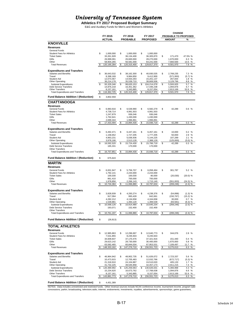**Athletics FY 2017 Proposed Budget Summary**

E&G and Auxiliary Funds for Men's and Women's Athletics

|                                                          |                               |    |                          |    |                          | <b>CHANGE</b>                 |                     |
|----------------------------------------------------------|-------------------------------|----|--------------------------|----|--------------------------|-------------------------------|---------------------|
|                                                          | FY 2015                       |    | FY 2016                  |    | FY 2017                  | PROBABLE TO PROPOSED          |                     |
|                                                          | <b>ACTUAL</b>                 |    | <b>PROBABLE</b>          |    | <b>PROPOSED</b>          | <b>AMOUNT</b>                 | %                   |
| <b>KNOXVILLE</b>                                         |                               |    |                          |    |                          |                               |                     |
| <b>Revenues</b>                                          |                               |    |                          |    |                          |                               |                     |
| General Funds                                            |                               |    |                          |    |                          |                               |                     |
| <b>Student Fees for Athletics</b>                        | \$<br>1.000.000               | \$ | 1,000,000                | \$ | 1,000,000                |                               |                     |
| <b>Ticket Sales</b>                                      | 33,261,928                    |    | 36,134,400               |    | 36,305,870               | \$<br>171,470                 | 47.5% %             |
| Gifts<br>Other                                           | 26,999,091<br>58,904,265      |    | 26,600,000<br>56,581,000 |    | 28,270,000<br>64,241,500 | 1,670,000<br>7,660,500        | 6.3%<br>13.5 %      |
| <b>Total Revenues</b>                                    | 120, 165, 284                 | \$ | 120,315,400              | \$ | 129,817,370              | \$<br>9,501,970               | 7.9<br>$\%$         |
|                                                          |                               |    |                          |    |                          |                               |                     |
| <b>Expenditures and Transfers</b>                        |                               |    |                          |    |                          |                               |                     |
| Salaries and Benefits                                    | \$<br>36,643,532              | \$ | 38,162,300               | \$ | 40,930,535               | \$<br>2,768,235               | 7.3 %               |
| Travel                                                   | 8,398,169                     |    | 9,984,850                |    | 9,412,900                | (571, 950)                    | (5.7) %             |
| <b>Student Aid</b><br>Other Operating                    | 12,073,467<br>36,214,178      |    | 14,933,293<br>35,539,710 |    | 15,201,137<br>38,669,506 | 267,844<br>3,129,796          | 1.8%<br>$\%$<br>8.8 |
| Subtotal Expenditures                                    | \$<br>93,329,346              | \$ | 98,620,153               | \$ | 104,214,078              | \$<br>5,593,925               | 5.7<br>%            |
| <b>Debt Service Transfers</b>                            | 14,876,218                    |    | 16,351,362               |    | 17,446,238               | 1,094,876                     | 6.7 %               |
| <b>Other Transfers</b>                                   | 8,157,161                     |    | 5,343,885                |    | 8,157,054                | 2,813,169                     | 52.6 %              |
| <b>Total Expenditures and Transfers</b>                  | \$<br>116,362,725             |    | 120,315,400              |    | 129,817,370              | \$<br>9,501,970               | 7.9<br>$\%$         |
| <b>Fund Balance Addition / (Reduction)</b>               | \$<br>3,802,559               |    |                          |    |                          |                               |                     |
| <b>CHATTANOOGA</b>                                       |                               |    |                          |    |                          |                               |                     |
| <b>Revenues</b>                                          |                               |    |                          |    |                          |                               |                     |
| General Funds                                            | \$<br>6,983,916               | \$ | 6,539,990                | \$ | 6,582,279                | \$<br>42,289                  | 0.6%                |
| <b>Student Fees for Athletics</b>                        | 4,739,714                     |    | 4,991,503                |    | 4,991,503                |                               |                     |
| <b>Ticket Sales</b>                                      | 1,247,879                     |    | 936,046                  |    | 936,046                  |                               |                     |
| Gifts                                                    | 1,762,641                     |    | 1,430,000                |    | 1,430,000                |                               |                     |
| Other                                                    | 2,699,344                     |    | 1,996,891                |    | 1,996,891                |                               |                     |
| <b>Total Revenues</b>                                    | \$<br>17,433,494              | \$ | 15,894,430               | \$ | 15,936,719               | \$<br>42,289                  | 0.3%                |
| <b>Expenditures and Transfers</b>                        |                               |    |                          |    |                          |                               |                     |
| Salaries and Benefits                                    | \$<br>6,492,471               | \$ | 6,447,161                | \$ | 6,457,161                | \$<br>10,000                  | 0.2 %               |
| Travel                                                   | 1,158,652                     |    | 1,727,205                |    | 1,777,205                | 50,000                        | 2.9 %               |
| <b>Student Aid</b>                                       | 4,963,231                     |    | 5,036,936                |    | 5,144,225                | 107,289                       | 2.1%                |
| Other Operating                                          | 3,978,166                     |    | 2,513,128                |    | 2,388,128                | (125,000)                     | (5.0) %             |
| Subtotal Expenditures                                    | \$<br>16,592,520              | \$ | 15,724,430               | \$ | 15,766,719               | \$<br>42,289                  | $0.3 \sqrt{8}$      |
| <b>Debt Service Transfers</b>                            | 165,331                       |    | 170,000                  |    | 170,000                  |                               |                     |
| <b>Other Transfers</b>                                   |                               |    |                          |    |                          |                               |                     |
| <b>Total Expenditures and Transfers</b>                  | \$<br>16,757,851              | \$ | 15,894,430               | \$ | 15,936,719               | \$<br>42,289                  | 0.3<br>%            |
| <b>Fund Balance Addition / (Reduction)</b>               | \$<br>675,643                 |    |                          |    |                          |                               |                     |
|                                                          |                               |    |                          |    |                          |                               |                     |
| <b>MARTIN</b>                                            |                               |    |                          |    |                          |                               |                     |
| <b>Revenues</b>                                          |                               |    |                          |    |                          |                               |                     |
| <b>General Funds</b>                                     | \$<br>6,001,947               | \$ | 5,756,707                | \$ | 6,058,494                | \$<br>301,787                 | 5.2 %               |
| <b>Student Fees for Athletics</b><br><b>Ticket Sales</b> | 1,792,141<br>100,030          |    | 2,244,000<br>100,030     |    | 2,244,000<br>80,000      |                               |                     |
| Gifts                                                    | 861,410                       |    | 700,000                  |    | 700,000                  | (20, 030)                     | $(20.0)$ %          |
| Other                                                    | 1,978,856                     |    | 2,266,143                |    | 1,715,140                | (551,003)                     | (24.3) %            |
| <b>Total Revenues</b>                                    | 10,734,384                    |    | 11,066,880               |    | 10,797,634               | \$<br>(269, 246)              | $(2.4)$ %           |
|                                                          |                               |    |                          |    |                          |                               |                     |
| <b>Expenditures and Transfers</b>                        |                               |    |                          |    |                          |                               |                     |
| Salaries and Benefits                                    | \$<br>3,828,939               | \$ | 4,293,274                | \$ | 4,238,376                | \$<br>(54, 898)               | (1.3) %             |
| Travel                                                   | 917.094                       |    | 993.428                  |    | 842.661                  | (150, 767)                    | (15.2) %            |
| Student Aid                                              | 4,282,212                     |    | 4,134,658                |    | 4,164,658                | 30,000                        | 0.7 %               |
| Other Operating<br>Subtotal Expenditures                 | \$<br>1,539,881<br>10,568,126 | S  | 1,493,120<br>10,914,480  | S  | 1,399,539<br>10,645,234  | \$<br>(93, 581)<br>(269, 246) | (6.3) %<br>(2.5) %  |
| <b>Debt Service Transfers</b>                            | 193,071                       |    | 152,400                  |    | 152,400                  |                               |                     |
| Other Transfers                                          |                               |    |                          |    |                          |                               |                     |
| <b>Total Expenditures and Transfers</b>                  | \$<br>10,761,197              | \$ | 11,066,880               | \$ | 10,797,634               | \$<br>(269, 246)              | (2.4) %             |
|                                                          |                               |    |                          |    |                          |                               |                     |
| <b>Fund Balance Addition / (Reduction)</b>               | \$<br>(26, 813)               |    |                          |    |                          |                               |                     |
| <b>TOTAL ATHLETICS</b>                                   |                               |    |                          |    |                          |                               |                     |
| Revenues                                                 |                               |    |                          |    |                          |                               |                     |
| General Funds                                            | \$<br>12,985,863              | \$ | 12,296,697               | \$ | 12,640,773               | \$<br>344,076                 | 2.8 %               |
| <b>Student Fees for Athletics</b>                        | 7,531,855                     |    | 8,235,503                |    | 8,235,503                |                               |                     |
| <b>Ticket Sales</b>                                      | 34,609,837                    |    | 37,170,476               |    | 37,321,916               | 151,440                       | 0.4%                |
| Gifts                                                    | 29,623,142                    |    | 28,730,000               |    | 30,400,000               | 1,670,000                     | 5.8 %               |
| Other                                                    | 63,582,465                    |    | 60,844,034               |    | 67,953,531               | 7,109,497                     | 11.7 %              |
| <b>Total Revenues</b>                                    | 148,333,162                   |    | 147,276,710              | \$ | 156,551,723              | \$<br>9,275,013               | 6.3<br>%            |
|                                                          |                               |    |                          |    |                          |                               |                     |
| <b>Expenditures and Transfers</b>                        |                               |    |                          |    |                          |                               |                     |
| Salaries and Benefits                                    | \$<br>46,964,942              | \$ | 48,902,735               | \$ | 51,626,072               | \$<br>2,723,337               | 5.6 %               |
| Travel                                                   | 10,473,915                    |    | 12,705,483               |    | 12,032,766               | (672,717)                     | $(5.3)$ %           |
| Student Aid<br>Other Operating                           | 21,318,910<br>41,732,225      |    | 24,104,887<br>39,545,958 |    | 24,510,020<br>42,457,173 | 405,133<br>2,911,215          | 1.7%<br>7.4<br>%    |
| Subtotal Expenditures                                    | 120,489,992                   | \$ | 125,259,063              | \$ | 130,626,031              | \$<br>5,366,968               | 4.3<br>%            |
| <b>Debt Service Transfers</b>                            | 15,234,620                    |    | 16,673,762               |    | 17,768,638               | 1,094,876                     | 6.6%                |
| <b>Other Transfers</b>                                   | 8,157,161                     |    | 5,343,885                |    | 8,157,054                | 2,813,169                     | 52.6 %              |
| <b>Total Expenditures and Transfers</b>                  | \$<br>143,881,773             | \$ | 147,276,710              | \$ | 156,551,723              | \$<br>9,275,013               | 6.3 %               |
|                                                          |                               |    |                          |    |                          |                               |                     |
| <b>Fund Balance Addition / (Reduction)</b>               | \$<br>4,451,389               |    |                          |    |                          |                               |                     |

NOTES: Data includes unrestricted and restricted funds. Other revenue sources include NCAA conference income, tournament income, program sale:<br>concessions, parkin, broadcasting, television,radio, internet, endowments, inve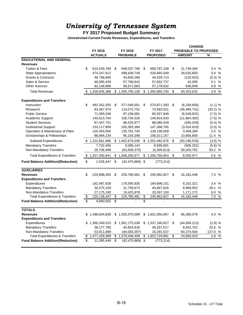## **FY 2017 Proposed Budget Summary**

**Unrestricted Current Funds Revenues, Expenditures, and Transfers**

|                                                  |    |                 |     |                     |                     | <b>CHANGE</b> |                             |               |      |
|--------------------------------------------------|----|-----------------|-----|---------------------|---------------------|---------------|-----------------------------|---------------|------|
|                                                  |    | FY 2015         |     | FY 2016             | FY 2017             |               | <b>PROBABLE TO PROPOSED</b> |               |      |
|                                                  |    | <b>ACTUALS</b>  |     | <b>PROBABLE</b>     | <b>PROPOSED</b>     |               | <b>AMOUNT</b>               | %             |      |
| <b>EDUCATIONAL AND GENERAL</b>                   |    |                 |     |                     |                     |               |                             |               |      |
| <b>Revenues</b>                                  |    |                 |     |                     |                     |               |                             |               |      |
| <b>Tuition &amp; Fees</b>                        | \$ | 615,545,784     | \$  | 648,037,768         | \$<br>669,787,108   | \$            | 21,749,340                  | 3.4%          |      |
| <b>State Appropriations</b>                      |    | 474,247,612     |     | 498,639,749         | 526,665,549         |               | 28,025,800                  | 5.6 %         |      |
| <b>Grants &amp; Contracts</b><br>Sales & Service |    | 46,798,665      |     | 44,650,266          | 44,529,714          |               | (120, 552)                  | (0.3) %       |      |
|                                                  |    | 60,095,439      |     | 57,790,642          | 57,832,737          |               | 42,095                      | 0.1 %<br>0.9% |      |
| <b>Other Sources</b>                             |    | 62,148,888      |     | 56,671,683          | 57,178,632          |               | 506,949                     |               |      |
| <b>Total Revenues</b>                            | \$ | 1,258,836,388   |     | \$1,305,790,108     | \$1,355,993,740     | \$            | 50,203,632                  | 3.8 %         |      |
| <b>Expenditures and Transfers</b>                |    |                 |     |                     |                     |               |                             |               |      |
| Instruction                                      | \$ | 492,352,355     | \$  | 577,040,051         | \$<br>570,871,393   | \$            | (6, 168, 658)               | (1.1) %       |      |
| Research                                         |    | 83,487,974      |     | 110,072,752         | 73,583,021          |               | (36, 489, 731)              | $(33.2)$ %    |      |
| <b>Public Service</b>                            |    | 71,365,049      |     | 87,106,681          | 80,557,849          |               | (6,548,832)                 | $(7.5)$ %     |      |
| Academic Support                                 |    | 140,613,764     |     | 158,704,326         | 146,819,933         |               | (11, 884, 393)              | $(7.5)$ %     |      |
| <b>Student Services</b>                          |    | 87,447,751      |     | 88,425,977          | 88,080,549          |               | (345, 428)                  | (0.4) %       |      |
| <b>Institutional Support</b>                     |    | 133,117,858     |     | 150,393,384         | 147,368,765         |               | (3,024,619)                 | $(2.0)$ %     |      |
| Operation & Maintenace of Plant                  |    | 125,493,000     |     | 135,781,740         | 139,190,009         |               | 3,408,269                   | 2.5%          |      |
| Scholarships & Fellowships                       |    | 88,984,234      |     | 95,154,298          | 106,011,157         |               | 10,856,859                  | 11.4 %        |      |
| Subtotal Expenditures                            |    | \$1,222,861,986 |     | \$1,402,679,209     | \$1,352,482,676     | \$            | (50, 196, 533)              | (3.6) %       |      |
| <b>Mandatory Transfers</b>                       |    | 7,702,456       |     | 9,096,143           | 8,589,891           |               | (506, 252)                  | $(5.6)$ %     |      |
| Non-Mandatory Transfers                          |    | 26,736,499      |     | (63, 509, 375)      | (4,305,613)         |               | 59,203,762                  | 93.2 %        |      |
| <b>Total Expenditures &amp; Transfers</b>        |    | \$1,257,300,941 |     | \$1,348,265,977     | \$1,356,766,954     | - \$          | 8,500,977                   | 0.6%          |      |
| <b>Fund Balance Addition/(Reduction)</b>         | \$ | 1,535,447       | \$  | $(42, 475, 869)$ \$ | (773, 214)          |               |                             |               |      |
| <b>AUXILIARIES</b>                               |    |                 |     |                     |                     |               |                             |               |      |
| <b>Revenues</b>                                  | \$ | 229,998,450     | -\$ | 229,780,481         | \$<br>245,962,927   | \$            | 16,182,446                  | 7.0 %         |      |
| <b>Expenditures and Transfers</b>                |    |                 |     |                     |                     |               |                             |               |      |
| Expenditures                                     |    | 162,487,928     |     | 178,595,830         | 184,698,151         |               | 6,102,321                   | 3.4 %         |      |
| <b>Mandatory Transfers</b>                       |    | 30,475,329      |     | 31,758,673          | 40,667,626          |               | 8,908,953                   | 28.1 %        |      |
| Non-Mandatory Transfers                          |    | 27,175,190      |     | 19,425,978          | 20,597,150          |               | 1,171,172                   | 6.0 %         |      |
| <b>Total Expenditures &amp; Transfers</b>        | \$ | 220, 138, 447   | \$  | 229,780,481         | \$<br>245,962,927   | \$            | 16,182,446                  | 7.0%          |      |
| <b>Fund Balance Addition/(Reduction)</b>         | \$ | 9,860,002       | \$  |                     | \$                  |               |                             |               |      |
| <b>TOTALS</b>                                    |    |                 |     |                     |                     |               |                             |               |      |
| <b>Revenues</b>                                  | \$ | 1,488,834,838   |     | \$1,535,570,589     | \$1,601,956,667     | \$            | 66,386,078                  | 4.3 %         |      |
| <b>Expenditures and Transfers</b>                |    |                 |     |                     |                     |               |                             |               |      |
| Expenditures                                     | S. | 1,385,349,915   |     | \$1,581,275,039     | \$1,537,180,827     | \$            | (44,094,212)                | $(2.8)$ %     |      |
| <b>Mandatory Transfers</b>                       |    | 38,177,785      |     | 40,854,816          | 49,257,517          |               | 8,402,701                   | 20.6 %        |      |
| Non-Mandatory Transfers                          |    | 53,911,689      |     | (44,083,397)        | 16,291,537          |               | 60,374,934                  | 137.0 %       |      |
| <b>Total Expenditures &amp; Transfers</b>        | \$ | 1,477,439,389   |     | \$1,578,046,458     | \$<br>1,602,729,881 | \$            | 24,683,423                  | 1.6           | $\%$ |
| <b>Fund Balance Addition/(Reduction)</b>         | \$ | 11,395,449      | \$  | (42, 475, 869)      | \$<br>(773, 214)    |               |                             |               |      |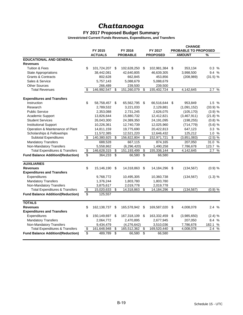# *Chattanooga*

#### **FY 2017 Proposed Budget Summary**

**Unrestricted Current Funds Revenues, Expenditures, and Transfers**

|                                           |                 |                |                 |                 |                           |                 | <b>CHANGE</b> |                             |                      |  |
|-------------------------------------------|-----------------|----------------|-----------------|-----------------|---------------------------|-----------------|---------------|-----------------------------|----------------------|--|
|                                           |                 | FY 2015        |                 | FY 2016         |                           | FY 2017         |               | <b>PROBABLE TO PROPOSED</b> |                      |  |
|                                           |                 | <b>ACTUALS</b> |                 | <b>PROBABLE</b> |                           | <b>PROPOSED</b> |               | <b>AMOUNT</b>               | $\%$                 |  |
| <b>EDUCATIONAL AND GENERAL</b>            |                 |                |                 |                 |                           |                 |               |                             |                      |  |
| <b>Revenues</b>                           |                 |                |                 |                 |                           |                 |               |                             |                      |  |
| <b>Tuition &amp; Fees</b>                 | \$              | 101,724,207    | S               | 102,628,250     | \$                        | 102,981,384     | \$            | 353,134                     | 0.3%                 |  |
| <b>State Appropriations</b>               |                 | 38,442,081     |                 | 42,640,805      |                           | 46,639,305      |               | 3,998,500                   | 9.4%                 |  |
| <b>Grants &amp; Contracts</b>             |                 | 802,628        |                 | 662,845         |                           | 453,856         |               | (208, 989)                  | (31.5) %             |  |
| Sales & Service                           |                 | 5,757,143      |                 | 5,088,679       |                           | 5,088,679       |               |                             |                      |  |
| <b>Other Sources</b>                      |                 | 266,489        |                 | 239,500         |                           | 239,500         |               |                             |                      |  |
| <b>Total Revenues</b>                     | \$              | 146,992,547    | \$              | 151,260,079     | \$                        | 155,402,724     | \$            | 4,142,645                   | 2.7<br>$\%$          |  |
| <b>Expenditures and Transfers</b>         |                 |                |                 |                 |                           |                 |               |                             |                      |  |
| Instruction                               | \$              | 58,758,457     | \$              | 65,562,795      | - \$                      | 66,516,644      | \$            | 953,849                     | 1.5%                 |  |
| Research                                  |                 | 2,789,532      |                 | 3,221,033       |                           | 2,129,881       |               | (1,091,152)                 | (33.9) %             |  |
| <b>Public Service</b>                     |                 | 2,353,088      |                 | 2,731,245       |                           | 2,626,075       |               | (105, 170)                  | (3.9) %              |  |
| Academic Support                          |                 | 13,826,644     |                 | 15,880,732      |                           | 12,412,821      |               | (3,467,911)                 | (21.8) %             |  |
| <b>Student Services</b>                   |                 | 26,043,300     |                 | 24,389,350      |                           | 24,191,095      |               | (198, 255)                  | $(0.8)$ %            |  |
| <b>Institutional Support</b>              |                 | 10,226,361     |                 | 12,740,739      |                           | 12,025,960      |               | (714, 779)                  | (5.6) %              |  |
| Operation & Maintenance of Plant          |                 | 14,811,159     |                 | 19,775,690      |                           | 20,422,813      |               | 647,123                     | 3.3%                 |  |
| Scholarships & Fellowships                |                 | 11,572,385     |                 | 12,521,220      |                           | 12,646,432      |               | 125,212                     | 1.0%                 |  |
| <b>Subtotal Expenditures</b>              | \$              | 140,380,925    | \$              | 156,822,804     | \$                        | 152,971,721     | \$            | (3,851,083)                 | $(2.5)$ %            |  |
| <b>Mandatory Transfers</b>                |                 | 688,528        |                 | 667,115         |                           | 874,165         |               | 207,050                     | 31.0 %               |  |
| Non-Mandatory Transfers                   |                 | 5,558,862      |                 | (6, 296, 420)   |                           | 1,490,258       |               | 7,786,678                   | 123.7 %              |  |
| <b>Total Expenditures &amp; Transfers</b> | \$              | 146,628,315    | \$              | 151,193,499     | \$                        | 155,336,144     | \$            | 4,142,645                   | %<br>2.7             |  |
| <b>Fund Balance Addition/(Reduction)</b>  | $\overline{\$}$ | 364,233        | \$              | 66,580          | $\overline{\$}$           | 66,580          |               |                             |                      |  |
| <b>AUXILIARIES</b>                        |                 |                |                 |                 |                           |                 |               |                             |                      |  |
| <b>Revenues</b>                           | \$              | 15,146,190     | \$              | 14,318,863      | \$                        | 14,184,296      | \$            | (134, 567)                  | (0.9) %              |  |
| <b>Expenditures and Transfers</b>         |                 |                |                 |                 |                           |                 |               |                             |                      |  |
| Expenditures                              |                 | 9,768,772      |                 | 10,495,305      |                           | 10,360,738      |               | (134, 567)                  | (1.3) %              |  |
| <b>Mandatory Transfers</b>                |                 | 1,376,244      |                 | 1,803,780       |                           | 1,803,780       |               |                             |                      |  |
| Non-Mandatory Transfers                   |                 | 3,875,617      |                 | 2,019,778       |                           | 2,019,778       |               |                             |                      |  |
| <b>Total Expenditures &amp; Transfers</b> | \$              | 15,020,633     | \$              | 14,318,863      | $\overline{\$}$           | 14, 184, 296    | \$            | (134, 567)                  | (0.9) %              |  |
| <b>Fund Balance Addition/(Reduction)</b>  | \$              | 125,557        |                 |                 |                           |                 |               |                             |                      |  |
| <b>TOTALS</b>                             |                 |                |                 |                 |                           |                 |               |                             |                      |  |
| <b>Revenues</b>                           | \$              | 162,138,737    | \$              | 165,578,942     | \$                        | 169,587,020     | \$            | 4,008,078                   | 2.4 %                |  |
| <b>Expenditures and Transfers</b>         |                 |                |                 |                 |                           |                 |               |                             |                      |  |
| Expenditures                              | \$              | 150,149,697    | \$              | 167,318,109     | - \$                      | 163,332,459     | \$            | (3,985,650)                 | (2.4) %              |  |
| <b>Mandatory Transfers</b>                |                 | 2,064,772      |                 | 2,470,895       |                           | 2,677,945       |               | 207,050                     | 8.4 %                |  |
| Non-Mandatory Transfers                   |                 | 9,434,479      |                 | (4,276,642)     |                           | 3,510,036       |               | 7,786,678                   | 182.1 %              |  |
| <b>Total Expenditures &amp; Transfers</b> | \$              | 161,648,948    | \$              | 165,512,362     | \$                        | 169,520,440     | \$            | 4,008,078                   | $\frac{0}{0}$<br>2.4 |  |
| <b>Fund Balance Addition/(Reduction)</b>  | \$              | 489,789        | $\overline{\$}$ | 66,580          | $\overline{\mathfrak{s}}$ | 66,580          |               |                             |                      |  |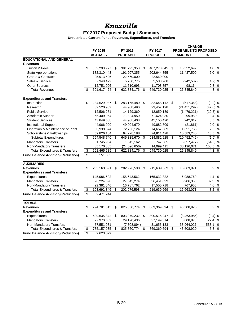## *Knoxville*

## **FY 2017 Proposed Budget Summary**

| FY 2015<br><b>PROBABLE TO PROPOSED</b><br>FY 2016<br>FY 2017<br><b>AMOUNT</b><br><b>ACTUALS</b><br><b>PROBABLE</b><br><b>PROPOSED</b><br>%<br><b>EDUCATIONAL AND GENERAL</b><br><b>Revenues</b><br>\$<br>4.0 %<br><b>Tuition &amp; Fees</b><br>363,293,977<br>391,725,353<br>\$<br>407,278,045<br>\$<br>15,552,692<br>\$<br><b>State Appropriations</b><br>182,310,443<br>191,207,355<br>202,644,855<br>11,437,500<br>6.0%<br><b>Grants &amp; Contracts</b><br>25,913,526<br>22,560,000<br>22,560,000<br>(4.2) %<br>Sales & Service<br>7,348,472<br>5,780,775<br>5,538,268<br>(242, 507)<br><b>Other Sources</b><br>12,751,006<br>11,610,693<br>11,708,857<br>98,164<br>0.8%<br>4.3%<br>591,617,424<br>\$<br>\$<br>649,730,025<br>\$<br>26,845,849<br>\$<br>622,884,176<br><b>Total Revenues</b><br><b>Expenditures and Transfers</b><br>\$<br>Instruction<br>234,529,087<br>(0.2) %<br>\$<br>283,165,480<br>\$<br>282,648,112 \$<br>(517, 368)<br>32,520,982<br>44,908,490<br>(21, 451, 292)<br>(47.8) %<br>Research<br>23,457,198<br><b>Public Service</b><br>12,506,281<br>14,129,360<br>12,650,139<br>(1,479,221)<br>(10.5) %<br>Academic Support<br>65,409,954<br>71,324,950<br>71,624,930<br>299,980<br>0.4%<br><b>Student Services</b><br>0.5%<br>43,849,688<br>44,908,408<br>45,150,420<br>242,012<br><b>Institutional Support</b><br>44,966,990<br>49,904,670<br>49,882,809<br>(21, 861)<br>0.0% |
|-----------------------------------------------------------------------------------------------------------------------------------------------------------------------------------------------------------------------------------------------------------------------------------------------------------------------------------------------------------------------------------------------------------------------------------------------------------------------------------------------------------------------------------------------------------------------------------------------------------------------------------------------------------------------------------------------------------------------------------------------------------------------------------------------------------------------------------------------------------------------------------------------------------------------------------------------------------------------------------------------------------------------------------------------------------------------------------------------------------------------------------------------------------------------------------------------------------------------------------------------------------------------------------------------------------------------------------------------------------------------------------------------------------|
|                                                                                                                                                                                                                                                                                                                                                                                                                                                                                                                                                                                                                                                                                                                                                                                                                                                                                                                                                                                                                                                                                                                                                                                                                                                                                                                                                                                                           |
|                                                                                                                                                                                                                                                                                                                                                                                                                                                                                                                                                                                                                                                                                                                                                                                                                                                                                                                                                                                                                                                                                                                                                                                                                                                                                                                                                                                                           |
|                                                                                                                                                                                                                                                                                                                                                                                                                                                                                                                                                                                                                                                                                                                                                                                                                                                                                                                                                                                                                                                                                                                                                                                                                                                                                                                                                                                                           |
|                                                                                                                                                                                                                                                                                                                                                                                                                                                                                                                                                                                                                                                                                                                                                                                                                                                                                                                                                                                                                                                                                                                                                                                                                                                                                                                                                                                                           |
|                                                                                                                                                                                                                                                                                                                                                                                                                                                                                                                                                                                                                                                                                                                                                                                                                                                                                                                                                                                                                                                                                                                                                                                                                                                                                                                                                                                                           |
|                                                                                                                                                                                                                                                                                                                                                                                                                                                                                                                                                                                                                                                                                                                                                                                                                                                                                                                                                                                                                                                                                                                                                                                                                                                                                                                                                                                                           |
|                                                                                                                                                                                                                                                                                                                                                                                                                                                                                                                                                                                                                                                                                                                                                                                                                                                                                                                                                                                                                                                                                                                                                                                                                                                                                                                                                                                                           |
|                                                                                                                                                                                                                                                                                                                                                                                                                                                                                                                                                                                                                                                                                                                                                                                                                                                                                                                                                                                                                                                                                                                                                                                                                                                                                                                                                                                                           |
|                                                                                                                                                                                                                                                                                                                                                                                                                                                                                                                                                                                                                                                                                                                                                                                                                                                                                                                                                                                                                                                                                                                                                                                                                                                                                                                                                                                                           |
|                                                                                                                                                                                                                                                                                                                                                                                                                                                                                                                                                                                                                                                                                                                                                                                                                                                                                                                                                                                                                                                                                                                                                                                                                                                                                                                                                                                                           |
|                                                                                                                                                                                                                                                                                                                                                                                                                                                                                                                                                                                                                                                                                                                                                                                                                                                                                                                                                                                                                                                                                                                                                                                                                                                                                                                                                                                                           |
|                                                                                                                                                                                                                                                                                                                                                                                                                                                                                                                                                                                                                                                                                                                                                                                                                                                                                                                                                                                                                                                                                                                                                                                                                                                                                                                                                                                                           |
|                                                                                                                                                                                                                                                                                                                                                                                                                                                                                                                                                                                                                                                                                                                                                                                                                                                                                                                                                                                                                                                                                                                                                                                                                                                                                                                                                                                                           |
|                                                                                                                                                                                                                                                                                                                                                                                                                                                                                                                                                                                                                                                                                                                                                                                                                                                                                                                                                                                                                                                                                                                                                                                                                                                                                                                                                                                                           |
|                                                                                                                                                                                                                                                                                                                                                                                                                                                                                                                                                                                                                                                                                                                                                                                                                                                                                                                                                                                                                                                                                                                                                                                                                                                                                                                                                                                                           |
|                                                                                                                                                                                                                                                                                                                                                                                                                                                                                                                                                                                                                                                                                                                                                                                                                                                                                                                                                                                                                                                                                                                                                                                                                                                                                                                                                                                                           |
|                                                                                                                                                                                                                                                                                                                                                                                                                                                                                                                                                                                                                                                                                                                                                                                                                                                                                                                                                                                                                                                                                                                                                                                                                                                                                                                                                                                                           |
| Operation & Maintenance of Plant<br>72,766,124<br>1,891,765<br>2.6 %<br>60,939,574<br>74,657,889                                                                                                                                                                                                                                                                                                                                                                                                                                                                                                                                                                                                                                                                                                                                                                                                                                                                                                                                                                                                                                                                                                                                                                                                                                                                                                          |
| Scholarships & Fellowships<br>10,583,240<br>16.5 %<br>59,826,184<br>64,228,188<br>74,811,428                                                                                                                                                                                                                                                                                                                                                                                                                                                                                                                                                                                                                                                                                                                                                                                                                                                                                                                                                                                                                                                                                                                                                                                                                                                                                                              |
| <b>Subtotal Expenditures</b><br>\$<br>645,335,670<br>634,882,925<br>\$<br>(10, 452, 745)<br>(1.6) %<br>554,548,740<br>\$<br>\$                                                                                                                                                                                                                                                                                                                                                                                                                                                                                                                                                                                                                                                                                                                                                                                                                                                                                                                                                                                                                                                                                                                                                                                                                                                                            |
| <b>Mandatory Transfers</b><br>$(54.6)$ %<br>1,745,964<br>1,645,162<br>747,685<br>(897, 477)                                                                                                                                                                                                                                                                                                                                                                                                                                                                                                                                                                                                                                                                                                                                                                                                                                                                                                                                                                                                                                                                                                                                                                                                                                                                                                               |
| Non-Mandatory Transfers<br>35,170,885<br>(24,096,656)<br>14,099,415<br>38,196,071<br>158.5 %                                                                                                                                                                                                                                                                                                                                                                                                                                                                                                                                                                                                                                                                                                                                                                                                                                                                                                                                                                                                                                                                                                                                                                                                                                                                                                              |
| <b>Total Expenditures &amp; Transfers</b><br>\$<br>591,465,589<br>\$<br>622,884,176<br>649,730,025<br>\$<br>26,845,849<br>4.3%<br>\$                                                                                                                                                                                                                                                                                                                                                                                                                                                                                                                                                                                                                                                                                                                                                                                                                                                                                                                                                                                                                                                                                                                                                                                                                                                                      |
| $\overline{\$}$<br><b>Fund Balance Addition/(Reduction)</b><br>151,835                                                                                                                                                                                                                                                                                                                                                                                                                                                                                                                                                                                                                                                                                                                                                                                                                                                                                                                                                                                                                                                                                                                                                                                                                                                                                                                                    |
| <b>AUXILIARIES</b>                                                                                                                                                                                                                                                                                                                                                                                                                                                                                                                                                                                                                                                                                                                                                                                                                                                                                                                                                                                                                                                                                                                                                                                                                                                                                                                                                                                        |
| \$<br>8.2 %<br><b>Revenues</b><br>203,163,591<br>\$<br>202,976,598<br>\$<br>219,639,669<br>\$<br>16,663,071                                                                                                                                                                                                                                                                                                                                                                                                                                                                                                                                                                                                                                                                                                                                                                                                                                                                                                                                                                                                                                                                                                                                                                                                                                                                                               |
| <b>Expenditures and Transfers</b>                                                                                                                                                                                                                                                                                                                                                                                                                                                                                                                                                                                                                                                                                                                                                                                                                                                                                                                                                                                                                                                                                                                                                                                                                                                                                                                                                                         |
| Expenditures<br>145,086,602<br>158,643,562<br>165,632,322<br>6,988,760<br>4.4 %                                                                                                                                                                                                                                                                                                                                                                                                                                                                                                                                                                                                                                                                                                                                                                                                                                                                                                                                                                                                                                                                                                                                                                                                                                                                                                                           |
| <b>Mandatory Transfers</b><br>32.3 %<br>26,224,698<br>27,545,274<br>36,451,629<br>8,906,355                                                                                                                                                                                                                                                                                                                                                                                                                                                                                                                                                                                                                                                                                                                                                                                                                                                                                                                                                                                                                                                                                                                                                                                                                                                                                                               |
| Non-Mandatory Transfers<br>22,381,046<br>16,787,762<br>17,555,718<br>767,956<br>4.6 %                                                                                                                                                                                                                                                                                                                                                                                                                                                                                                                                                                                                                                                                                                                                                                                                                                                                                                                                                                                                                                                                                                                                                                                                                                                                                                                     |
| <b>Total Expenditures &amp; Transfers</b><br>\$<br>8.2 %<br>193,692,346<br>\$<br>202,976,598<br>\$<br>219,639,669<br>\$<br>16,663,071                                                                                                                                                                                                                                                                                                                                                                                                                                                                                                                                                                                                                                                                                                                                                                                                                                                                                                                                                                                                                                                                                                                                                                                                                                                                     |
| \$<br><b>Fund Balance Addition/(Reduction)</b><br>9,471,244                                                                                                                                                                                                                                                                                                                                                                                                                                                                                                                                                                                                                                                                                                                                                                                                                                                                                                                                                                                                                                                                                                                                                                                                                                                                                                                                               |
| <b>TOTALS</b>                                                                                                                                                                                                                                                                                                                                                                                                                                                                                                                                                                                                                                                                                                                                                                                                                                                                                                                                                                                                                                                                                                                                                                                                                                                                                                                                                                                             |
| \$<br>5.3 %<br><b>Revenues</b><br>794,781,015<br>\$<br>825,860,774<br>\$<br>869,369,694<br>\$<br>43,508,920                                                                                                                                                                                                                                                                                                                                                                                                                                                                                                                                                                                                                                                                                                                                                                                                                                                                                                                                                                                                                                                                                                                                                                                                                                                                                               |
| <b>Expenditures and Transfers</b>                                                                                                                                                                                                                                                                                                                                                                                                                                                                                                                                                                                                                                                                                                                                                                                                                                                                                                                                                                                                                                                                                                                                                                                                                                                                                                                                                                         |
| \$<br>699,635,342<br>803,979,232 \$<br>Expenditures<br>\$<br>800,515,247<br>(3,463,985)<br>$(0.4)$ %<br>\$                                                                                                                                                                                                                                                                                                                                                                                                                                                                                                                                                                                                                                                                                                                                                                                                                                                                                                                                                                                                                                                                                                                                                                                                                                                                                                |
| <b>Mandatory Transfers</b><br>27,970,662<br>29,190,436<br>37,199,314<br>8,008,878<br>27.4 %                                                                                                                                                                                                                                                                                                                                                                                                                                                                                                                                                                                                                                                                                                                                                                                                                                                                                                                                                                                                                                                                                                                                                                                                                                                                                                               |
| Non-Mandatory Transfers<br>57,551,931<br>(7,308,894)<br>31,655,133<br>38,964,027<br>533.1 %                                                                                                                                                                                                                                                                                                                                                                                                                                                                                                                                                                                                                                                                                                                                                                                                                                                                                                                                                                                                                                                                                                                                                                                                                                                                                                               |
| <b>Total Expenditures &amp; Transfers</b><br>\$<br>5.3%<br>\$<br>785, 157, 935<br>\$<br>825,860,774<br>869,369,694<br>\$<br>43,508,920                                                                                                                                                                                                                                                                                                                                                                                                                                                                                                                                                                                                                                                                                                                                                                                                                                                                                                                                                                                                                                                                                                                                                                                                                                                                    |
| \$<br><b>Fund Balance Addition/(Reduction)</b><br>9,623,079                                                                                                                                                                                                                                                                                                                                                                                                                                                                                                                                                                                                                                                                                                                                                                                                                                                                                                                                                                                                                                                                                                                                                                                                                                                                                                                                               |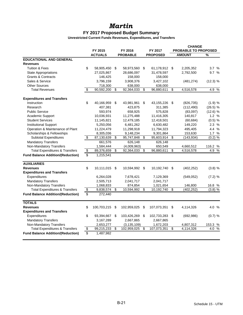### **FY 2017 Proposed Budget Summary**

|                                           |    |                |    |                 |      |                 | <b>CHANGE</b>               |               |           |  |
|-------------------------------------------|----|----------------|----|-----------------|------|-----------------|-----------------------------|---------------|-----------|--|
|                                           |    | FY 2015        |    | FY 2016         |      | FY 2017         | <b>PROBABLE TO PROPOSED</b> |               |           |  |
|                                           |    | <b>ACTUALS</b> |    | <b>PROBABLE</b> |      | <b>PROPOSED</b> |                             | <b>AMOUNT</b> | %         |  |
| <b>EDUCATIONAL AND GENERAL</b>            |    |                |    |                 |      |                 |                             |               |           |  |
| <b>Revenues</b>                           |    |                |    |                 |      |                 |                             |               |           |  |
| <b>Tuition &amp; Fees</b>                 | \$ | 58,905,450     | \$ | 58,973,560      | - \$ | 61,178,912 \$   |                             | 2,205,352     | 3.7%      |  |
| <b>State Appropriations</b>               |    | 27,025,867     |    | 28,686,097      |      | 31,478,597      |                             | 2,792,500     | 9.7%      |  |
| <b>Grants &amp; Contracts</b>             |    | 146,425        |    | 158,000         |      | 158,000         |                             |               |           |  |
| Sales & Service                           |    | 3,796,159      |    | 3,908,376       |      | 3,427,102       |                             | (481, 274)    | (12.3) %  |  |
| <b>Other Sources</b>                      |    | 718,300        |    | 638,000         |      | 638,000         |                             |               |           |  |
| <b>Total Revenues</b>                     | \$ | 90,592,200     | \$ | 92,364,033      | \$   | 96,880,611      | \$                          | 4,516,578     | 4.9 %     |  |
| <b>Expenditures and Transfers</b>         |    |                |    |                 |      |                 |                             |               |           |  |
| Instruction                               | \$ | 40,166,959     | \$ | 43,981,961 \$   |      | 43,155,226      | \$                          | (826, 735)    | (1.9) %   |  |
| Research                                  |    | 407,381        |    | 423,875         |      | 311,385         |                             | (112, 490)    | (26.5) %  |  |
| <b>Public Service</b>                     |    | 593,974        |    | 658,925         |      | 575,828         |                             | (83,097)      | (12.6) %  |  |
| Academic Support                          |    | 10,036,931     |    | 11,275,488      |      | 11,416,305      |                             | 140,817       | 1.2%      |  |
| <b>Student Services</b>                   |    | 11,145,821     |    | 12,479,185      |      | 12,418,501      |                             | (60, 684)     | (0.5) %   |  |
| <b>Institutional Support</b>              |    | 5,250,056      |    | 6,481,262       |      | 6,630,482       |                             | 149,220       | 2.3%      |  |
| Operation & Maintenance of Plant          |    | 11,224,479     |    | 11,298,918      |      | 11,794,323      |                             | 495,405       | 4.4 %     |  |
| Scholarships & Fellowships                |    | 8,305,036      |    | 9,148,234       |      | 9,301,864       |                             | 153,630       | 1.7%      |  |
| <b>Subtotal Expenditures</b>              | \$ | 87,130,639     | \$ | 95,747,848      | \$   | 95,603,914      | \$                          | (143, 934)    | $(0.2)$ % |  |
| <b>Mandatory Transfers</b>                |    | 661,576        |    | 626,148         |      | 626,148         |                             |               |           |  |
| Non-Mandatory Transfers                   |    | 1,584,444      |    | (4,009,963)     |      | 650,549         |                             | 4,660,512     | 116.2 %   |  |
| <b>Total Expenditures &amp; Transfers</b> | \$ | 89,376,659     | \$ | 92,364,033      | \$   | 96,880,611      | \$                          | 4,516,578     | 4.9 %     |  |
| <b>Fund Balance Addition/(Reduction)</b>  | \$ | 1,215,541      |    |                 |      |                 |                             |               |           |  |
| <b>AUXILIARIES</b>                        |    |                |    |                 |      |                 |                             |               |           |  |
| <b>Revenues</b>                           | \$ | 10,111,015     | \$ | 10,594,992      | - \$ | 10,192,740      | \$                          | (402, 252)    | (3.8) %   |  |
| <b>Expenditures and Transfers</b>         |    |                |    |                 |      |                 |                             |               |           |  |
| Expenditures                              |    | 6,264,028      |    | 7,678,421       |      | 7,129,369       |                             | (549, 052)    | $(7.2)$ % |  |
| <b>Mandatory Transfers</b>                |    | 2,505,713      |    | 2,041,717       |      | 2,041,717       |                             |               |           |  |
| Non-Mandatory Transfers                   |    | 1,068,833      |    | 874,854         |      | 1,021,654       |                             | 146,800       | 16.8 %    |  |
| <b>Total Expenditures &amp; Transfers</b> | \$ | 9,838,574      | \$ | 10,594,992      | \$   | 10,192,740      | \$                          | (402, 252)    | (3.8)%    |  |
| <b>Fund Balance Addition/(Reduction)</b>  | \$ | 272,440        |    |                 |      |                 |                             |               |           |  |
| <b>TOTALS</b>                             |    |                |    |                 |      |                 |                             |               |           |  |
| <b>Revenues</b>                           | \$ | 100,703,215    | \$ | 102,959,025     | \$   | 107,073,351     | \$                          | 4,114,326     | 4.0 %     |  |
| <b>Expenditures and Transfers</b>         |    |                |    |                 |      |                 |                             |               |           |  |
| Expenditures                              | \$ | 93,394,667     | \$ | 103,426,269     | \$   | 102,733,283     | \$                          | (692, 986)    | (0.7) %   |  |
| <b>Mandatory Transfers</b>                |    | 3,167,289      |    | 2,667,865       |      | 2,667,865       |                             |               |           |  |
| Non-Mandatory Transfers                   |    | 2,653,277      |    | (3, 135, 109)   |      | 1,672,203       |                             | 4,807,312     | 153.3 %   |  |
| <b>Total Expenditures &amp; Transfers</b> | \$ | 99,215,233     | \$ | 102,959,025     | \$   | 107,073,351     | \$                          | 4,114,326     | 4.0 %     |  |
| <b>Fund Balance Addition/(Reduction)</b>  | \$ | 1,487,982      |    |                 |      |                 |                             |               |           |  |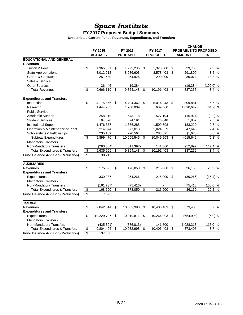# *Space Institute*

### **FY 2017 Proposed Budget Summary**

|                                           |                          |                |                 |                 |                          |                 | <b>CHANGE</b>   |                             |             |  |  |
|-------------------------------------------|--------------------------|----------------|-----------------|-----------------|--------------------------|-----------------|-----------------|-----------------------------|-------------|--|--|
|                                           |                          | FY 2015        |                 | FY 2016         |                          | FY 2017         |                 | <b>PROBABLE TO PROPOSED</b> |             |  |  |
|                                           |                          | <b>ACTUALS</b> |                 | <b>PROBABLE</b> |                          | <b>PROPOSED</b> |                 | <b>AMOUNT</b>               | %           |  |  |
| <b>EDUCATIONAL AND GENERAL</b>            |                          |                |                 |                 |                          |                 |                 |                             |             |  |  |
| <b>Revenues</b>                           |                          |                |                 |                 |                          |                 |                 |                             |             |  |  |
| Tuition & Fees                            | \$                       | 1,365,881      | \$              | 1,293,235       | - \$                     | 1,323,000       | \$              | 29,765                      | 2.3%        |  |  |
| <b>State Appropriations</b>               |                          | 8,012,212      |                 | 8,286,603       |                          | 8,578,403       | \$              | 291,800                     | 3.5%        |  |  |
| <b>Grants &amp; Contracts</b>             |                          | 251,580        |                 | 254,926         |                          | 290,000         |                 | 35,074                      | 13.8 %      |  |  |
| Sales & Service                           |                          |                |                 |                 |                          |                 |                 |                             |             |  |  |
| <b>Other Sources</b>                      |                          | 36,446         |                 | 19,384          |                          |                 |                 | (19, 384)                   | $(100.0)$ % |  |  |
| <b>Total Revenues</b>                     | $\overline{\$}$          | 9,666,119      | \$              | 9,854,148       | $\overline{\mathcal{S}}$ | 10,191,403      | \$              | 337,255                     | 3.4%        |  |  |
| <b>Expenditures and Transfers</b>         |                          |                |                 |                 |                          |                 |                 |                             |             |  |  |
| Instruction                               | \$                       | 4,175,856      | \$              | 4,704,362 \$    |                          | 5,014,243 \$    |                 | 309,881                     | 6.6 %       |  |  |
| Research                                  |                          | 1,444,985      |                 | 1,700,009       |                          | 609,360         |                 | (1,090,649)                 | (64.2) %    |  |  |
| <b>Public Service</b>                     |                          |                |                 |                 |                          |                 |                 |                             |             |  |  |
| Academic Support                          |                          | 258,219        |                 | 543,118         |                          | 527,194         |                 | (15, 924)                   | $(2.9)$ %   |  |  |
| <b>Student Services</b>                   |                          | 94,020         |                 | 74,191          |                          | 76,048          |                 | 1,857                       | 2.5 %       |  |  |
| <b>Institutional Support</b>              |                          | 1,476,377      |                 | 1,376,288       |                          | 1,509,508       |                 | 133,220                     | 9.7 %       |  |  |
| Operation & Maintenance of Plant          |                          | 2,214,874      |                 | 1,977,013       |                          | 2,024,659       |                 | 47,646                      | 2.4 %       |  |  |
| Scholarships & Fellowships                |                          | 235,139        |                 | 290,564         |                          | 288,891         |                 | (1,673)                     | $(0.6)$ %   |  |  |
| Subtotal Expenditures                     | $\overline{\mathbf{e}}$  | 9,899,470      | \$              | 10,665,545      | \$                       | 10,049,903      | \$              | (615, 642)                  | $(5.8)$ %   |  |  |
| <b>Mandatory Transfers</b>                |                          |                |                 |                 |                          |                 |                 |                             |             |  |  |
| Non-Mandatory Transfers                   |                          | (263, 564)     |                 | (811, 397)      |                          | 141,500         |                 | 952,897                     | 117.4 %     |  |  |
| <b>Total Expenditures &amp; Transfers</b> | $\overline{\$}$          | 9,635,906      | $\overline{\$}$ | 9,854,148       | $\overline{\mathcal{S}}$ | 10,191,403      | \$              | 337,255                     | 3.4%        |  |  |
| <b>Fund Balance Addition/(Reduction)</b>  | $\overline{\mathbf{s}}$  | 30,213         |                 |                 |                          |                 |                 |                             |             |  |  |
| <b>AUXILIARIES</b>                        |                          |                |                 |                 |                          |                 |                 |                             |             |  |  |
| <b>Revenues</b>                           | \$                       | 175,895        | \$              | 178,850         | -\$                      | 215,000         | \$              | 36,150                      | 20.2 %      |  |  |
| <b>Expenditures and Transfers</b>         |                          |                |                 |                 |                          |                 |                 |                             |             |  |  |
| Expenditures                              |                          | 330,237        |                 | 254,266         |                          | 215,000         | \$              | (39, 266)                   | $(15.4)$ %  |  |  |
| <b>Mandatory Transfers</b>                |                          |                |                 |                 |                          |                 |                 |                             |             |  |  |
| Non-Mandatory Transfers                   |                          | (161, 737)     |                 | (75, 416)       |                          |                 |                 | 75,416                      | 100.0 %     |  |  |
| <b>Total Expenditures &amp; Transfers</b> | $\overline{\$}$          | 168,500        | \$              | 178,850         | \$                       | 215,000         | \$              | 36.150                      | 20.2 %      |  |  |
| <b>Fund Balance Addition/(Reduction)</b>  | \$                       | 7,395          |                 |                 |                          |                 |                 |                             |             |  |  |
| <b>TOTALS</b>                             |                          |                |                 |                 |                          |                 |                 |                             |             |  |  |
| <b>Revenues</b>                           | \$                       | 9,842,014      | \$              | 10,032,998      | \$                       | 10,406,403      | \$              | 373,405                     | 3.7%        |  |  |
| <b>Expenditures and Transfers</b>         |                          |                |                 |                 |                          |                 |                 |                             |             |  |  |
| Expenditures                              | \$                       | 10,229,707     | \$              | 10,919,811      | \$                       | 10,264,903      | \$              | (654, 908)                  | $(6.0)$ %   |  |  |
| <b>Mandatory Transfers</b>                |                          |                |                 |                 |                          |                 |                 |                             |             |  |  |
| Non-Mandatory Transfers                   |                          | (425, 301)     |                 | (886, 813)      |                          | 141,500         |                 | 1,028,313                   | 116.0 %     |  |  |
| <b>Total Expenditures &amp; Transfers</b> | $\overline{\mathcal{L}}$ | 9,804,406      | \$              | 10,032,998      | $\overline{\$}$          | 10,406,403      | $\overline{\$}$ | 373,405                     | 3.7%        |  |  |
| <b>Fund Balance Addition/(Reduction)</b>  | \$                       | 37,608         |                 |                 |                          |                 |                 |                             |             |  |  |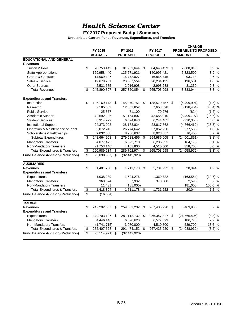### **FY 2017 Proposed Budget Summary**

|                                           |                 |                  |    |                 |     |                 | <b>CHANGE</b> |                      |            |  |
|-------------------------------------------|-----------------|------------------|----|-----------------|-----|-----------------|---------------|----------------------|------------|--|
|                                           |                 | FY 2015          |    | FY 2016         |     | FY 2017         |               | PROBABLE TO PROPOSED |            |  |
|                                           |                 | <b>ACTUALS</b>   |    | <b>PROBABLE</b> |     | <b>PROPOSED</b> |               | <b>AMOUNT</b>        | %          |  |
| <b>EDUCATIONAL AND GENERAL</b>            |                 |                  |    |                 |     |                 |               |                      |            |  |
| <b>Revenues</b>                           |                 |                  |    |                 |     |                 |               |                      |            |  |
| <b>Tuition &amp; Fees</b>                 | \$              | 78,753,143       | \$ | 81,951,644      | \$  | 84,640,459      | \$            | 2,688,815            | 3.3%       |  |
| <b>State Appropriations</b>               |                 | 129,958,440      |    | 135,671,921     |     | 140,995,421     |               | 5,323,500            | 3.9%       |  |
| <b>Grants &amp; Contracts</b>             |                 | 14,969,407       |    | 16,772,027      |     | 16,865,745      |               | 93.718               | 0.6%       |  |
| Sales & Service                           |                 | 19,678,231       |    | 20,007,554      |     | 20,204,135      |               | 196,581              | 1.0%       |  |
| <b>Other Sources</b>                      |                 | 2,531,675        |    | 2,916,908       |     | 2,998,238       |               | 81,330               | 2.8 %      |  |
| <b>Total Revenues</b>                     | \$              | 245,890,897      | \$ | 257,320,054     | \$  | 265,703,998     | \$            | 8,383,944            | 3.3%       |  |
| <b>Expenditures and Transfers</b>         |                 |                  |    |                 |     |                 |               |                      |            |  |
| Instruction                               | \$              | 126,169,173      | \$ | 145,070,751     | \$  | 138,570,757     | \$            | (6,499,994)          | (4.5) %    |  |
| Research                                  |                 | 7,185,683        |    | 12,851,852      |     | 7,653,398       |               | (5, 198, 454)        | (40.4) %   |  |
| <b>Public Service</b>                     |                 | 25,577           |    | 71,100          |     | 70,276          |               | (824)                | (1.2) %    |  |
| Academic Support                          |                 | 42,692,206       |    | 51,154,807      |     | 42,655,010      |               | (8,499,797)          | $(16.6)$ % |  |
| <b>Student Services</b>                   |                 | 6,314,922        |    | 6,574,843       |     | 6,244,485       |               | (330, 358)           | (5.0) %    |  |
| <b>Institutional Support</b>              |                 | 24,373,093       |    | 28,183,824      |     | 23,817,362      |               | (4,366,462)          | (15.5) %   |  |
| Operation & Maintenance of Plant          |                 | 32,872,246       |    | 26,774,642      |     | 27,052,230      |               | 277,588              | 1.0%       |  |
| Scholarships & Fellowships                |                 | 9,032,008        |    | 8,906,637       |     | 8,923,087       |               | 16,450               | 0.2%       |  |
| <b>Subtotal Expenditures</b>              | \$              | 248,664,908      | \$ | 279,588,456     | \$  | 254,986,605     | \$            | (24, 601, 851)       | $(8.8)$ %  |  |
| <b>Mandatory Transfers</b>                |                 | 4,077,472        |    | 6,022,718       |     | 6,206,893       |               | 184,175              | 3.1%       |  |
| Non-Mandatory Transfers                   |                 | (1,753,146)      |    | 4,151,800       |     | 4,510,500       |               | 358,700              | 8.6 %      |  |
| <b>Total Expenditures &amp; Transfers</b> | \$              | 250,989,234      | \$ | 289,762,974     | \$  | 265,703,998     | \$            | (24,058,976)         | $(8.3)$ %  |  |
| <b>Fund Balance Addition/(Reduction)</b>  | \$              | $(5,098,337)$ \$ |    | (32, 442, 920)  |     |                 |               |                      |            |  |
| <b>AUXILIARIES</b>                        |                 |                  |    |                 |     |                 |               |                      |            |  |
| <b>Revenues</b>                           | \$              | 1,401,760        | \$ | 1,711,178       | -\$ | 1,731,222       | \$            | 20,044               | 1.2%       |  |
| <b>Expenditures and Transfers</b>         |                 |                  |    |                 |     |                 |               |                      |            |  |
| Expenditures                              |                 | 1,038,289        |    | 1,524,276       |     | 1,360,722       |               | (163, 554)           | $(10.7)$ % |  |
| <b>Mandatory Transfers</b>                |                 | 368,674          |    | 367,902         |     | 370,500         |               | 2,598                | 0.7%       |  |
| Non-Mandatory Transfers                   |                 | 11,431           |    | (181,000)       |     |                 |               | 181,000              | 100.0 %    |  |
| <b>Total Expenditures &amp; Transfers</b> | \$              | 1,418,394        | \$ | 1,711,178       | \$  | 1,731,222       | \$            | 20,044               | 1.2%       |  |
| <b>Fund Balance Addition/(Reduction)</b>  | \$              | (16, 634)        |    |                 |     |                 |               |                      |            |  |
| <b>TOTALS</b>                             |                 |                  |    |                 |     |                 |               |                      |            |  |
| <b>Revenues</b>                           | \$              | 247,292,657      | \$ | 259,031,232     | \$  | 267,435,220     | \$            | 8,403,988            | 3.2 %      |  |
| <b>Expenditures and Transfers</b>         |                 |                  |    |                 |     |                 |               |                      |            |  |
| Expenditures                              | \$              | 249,703,197      | \$ | 281,112,732 \$  |     | 256, 347, 327   | \$            | (24, 765, 405)       | $(8.8)$ %  |  |
| <b>Mandatory Transfers</b>                |                 | 4,446,146        |    | 6,390,620       |     | 6,577,393       |               | 186,773              | 2.9 %      |  |
| Non-Mandatory Transfers                   |                 | (1,741,715)      |    | 3,970,800       |     | 4,510,500       |               | 539,700              | 13.6 %     |  |
| <b>Total Expenditures &amp; Transfers</b> | \$              | 252,407,628      | \$ | 291,474,152     | \$  | 267,435,220     | \$            | (24, 038, 932)       | $(8.2)$ %  |  |
| <b>Fund Balance Addition/(Reduction)</b>  | $\overline{\$}$ | $(5,114,971)$ \$ |    | (32, 442, 920)  |     |                 |               |                      |            |  |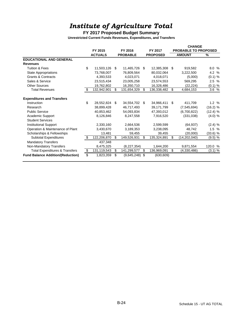# *Institute of Agriculture Total*

## **FY 2017 Proposed Budget Summary**

|                                           |                   |    |                 |      |                 |      | <b>CHANGE</b>               |               |  |  |
|-------------------------------------------|-------------------|----|-----------------|------|-----------------|------|-----------------------------|---------------|--|--|
|                                           | FY 2015           |    | FY 2016         |      | FY 2017         |      | <b>PROBABLE TO PROPOSED</b> |               |  |  |
|                                           | <b>ACTUALS</b>    |    | <b>PROBABLE</b> |      | <b>PROPOSED</b> |      | <b>AMOUNT</b>               | $\frac{9}{6}$ |  |  |
| <b>EDUCATIONAL AND GENERAL</b>            |                   |    |                 |      |                 |      |                             |               |  |  |
| <b>Revenues</b>                           |                   |    |                 |      |                 |      |                             |               |  |  |
| <b>Tuition &amp; Fees</b>                 | \$<br>11,503,126  | S. | 11,465,726      | - \$ | 12,385,308      | - \$ | 919,582                     | 8.0 %         |  |  |
| <b>State Appropriations</b>               | 73,768,007        |    | 76.809.564      |      | 80.032.064      |      | 3,222,500                   | 4.2 %         |  |  |
| <b>Grants &amp; Contracts</b>             | 4,393,533         |    | 4,023,071       |      | 4,018,071       |      | (5,000)                     | (0.1) %       |  |  |
| Sales & Service                           | 23,515,434        |    | 23,005,258      |      | 23,574,553      |      | 569,295                     | 2.5%          |  |  |
| <b>Other Sources</b>                      | 19,762,802        |    | 16,350,710      |      | 16,328,486      |      | (22, 224)                   | (0.1) %       |  |  |
| <b>Total Revenues</b>                     | \$<br>132,942,901 | \$ | 131,654,329     | \$   | 136,338,482     | \$   | 4,684,153                   | 3.6 %         |  |  |
| <b>Expenditures and Transfers</b>         |                   |    |                 |      |                 |      |                             |               |  |  |
| Instruction                               | \$<br>28,552,824  | \$ | 34,554,702      | \$   | 34,966,411      | \$.  | 411,709                     | 1.2 %         |  |  |
| Research                                  | 38,899,428        |    | 46,717,493      |      | 39,171,799      |      | (7, 545, 694)               | (16.2) %      |  |  |
| <b>Public Service</b>                     | 40.853.462        |    | 54.093.834      |      | 47,393,012      |      | (6,700,822)                 | (12.4) %      |  |  |
| Academic Support                          | 8,126,846         |    | 8,247,558       |      | 7,916,520       |      | (331,038)                   | (4.0) %       |  |  |
| <b>Student Services</b>                   |                   |    |                 |      |                 |      |                             |               |  |  |
| <b>Institutional Support</b>              | 2,330,160         |    | 2,664,536       |      | 2,599,599       |      | (64, 937)                   | (2.4) %       |  |  |
| Operation & Maintenance of Plant          | 3,430,670         |    | 3,189,353       |      | 3,238,095       |      | 48,742                      | 1.5 %         |  |  |
| Scholarships & Fellowships                | 13,481            |    | 59,455          |      | 39,455          |      | (20,000)                    | (33.6) %      |  |  |
| Subtotal Expenditures                     | \$<br>122,206,870 | \$ | 149,526,931     | \$   | 135,324,891     | \$   | (14,202,040)                | (9.5) %       |  |  |
| <b>Mandatory Transfers</b>                | 437,348           |    |                 |      |                 |      |                             |               |  |  |
| Non-Mandatory Transfers                   | 8,475,325         |    | (8, 227, 354)   |      | 1,644,200       |      | 9,871,554                   | 120.0 %       |  |  |
| <b>Total Expenditures &amp; Transfers</b> | \$<br>131,119,543 | \$ | 141,299,577     | \$   | 136,969,091     | \$   | (4,330,486)                 | (3.1) %       |  |  |
| <b>Fund Balance Addition/(Reduction)</b>  | \$<br>1,823,359   | \$ | (9,645,248)     | -\$  | (630, 609)      |      |                             |               |  |  |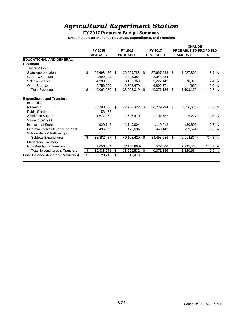# *Agricultural Experiment Station*

### **FY 2017 Proposed Budget Summary**

|                                           |                         |                |    |                 |                  | <b>CHANGE</b>               |               |               |  |
|-------------------------------------------|-------------------------|----------------|----|-----------------|------------------|-----------------------------|---------------|---------------|--|
|                                           |                         | FY 2015        |    | FY 2016         | FY 2017          | <b>PROBABLE TO PROPOSED</b> |               |               |  |
|                                           |                         | <b>ACTUALS</b> |    | <b>PROBABLE</b> | <b>PROPOSED</b>  |                             | <b>AMOUNT</b> | $\frac{9}{6}$ |  |
| <b>EDUCATIONAL AND GENERAL</b>            |                         |                |    |                 |                  |                             |               |               |  |
| <b>Revenues</b>                           |                         |                |    |                 |                  |                             |               |               |  |
| <b>Tuition &amp; Fees</b>                 |                         |                |    |                 |                  |                             |               |               |  |
| <b>State Appropriations</b>               | \$                      | 25,698,486     | S  | 26,669,788      | \$<br>27,697,588 | \$                          | 1,027,800     | 3.9 %         |  |
| <b>Grants &amp; Contracts</b>             |                         | 2,699,009      |    | 2,343,384       | 2,343,384        |                             |               |               |  |
| Sales & Service                           |                         | 4.908.965      |    | 3.151.368       | 3.227.443        |                             | 76,075        | 2.4%          |  |
| <b>Other Sources</b>                      |                         | 6,756,220      |    | 6,803,470       | 6,802,771        |                             | (699)         | 0.0 %         |  |
| <b>Total Revenues</b>                     | \$                      | 40,062,680     | \$ | 38,968,010      | \$<br>40,071,186 | \$.                         | 1,103,176     | 2.8 %         |  |
| <b>Expenditures and Transfers</b>         |                         |                |    |                 |                  |                             |               |               |  |
| Instruction                               |                         |                |    |                 |                  |                             |               |               |  |
| Research                                  |                         | 35,790,080     | \$ | 42,786,422      | \$<br>36,229,794 | -\$                         | (6, 556, 628) | (15.3) %      |  |
| <b>Public Service</b>                     |                         | 58,453         |    |                 |                  |                             |               |               |  |
| Academic Support                          |                         | 1,677,959      |    | 1,696,410       | 1,701,637        |                             | 5,227         | 0.3%          |  |
| <b>Student Services</b>                   |                         |                |    |                 |                  |                             |               |               |  |
| <b>Institutional Support</b>              |                         | 920,143        |    | 1,149,904       | 1,119,012        |                             | (30, 892)     | (2.7) %       |  |
| Operation & Maintenance of Plant          |                         | 435,803        |    | 475,684         | 443,143          |                             | (32, 541)     | $(6.8)$ %     |  |
| Scholarships & Fellowships                |                         |                |    |                 |                  |                             |               |               |  |
| <b>Subtotal Expenditures</b>              | \$                      | 38,882,437     | \$ | 46,108,420      | \$<br>39,493,586 | \$                          | (6,614,834)   | (14.3) %      |  |
| <b>Mandatory Transfers</b>                |                         |                |    |                 |                  |                             |               |               |  |
| Non-Mandatory Transfers                   |                         | 1,056,534      |    | (7, 157, 888)   | 577,600          |                             | 7,735,488     | 108.1 %       |  |
| <b>Total Expenditures &amp; Transfers</b> | $\overline{\mathbf{e}}$ | 39,938,971     | \$ | 38,950,532      | \$<br>40,071,186 | \$                          | 1,120,654     | 2.9 %         |  |
| <b>Fund Balance Addition/(Reduction)</b>  |                         | 123,710        | \$ | 17,478          |                  |                             |               |               |  |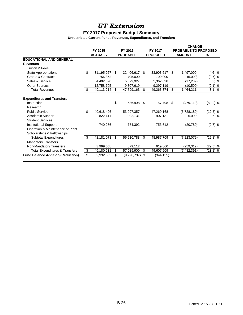## *UT Extension*

### **FY 2017 Proposed Budget Summary**

|                                           |                               |    |                  |    |                 | <b>CHANGE</b>               |               |          |  |
|-------------------------------------------|-------------------------------|----|------------------|----|-----------------|-----------------------------|---------------|----------|--|
|                                           | FY 2015                       |    | FY 2016          |    | FY 2017         | <b>PROBABLE TO PROPOSED</b> |               |          |  |
|                                           | <b>ACTUALS</b>                |    | <b>PROBABLE</b>  |    | <b>PROPOSED</b> |                             | <b>AMOUNT</b> | %        |  |
| <b>EDUCATIONAL AND GENERAL</b>            |                               |    |                  |    |                 |                             |               |          |  |
| <b>Revenues</b>                           |                               |    |                  |    |                 |                             |               |          |  |
| <b>Tuition &amp; Fees</b>                 |                               |    |                  |    |                 |                             |               |          |  |
| <b>State Appropriations</b>               | \$<br>31,195,267              | \$ | 32,406,617       | \$ | 33,903,617      | \$                          | 1,497,000     | 4.6 %    |  |
| <b>Grants &amp; Contracts</b>             | 756,352                       |    | 705,000          |    | 700,000         |                             | (5,000)       | (0.7) %  |  |
| Sales & Service                           | 4,402,890                     |    | 5,379,927        |    | 5,362,638       |                             | (17, 289)     | (0.3) %  |  |
| <b>Other Sources</b>                      | 12,758,705                    |    | 9,307,619        |    | 9,297,119       |                             | (10, 500)     | (0.1) %  |  |
| <b>Total Revenues</b>                     | \$<br>$\overline{49,}113,214$ | \$ | 47,799,163       | \$ | 49,263,374      | \$                          | 1,464,211     | 3.1%     |  |
| <b>Expenditures and Transfers</b>         |                               |    |                  |    |                 |                             |               |          |  |
| Instruction                               |                               | \$ | 536,908          | \$ | 57,798          | - \$                        | (479, 110)    | (89.2) % |  |
| Research                                  |                               |    |                  |    |                 |                             |               |          |  |
| <b>Public Service</b>                     | \$<br>40,618,406              |    | 53,997,357       |    | 47,269,168      |                             | (6,728,189)   | (12.5) % |  |
| Academic Support                          | 822,411                       |    | 902,131          |    | 907,131         |                             | 5.000         | 0.6%     |  |
| <b>Student Services</b>                   |                               |    |                  |    |                 |                             |               |          |  |
| <b>Institutional Support</b>              | 740,256                       |    | 774,392          |    | 753,612         |                             | (20, 780)     | (2.7) %  |  |
| Operation & Maintenance of Plant          |                               |    |                  |    |                 |                             |               |          |  |
| Scholarships & Fellowships                |                               |    |                  |    |                 |                             |               |          |  |
| <b>Subtotal Expenditures</b>              | \$<br>42,181,073              | \$ | 56,210,788       | \$ | 48,987,709      | \$                          | (7,223,079)   | (12.8) % |  |
| <b>Mandatory Transfers</b>                |                               |    |                  |    |                 |                             |               |          |  |
| Non-Mandatory Transfers                   | 3,999,558                     |    | 879,112          |    | 619,800         |                             | (259, 312)    | (29.5) % |  |
| <b>Total Expenditures &amp; Transfers</b> | \$<br>46,180,631              | \$ | 57,089,900       | \$ | 49,607,509      | \$.                         | (7,482,391)   | (13.1) % |  |
| <b>Fund Balance Addition/(Reduction)</b>  | \$<br>2,932,583               | \$ | $(9,290,737)$ \$ |    | (344, 135)      |                             |               |          |  |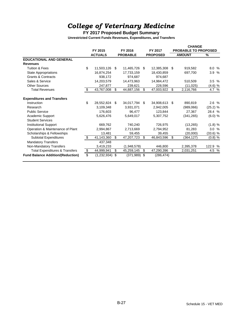# *College of Veterinary Medicine*

### **FY 2017 Proposed Budget Summary**

|                                           |                   |                       |    | <b>CHANGE</b>   |      |                      |               |
|-------------------------------------------|-------------------|-----------------------|----|-----------------|------|----------------------|---------------|
|                                           | FY 2015           | FY 2016               |    | FY 2017         |      | PROBABLE TO PROPOSED |               |
|                                           | <b>ACTUALS</b>    | <b>PROBABLE</b>       |    | <b>PROPOSED</b> |      | <b>AMOUNT</b>        | $\frac{9}{6}$ |
| <b>EDUCATIONAL AND GENERAL</b>            |                   |                       |    |                 |      |                      |               |
| <b>Revenues</b>                           |                   |                       |    |                 |      |                      |               |
| <b>Tuition &amp; Fees</b>                 | \$<br>11,503,126  | \$<br>11,465,726      | \$ | 12,385,308      | - \$ | 919,582              | 8.0 %         |
| State Appropriations                      | 16,874,254        | 17,733,159            |    | 18,430,859      |      | 697,700              | 3.9 %         |
| <b>Grants &amp; Contracts</b>             | 938,172           | 974,687               |    | 974,687         |      |                      |               |
| Sales & Service                           | 14,203,579        | 14,473,963            |    | 14,984,472      |      | 510,509              | 3.5%          |
| Other Sources                             | 247,877           | 239,621               |    | 228,596         |      | (11, 025)            | (4.6) %       |
| <b>Total Revenues</b>                     | \$<br>43,767,008  | \$<br>44,887,156      | \$ | 47,003,922      | \$   | 2,116,766            | 4.7 %         |
| <b>Expenditures and Transfers</b>         |                   |                       |    |                 |      |                      |               |
| Instruction                               | \$<br>28,552,824  | \$<br>34,017,794      | \$ | 34,908,613      | -S   | 890,819              | 2.6 %         |
| Research                                  | 3,109,348         | 3,931,071             |    | 2,942,005       |      | (989,066)            | (25.2) %      |
| <b>Public Service</b>                     | 176,603           | 96,477                |    | 123,844         |      | 27,367               | 28.4 %        |
| Academic Support                          | 5,626,476         | 5,649,017             |    | 5,307,752       |      | (341, 265)           | (6.0) %       |
| <b>Student Services</b>                   |                   |                       |    |                 |      |                      |               |
| <b>Institutional Support</b>              | 669,762           | 740,240               |    | 726,975         |      | (13,265)             | (1.8) %       |
| Operation & Maintenance of Plant          | 2,994,867         | 2,713,669             |    | 2,794,952       |      | 81,283               | 3.0%          |
| Scholarships & Fellowships                | 13,481            | 59,455                |    | 39,455          |      | (20,000)             | $(33.6)$ %    |
| Subtotal Expenditures                     | \$<br>41,143,360  | \$<br>47,207,723      | \$ | 46,843,596      | \$   | (364, 127)           | $(0.8)$ %     |
| <b>Mandatory Transfers</b>                | 437,348           |                       |    |                 |      |                      |               |
| Non-Mandatory Transfers                   | 3,419,233         | (1,948,578)           |    | 446,800         |      | 2,395,378            | 122.9 %       |
| <b>Total Expenditures &amp; Transfers</b> | \$<br>44,999,941  | \$<br>45,259,145      | \$ | 47,290,396      | \$   | 2,031,251            | 4.5 %         |
| <b>Fund Balance Addition/(Reduction)</b>  | \$<br>(1,232,934) | \$<br>$(371, 989)$ \$ |    | (286, 474)      |      |                      |               |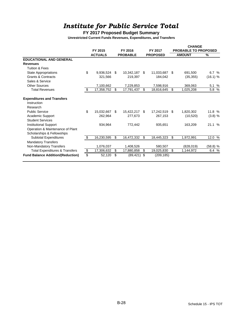# *Institute for Public Service Total*

## **FY 2017 Proposed Budget Summary**

|                                           | FY 2015          |    | FY 2016         | FY 2017 | <b>CHANGE</b><br>PROBABLE TO PROPOSED |               |            |                    |
|-------------------------------------------|------------------|----|-----------------|---------|---------------------------------------|---------------|------------|--------------------|
|                                           | <b>ACTUALS</b>   |    | <b>PROBABLE</b> |         | <b>PROPOSED</b>                       | <b>AMOUNT</b> |            | $\frac{9}{6}$      |
| <b>EDUCATIONAL AND GENERAL</b>            |                  |    |                 |         |                                       |               |            |                    |
| <b>Revenues</b>                           |                  |    |                 |         |                                       |               |            |                    |
| <b>Tuition &amp; Fees</b>                 |                  |    |                 |         |                                       |               |            |                    |
| State Appropriations                      | \$<br>9,936,524  | \$ | 10,342,187      | \$      | 11,033,687                            | \$.           | 691,500    | 6.7 %              |
| <b>Grants &amp; Contracts</b>             | 321,566          |    | 219,397         |         | 184,042                               |               | (35, 355)  | (16.1) %           |
| Sales & Service                           |                  |    |                 |         |                                       |               |            |                    |
| Other Sources                             | 7,100,662        |    | 7,229,853       |         | 7,598,916                             |               | 369,063    | 5.1 %              |
| <b>Total Revenues</b>                     | \$<br>17,358,752 | \$ | 17,791,437      | \$      | 18,816,645                            | \$            | 1,025,208  | $\overline{5.8}$ % |
| <b>Expenditures and Transfers</b>         |                  |    |                 |         |                                       |               |            |                    |
| Instruction                               |                  |    |                 |         |                                       |               |            |                    |
| Research                                  |                  |    |                 |         |                                       |               |            |                    |
| <b>Public Service</b>                     | \$<br>15,032,667 | \$ | 15,422,217      | \$      | 17,242,519                            | - \$          | 1,820,302  | 11.8 %             |
| Academic Support                          | 262,964          |    | 277.673         |         | 267,153                               |               | (10, 520)  | (3.8) %            |
| <b>Student Services</b>                   |                  |    |                 |         |                                       |               |            |                    |
| <b>Institutional Support</b>              | 934,964          |    | 772,442         |         | 935,651                               |               | 163,209    | 21.1%              |
| Operation & Maintenance of Plant          |                  |    |                 |         |                                       |               |            |                    |
| Scholarships & Fellowships                |                  |    |                 |         |                                       |               |            |                    |
| Subtotal Expenditures                     | \$<br>16,230,595 | \$ | 16,472,332      | \$      | 18,445,323                            | \$            | 1,972,991  | 12.0 %             |
| <b>Mandatory Transfers</b>                |                  |    |                 |         |                                       |               |            |                    |
| Non-Mandatory Transfers                   | 1,076,037        |    | 1,408,526       |         | 580,507                               |               | (828, 019) | $(58.8)$ %         |
| <b>Total Expenditures &amp; Transfers</b> | \$<br>17,306,632 | \$ | 17,880,858      | \$      | 19,025,830                            | -S            | 1,144,972  | 6.4 %              |
| <b>Fund Balance Addition/(Reduction)</b>  | \$<br>52,120     | \$ | (89, 421)       | \$      | (209, 185)                            |               |            |                    |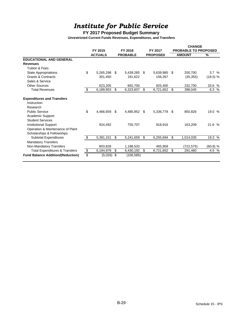# *Institute for Public Service*

## **FY 2017 Proposed Budget Summary**

|                                           | FY 2015 |                | FY 2016 |                 |    | FY 2017         |     | <b>CHANGE</b><br><b>PROBABLE TO PROPOSED</b> |            |  |  |
|-------------------------------------------|---------|----------------|---------|-----------------|----|-----------------|-----|----------------------------------------------|------------|--|--|
|                                           |         | <b>ACTUALS</b> |         | <b>PROBABLE</b> |    | <b>PROPOSED</b> |     | <b>AMOUNT</b>                                | %          |  |  |
| <b>EDUCATIONAL AND GENERAL</b>            |         |                |         |                 |    |                 |     |                                              |            |  |  |
| <b>Revenues</b>                           |         |                |         |                 |    |                 |     |                                              |            |  |  |
| <b>Tuition &amp; Fees</b>                 |         |                |         |                 |    |                 |     |                                              |            |  |  |
| <b>State Appropriations</b>               | \$      | 5,265,298      | \$      | 5,439,285       | S  | 5,639,985       | -\$ | 200,700                                      | 3.7%       |  |  |
| <b>Grants &amp; Contracts</b>             |         | 301,450        |         | 191,622         |    | 156,267         |     | (35, 355)                                    | (18.5) %   |  |  |
| Sales & Service                           |         |                |         |                 |    |                 |     |                                              |            |  |  |
| Other Sources                             |         | 623.205        |         | 692.700         |    | 925,400         |     | 232,700                                      | 33.6 %     |  |  |
| <b>Total Revenues</b>                     | \$      | 6,189,953      | \$      | 6,323,607       | \$ | 6,721,652 \$    |     | 398,045                                      | 6.3 %      |  |  |
| <b>Expenditures and Transfers</b>         |         |                |         |                 |    |                 |     |                                              |            |  |  |
| Instruction                               |         |                |         |                 |    |                 |     |                                              |            |  |  |
| Research                                  |         |                |         |                 |    |                 |     |                                              |            |  |  |
| <b>Public Service</b>                     | \$      | 4,466,659      | \$      | 4,485,952       | \$ | 5,336,778       | -\$ | 850,826                                      | 19.0 %     |  |  |
| Academic Support                          |         |                |         |                 |    |                 |     |                                              |            |  |  |
| <b>Student Services</b>                   |         |                |         |                 |    |                 |     |                                              |            |  |  |
| <b>Institutional Support</b>              |         | 924,492        |         | 755,707         |    | 918,916         |     | 163,209                                      | 21.6 %     |  |  |
| Operation & Maintenance of Plant          |         |                |         |                 |    |                 |     |                                              |            |  |  |
| Scholarships & Fellowships                |         |                |         |                 |    |                 |     |                                              |            |  |  |
| Subtotal Expenditures                     | \$      | 5,391,151      | \$      | 5,241,659       | \$ | 6,255,694       | \$  | 1,014,035                                    | 19.3 %     |  |  |
| <b>Mandatory Transfers</b>                |         |                |         |                 |    |                 |     |                                              |            |  |  |
| Non-Mandatory Transfers                   |         | 803,828        |         | 1,188,533       |    | 465.958         |     | (722, 575)                                   | $(60.8)$ % |  |  |
| <b>Total Expenditures &amp; Transfers</b> | \$      | 6,194,979      | \$      | 6,430,192       | \$ | 6,721,652       | \$  | 291,460                                      | 4.5 %      |  |  |
| <b>Fund Balance Addition/(Reduction)</b>  | \$      | (5,026)        | \$      | (106, 585)      |    |                 |     |                                              |            |  |  |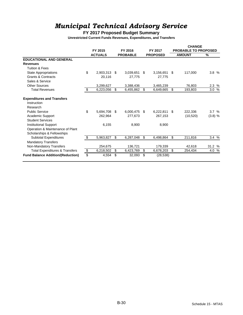# *Municipal Technical Advisory Service*

### **FY 2017 Proposed Budget Summary**

|                                           | FY 2015 |                |    | FY 2016         | FY 2017 |                 | <b>CHANGE</b><br>PROBABLE TO PROPOSED |           |               |  |
|-------------------------------------------|---------|----------------|----|-----------------|---------|-----------------|---------------------------------------|-----------|---------------|--|
|                                           |         | <b>ACTUALS</b> |    | <b>PROBABLE</b> |         | <b>PROPOSED</b> | <b>AMOUNT</b>                         |           | $\frac{9}{6}$ |  |
| <b>EDUCATIONAL AND GENERAL</b>            |         |                |    |                 |         |                 |                                       |           |               |  |
| <b>Revenues</b>                           |         |                |    |                 |         |                 |                                       |           |               |  |
| <b>Tuition &amp; Fees</b>                 |         |                |    |                 |         |                 |                                       |           |               |  |
| State Appropriations                      | \$      | 2,903,313      | \$ | 3,039,651       | \$      | 3,156,651       | \$                                    | 117,000   | 3.8%          |  |
| <b>Grants &amp; Contracts</b>             |         | 20,116         |    | 27,775          |         | 27,775          |                                       |           |               |  |
| Sales & Service                           |         |                |    |                 |         |                 |                                       |           |               |  |
| <b>Other Sources</b>                      |         | 3,299,627      |    | 3,388,436       |         | 3,465,239       |                                       | 76,803    | 2.3 %         |  |
| <b>Total Revenues</b>                     | \$      | 6,223,056      | \$ | 6,455,862       | \$      | 6,649,665       | \$                                    | 193,803   | 3.0 %         |  |
| <b>Expenditures and Transfers</b>         |         |                |    |                 |         |                 |                                       |           |               |  |
| Instruction                               |         |                |    |                 |         |                 |                                       |           |               |  |
| Research                                  |         |                |    |                 |         |                 |                                       |           |               |  |
| <b>Public Service</b>                     | \$      | 5,694,708      | \$ | 6,000,475       | \$      | 6,222,811       | -\$                                   | 222.336   | 3.7%          |  |
| Academic Support                          |         | 262,964        |    | 277.673         |         | 267,153         |                                       | (10, 520) | (3.8) %       |  |
| <b>Student Services</b>                   |         |                |    |                 |         |                 |                                       |           |               |  |
| <b>Institutional Support</b>              |         | 6,155          |    | 8,900           |         | 8,900           |                                       |           |               |  |
| Operation & Maintenance of Plant          |         |                |    |                 |         |                 |                                       |           |               |  |
| Scholarships & Fellowships                |         |                |    |                 |         |                 |                                       |           |               |  |
| Subtotal Expenditures                     | \$      | 5,963,827      | \$ | 6,287,048       | \$      | 6,498,864       | \$                                    | 211,816   | 3.4%          |  |
| <b>Mandatory Transfers</b>                |         |                |    |                 |         |                 |                                       |           |               |  |
| Non-Mandatory Transfers                   |         | 254.675        |    | 136,721         |         | 179,339         |                                       | 42.618    | 31.2 %        |  |
| <b>Total Expenditures &amp; Transfers</b> | \$      | 6,218,502      | \$ | 6,423,769       | \$      | 6,678,203       | \$                                    | 254,434   | 4.0 %         |  |
| <b>Fund Balance Addition/(Reduction)</b>  |         | 4,554          | \$ | 32,093          | \$      | (28, 538)       |                                       |           |               |  |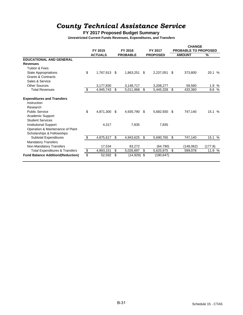# *County Technical Assistance Service*

**FY 2017 Proposed Budget Summary**

|                                           |                 |                     |                    | <b>CHANGE</b> |                             |         |  |
|-------------------------------------------|-----------------|---------------------|--------------------|---------------|-----------------------------|---------|--|
|                                           | FY 2015         | FY 2016             | FY 2017            |               | <b>PROBABLE TO PROPOSED</b> |         |  |
|                                           | <b>ACTUALS</b>  | <b>PROBABLE</b>     | <b>PROPOSED</b>    |               | <b>AMOUNT</b>               | %       |  |
| <b>EDUCATIONAL AND GENERAL</b>            |                 |                     |                    |               |                             |         |  |
| <b>Revenues</b>                           |                 |                     |                    |               |                             |         |  |
| Tuition & Fees                            |                 |                     |                    |               |                             |         |  |
| State Appropriations                      | \$<br>1,767,913 | \$<br>1,863,251     | \$<br>2,237,051    | \$            | 373,800                     | 20.1 %  |  |
| <b>Grants &amp; Contracts</b>             |                 |                     |                    |               |                             |         |  |
| Sales & Service                           |                 |                     |                    |               |                             |         |  |
| <b>Other Sources</b>                      | 3,177,830       | 3,148,717           | 3,208,277          |               | 59,560                      | 1.9 %   |  |
| <b>Total Revenues</b>                     | \$<br>4,945,743 | \$<br>5,011,968     | \$<br>5,445,328    | \$            | 433,360                     | 8.6 %   |  |
| <b>Expenditures and Transfers</b>         |                 |                     |                    |               |                             |         |  |
| Instruction                               |                 |                     |                    |               |                             |         |  |
| Research                                  |                 |                     |                    |               |                             |         |  |
| <b>Public Service</b>                     | \$<br>4,871,300 | \$<br>4,935,790     | \$<br>5,682,930 \$ |               | 747,140                     | 15.1 %  |  |
| Academic Support                          |                 |                     |                    |               |                             |         |  |
| <b>Student Services</b>                   |                 |                     |                    |               |                             |         |  |
| <b>Institutional Support</b>              | 4,317           | 7,835               | 7,835              |               |                             |         |  |
| Operation & Maintenance of Plant          |                 |                     |                    |               |                             |         |  |
| Scholarships & Fellowships                |                 |                     |                    |               |                             |         |  |
| <b>Subtotal Expenditures</b>              | \$<br>4,875,617 | \$<br>4,943,625     | \$<br>5,690,765    | \$            | 747,140                     | 15.1 %  |  |
| <b>Mandatory Transfers</b>                |                 |                     |                    |               |                             |         |  |
| Non-Mandatory Transfers                   | 17,534          | 83,272              | (64, 790)          |               | (148,062)                   | (177.8) |  |
| <b>Total Expenditures &amp; Transfers</b> | \$<br>4,893,151 | \$<br>5,026,897     | \$<br>5,625,975    | \$            | 599,078                     | 11.9 %  |  |
| <b>Fund Balance Addition/(Reduction)</b>  | \$<br>52,592    | \$<br>$(14,929)$ \$ | (180, 647)         |               |                             |         |  |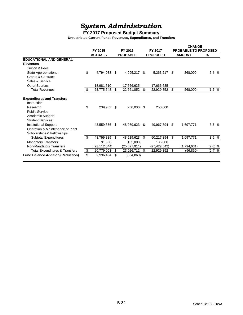# *System Administration*

## **FY 2017 Proposed Budget Summary**

|                                           | FY 2015          | FY 2016             |    | FY 2017         |     | <b>CHANGE</b><br><b>PROBABLE TO PROPOSED</b> |                     |
|-------------------------------------------|------------------|---------------------|----|-----------------|-----|----------------------------------------------|---------------------|
|                                           | <b>ACTUALS</b>   | <b>PROBABLE</b>     |    | <b>PROPOSED</b> |     | <b>AMOUNT</b>                                | %                   |
| <b>EDUCATIONAL AND GENERAL</b>            |                  |                     |    |                 |     |                                              |                     |
| <b>Revenues</b>                           |                  |                     |    |                 |     |                                              |                     |
| Tuition & Fees                            |                  |                     |    |                 |     |                                              |                     |
| State Appropriations                      | \$<br>4,794,038  | \$<br>4,995,217     | \$ | 5,263,217       | \$  | 268,000                                      | 5.4 %               |
| <b>Grants &amp; Contracts</b>             |                  |                     |    |                 |     |                                              |                     |
| Sales & Service                           |                  |                     |    |                 |     |                                              |                     |
| Other Sources                             | 18,981,510       | 17,666,635          |    | 17,666,635      |     |                                              |                     |
| <b>Total Revenues</b>                     | \$<br>23,775,548 | \$<br>22,661,852 \$ |    | 22,929,852      | -\$ | 268,000                                      | $1.2\%$             |
| <b>Expenditures and Transfers</b>         |                  |                     |    |                 |     |                                              |                     |
| Instruction                               |                  |                     |    |                 |     |                                              |                     |
| Research                                  | \$<br>239,983    | \$<br>250,000       | \$ | 250,000         |     |                                              |                     |
| <b>Public Service</b>                     |                  |                     |    |                 |     |                                              |                     |
| Academic Support                          |                  |                     |    |                 |     |                                              |                     |
| <b>Student Services</b>                   |                  |                     |    |                 |     |                                              |                     |
| <b>Institutional Support</b>              | 43,559,856       | \$<br>48,269,623    | -S | 49,967,394 \$   |     | 1,697,771                                    | 3.5%                |
| Operation & Maintenance of Plant          |                  |                     |    |                 |     |                                              |                     |
| Scholarships & Fellowships                |                  |                     |    |                 |     |                                              |                     |
| Subtotal Expenditures                     | \$<br>43,799,839 | \$<br>48,519,623    | \$ | 50,217,394      | \$  | 1,697,771                                    | 3.5%                |
| <b>Mandatory Transfers</b>                | 91,568           | 135,000             |    | 135,000         |     |                                              |                     |
| Non-Mandatory Transfers                   | (23,112,344)     | (25,627,911)        |    | (27, 422, 542)  |     | (1,794,631)                                  | (7.0) %             |
| <b>Total Expenditures &amp; Transfers</b> | \$<br>20,779,063 | \$<br>23,026,712    | \$ | 22,929,852      | \$  | (96, 860)                                    | $(0.4) \frac{1}{6}$ |
| <b>Fund Balance Addition/(Reduction)</b>  | \$<br>2,996,484  | \$<br>(364, 860)    |    |                 |     |                                              |                     |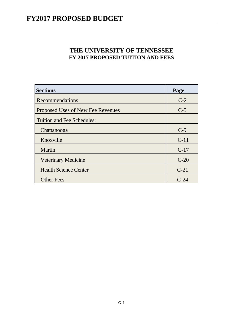## **THE UNIVERSITY OF TENNESSEE FY 2017 PROPOSED TUITION AND FEES**

| <b>Sections</b>                   | Page   |
|-----------------------------------|--------|
| Recommendations                   | $C-2$  |
| Proposed Uses of New Fee Revenues | $C-5$  |
| <b>Tuition and Fee Schedules:</b> |        |
| Chattanooga                       | $C-9$  |
| Knoxville                         | $C-11$ |
| Martin                            | $C-17$ |
| <b>Veterinary Medicine</b>        | $C-20$ |
| <b>Health Science Center</b>      | $C-21$ |
| <b>Other Fees</b>                 | $C-24$ |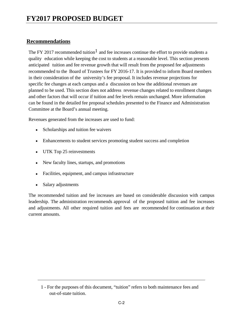### **Recommendations**

The FY 2017 recommended tuition<sup>1</sup> and fee increases continue the effort to provide students a quality education while keeping the cost to students at a reasonable level. This section presents anticipated tuition and fee revenue growth that will result from the proposed fee adjustments recommended to the Board of Trustees for FY 2016-17. It is provided to inform Board members in their consideration of the university's fee proposal. It includes revenue projections for specific fee changes at each campus and a discussion on how the additional revenues are planned to be used. This section does not address revenue changes related to enrollment changes and other factors that will occur if tuition and fee levels remain unchanged. More information can be found in the detailed fee proposal schedules presented to the Finance and Administration Committee at the Board's annual meeting.

Revenues generated from the increases are used to fund:

- Scholarships and tuition fee waivers
- Enhancements to student services promoting student success and completion
- UTK Top 25 reinvestments
- New faculty lines, startups, and promotions
- Facilities, equipment, and campus infrastructure
- Salary adjustments

The recommended tuition and fee increases are based on considerable discussion with campus leadership. The administration recommends approval of the proposed tuition and fee increases and adjustments. All other required tuition and fees are recommended for continuation at their current amounts.

<sup>1 -</sup> For the purposes of this document, "tuition" refers to both maintenance fees and out-of-state tuition.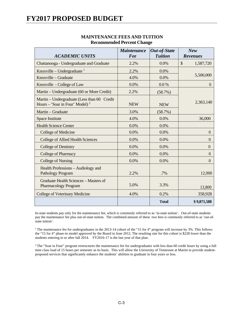## **FY2017 PROPOSED BUDGET**

|                                                                                           | <b>Maintenance</b> | <b>Out-of-State</b> | <b>New</b>                 |
|-------------------------------------------------------------------------------------------|--------------------|---------------------|----------------------------|
| <b>ACADEMIC UNITS</b>                                                                     | Fee                | <b>Tuition</b>      | <b>Revenues</b>            |
| Chattanooga - Undergraduate and Graduate                                                  | 2.2%               | $0.0\%$             | $\mathcal{S}$<br>1,587,720 |
| Knoxville – Undergraduate $1$                                                             | 2.2%               | 0.0%                |                            |
| Knoxville - Graduate                                                                      | 4.0%               | 0.0%                | 5,500,000                  |
| Knoxville - College of Law                                                                | 0.0%               | $0.0\%$             | $\Omega$                   |
| Martin - Undergraduate (60 or More Credit)                                                | 2.2%               | (58.7%)             |                            |
| Martin – Undergraduate (Less than 60 Credit<br>Hours – 'Soar in Four' Model) <sup>2</sup> | <b>NEW</b>         | <b>NEW</b>          | 2,363,140                  |
| Martin – Graduate                                                                         | 3.0%               | (58.7%)             |                            |
| Space Institute                                                                           | 4.0%               | 0.0%                | 36,000                     |
| <b>Health Science Center</b>                                                              | 0.0%               | 0.0%                |                            |
| College of Medicine                                                                       | 0.0%               | 0.0%                | $\theta$                   |
| <b>College of Allied Health Sciences</b>                                                  | 0.0%               | 0.0%                | $\theta$                   |
| <b>College of Dentistry</b>                                                               | 0.0%               | 0.0%                | $\overline{0}$             |
| <b>College of Pharmacy</b>                                                                | 0.0%               | 0.0%                | $\mathbf{0}$               |
| <b>College of Nursing</b>                                                                 | 0.0%               | 0.0%                | $\theta$                   |
| Health Professions - Audiology and<br>Pathology Program                                   | 2.2%               | .7%                 | 12,000                     |
| Graduate Health Sciences - Masters of<br><b>Pharmacology Program</b>                      | 5.0%               | 3.3%                | 13,800                     |
| College of Veterinary Medicine                                                            | 4.0%               | 0.2%                | 358,928                    |
|                                                                                           |                    | <b>Total</b>        | \$9,871,588                |

#### **MAINTENANCE FEES AND TUITION Recommended Percent Change**

In-state students pay only for the maintenance fee, which is commonly referred to as 'in-state tuition'. Out-of-state students pay the maintenance fee plus out-of-state tuition. The combined amount of these two fees is commonly referred to as 'out-ofstate tuition'.

<sup>1</sup> The maintenance fee for undergraduates in the 2013-14 cohort of the "15 for 4" program will increase by 3%. This follows the "15 for 4" phase-in model approved by the Board in June 2012. The resulting rate for this cohort is \$228 lower than the students entering in or after fall 2014. FY2016-17 is the last year of that plan.

 $2$ The "Soar in Four" program restructures the maintenance fee for undergraduates with less than 60 credit hours by using a full time class load of 15 hours per semester as its basis. This will allow the University of Tennessee at Martin to provide studentproposed services that significantly enhance the students' abilities to graduate in four years or less.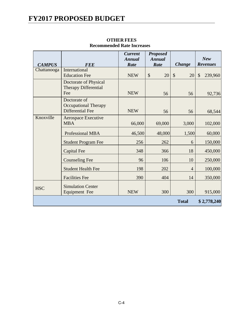# **FY2017 PROPOSED BUDGET**

| <b>CAMPUS</b> | <b>FEE</b>                                                             | <b>Current</b><br><b>Annual</b><br>Rate | <b>Proposed</b><br><b>Annual</b><br>Rate | <b>Change</b>       | <b>New</b><br><b>Revenues</b> |
|---------------|------------------------------------------------------------------------|-----------------------------------------|------------------------------------------|---------------------|-------------------------------|
| Chattanooga   | International<br><b>Education Fee</b>                                  | <b>NEW</b>                              | \$<br>20                                 | $\mathcal{S}$<br>20 | $\mathcal{S}$<br>239,960      |
|               | Doctorate of Physical<br><b>Therapy Differential</b><br>Fee            | <b>NEW</b>                              | 56                                       | 56                  | 92,736                        |
|               | Doctorate of<br><b>Occupational Therapy</b><br><b>Differential Fee</b> | <b>NEW</b>                              | 56                                       | 56                  | 68,544                        |
| Knoxville     | <b>Aerospace Executive</b><br><b>MBA</b>                               | 66,000                                  | 69,000                                   | 3,000               | 102,000                       |
|               | <b>Professional MBA</b>                                                | 46,500                                  | 48,000                                   | 1,500               | 60,000                        |
|               | <b>Student Program Fee</b>                                             | 256                                     | 262                                      | 6                   | 150,000                       |
|               | Capital Fee                                                            | 348                                     | 366                                      | 18                  | 450,000                       |
|               | <b>Counseling Fee</b>                                                  | 96                                      | 106                                      | 10                  | 250,000                       |
|               | <b>Student Health Fee</b>                                              | 198                                     | 202                                      | $\overline{4}$      | 100,000                       |
|               | <b>Facilities Fee</b>                                                  | 390                                     | 404                                      | 14                  | 350,000                       |
| <b>HSC</b>    | <b>Simulation Center</b><br>Equipment Fee                              | <b>NEW</b>                              | 300                                      | 300                 | 915,000                       |
|               |                                                                        |                                         |                                          | <b>Total</b>        | \$2,778,240                   |

### **OTHER FEES Recommended Rate Increases**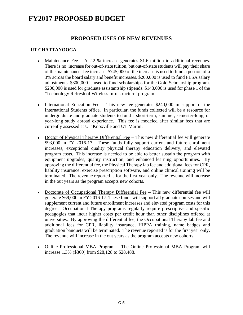### **PROPOSED USES OF NEW REVENUES**

#### **UT CHATTANOOGA**

- Maintenance Fee A 2.2 % increase generates \$1.6 million in additional revenues. There is no increase for out-of-state tuition, but out-of-state students will pay their share of the maintenance fee increase. \$745,000 of the increase is used to fund a portion of a 3% across the board salary and benefit increases. \$200,000 is used to fund FLSA salary adjustments. \$300,000 is used to fund scholarships for the Gold Scholarship program. \$200,000 is used for graduate assistantship stipends. \$143,000 is used for phase 1 of the 'Technology Refresh of Wireless Infrastructure' program.
- International Education Fee This new fee generates  $$240,000$  in support of the International Students office. In particular, the funds collected will be a resource for undergraduate and graduate students to fund a short-term, summer, semester-long, or year-long study abroad experience. This fee is modeled after similar fees that are currently assessed at UT Knoxville and UT Martin.
- Doctor of Physical Therapy Differential Fee This new differential fee will generate \$93,000 in FY 2016-17. These funds fully support current and future enrollment increases, exceptional quality physical therapy education delivery, and elevated program costs. This increase is needed to be able to better sustain the program with equipment upgrades, quality instruction, and enhanced learning opportunities. By approving the differential fee, the Physical Therapy lab fee and additional fees for CPR, liability insurance, exercise prescription software, and online clinical training will be terminated. The revenue reported is for the first year only. The revenue will increase in the out years as the program accepts new cohorts.
- Doctorate of Occupational Therapy Differential Fee This new differential fee will generate \$69,000 in FY 2016-17. These funds will support all graduate courses and will supplement current and future enrollment increases and elevated program costs for this degree. Occupational Therapy programs regularly require prescriptive and specific pedagogies that incur higher costs per credit hour than other disciplines offered at universities. By approving the differential fee, the Occupational Therapy lab fee and additional fees for CPR, liability insurance, HIPPA training, name badges and graduation banquets will be terminated. The revenue reported is for the first year only. The revenue will increase in the out years as the program accepts new cohorts.
- Online Professional MBA Program The Online Professional MBA Program will increase 1.3% (\$360) from \$28,128 to \$28,488.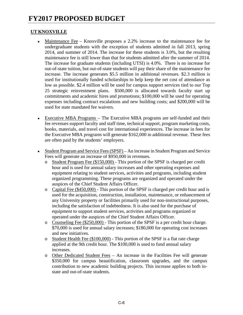### **UT KNOXVILLE**

- Maintenance Fee Knoxville proposes a 2.2% increase to the maintenance fee for undergraduate students with the exception of students admitted in fall 2013, spring 2014, and summer of 2014. The increase for these students is 3.0%, but the resulting maintenance fee is still lower than that for students admitted after the summer of 2014. The increase for graduate students (including UTSI) is 4.0%. There is no increase for out-of-state tuition, but out-of-state students will pay their share of the maintenance fee increase. The increase generates \$5.5 million in additional revenues. \$2.3 million is used for institutionally funded scholarships to help keep the net cost of attendance as low as possible. \$2.4 million will be used for campus support services tied to our Top 25 strategic reinvestment plans. \$500,000 is allocated towards faculty start up commitments and academic hires and promotions; \$100,000 will be used for operating expenses including contract escalations and new building costs; and \$200,000 will be used for state mandated fee waivers.
- Executive MBA Programs The Executive MBA programs are self-funded and their fee revenues support faculty and staff time, technical support, program marketing costs, books, materials, and travel cost for international experiences. The increase in fees for the Executive MBA programs will generate \$162,000 in additional revenue. These fees are often paid by the students' employers.
- Student Program and Service Fees (SPSF) An increase in Student Program and Service Fees will generate an increase of \$950,000 in revenues.
	- o Student Program Fee (\$150,000) This portion of the SPSF is charged per credit hour and is used for annual salary increases and other operating expenses and equipment relating to student services, activities and programs, including student organized programming. These programs are organized and operated under the auspices of the Chief Student Affairs Officer.
	- o Capital Fee (\$450,000) This portion of the SPSF is charged per credit hour and is used for the acquisition, construction, installation, maintenance, or enhancement of any University property or facilities primarily used for non-instructional purposes, including the satisfaction of indebtedness. It is also used for the purchase of equipment to support student services, activities and programs organized or operated under the auspices of the Chief Student Affairs Officer.
	- o Counseling Fee (\$250,000) This portion of the SPSF is a per credit hour charge. \$70,000 is used for annual salary increases; \$180,000 for operating cost increases and new initiatives.
	- o Student Health Fee (\$100,000) This portion of the SPSF is a flat rate charge applied at the 9th credit hour. The \$100,000 is used to fund annual salary increases.
	- o Other Dedicated Student Fees An increase in the Facilities Fee will generate \$350,000 for campus beautification, classroom upgrades, and the campus contribution to new academic building projects. This increase applies to both instate and out-of-state students.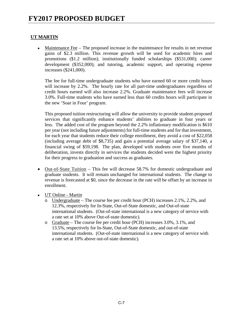### **UT MARTIN**

 Maintenance Fee – The proposed increase in the maintenance fee results in net revenue gains of \$2.3 million. This revenue growth will be used for academic hires and promotions (\$1.2 million); institutionally funded scholarships (\$531,000); career development (\$352,000); and tutoring, academic support, and operating expense increases (\$241,000).

 The fee for full-time undergraduate students who have earned 60 or more credit hours will increase by 2.2%. The hourly rate for all part-time undergraduates regardless of credit hours earned will also increase 2.2%. Graduate maintenance fees will increase 3.0%. Full-time students who have earned less than 60 credits hours will participate in the new 'Soar in Four' program.

This proposed tuition restructuring will allow the university to provide student-proposed services that significantly enhance students' abilities to graduate in four years or less. The added cost of the program beyond the 2.2% inflationary modification is \$610 per year (not including future adjustments) for full-time students and for that investment, for each year that students reduce their college enrollment, they avoid a cost of \$22,058 (including average debt of \$8,735) and gain a potential average salary of \$37,140, a financial swing of \$59,198. The plan, developed with students over five months of deliberation, invests directly in services the students decided were the highest priority for their progress to graduation and success as graduates.

- Out-of-State Tuition This fee will decrease 58.7% for domestic undergraduate and graduate students. It will remain unchanged for international students. The change to revenue is forecasted at \$0, since the decrease in the rate will be offset by an increase in enrollment.
- UT Online Martin
	- o Undergraduate The course fee per credit hour (PCH) increases 2.1%, 2.2%, and 12.3%, respectively for In-State, Out-of-State domestic, and Out-of-state international students. (Out-of-state international is a new category of service with a rate set at 10% above Out-of-state domestic).
	- o Graduate The course fee per credit hour (PCH) increases 3.0%, 3.1%, and 13.5%, respectively for In-State, Out-of-State domestic, and out-of-state international students. (Out-of-state international is a new category of service with a rate set at 10% above out-of-state domestic).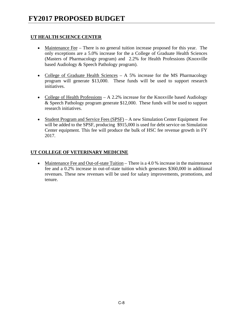### **UT HEALTH SCIENCE CENTER**

- Maintenance Fee There is no general tuition increase proposed for this year. The only exceptions are a 5.0% increase for the a College of Graduate Health Sciences (Masters of Pharmacology program) and 2.2% for Health Professions (Knoxville based Audiology & Speech Pathology program).
- College of Graduate Health Sciences A 5% increase for the MS Pharmacology program will generate \$13,000. These funds will be used to support research initiatives.
- College of Health Professions  $A 2.2\%$  increase for the Knoxville based Audiology & Speech Pathology program generate \$12,000. These funds will be used to support research initiatives.
- Student Program and Service Fees (SPSF) A new Simulation Center Equipment Fee will be added to the SPSF, producing \$915,000 is used for debt service on Simulation Center equipment. This fee will produce the bulk of HSC fee revenue growth in FY 2017.

### **UT COLLEGE OF VETERINARY MEDICINE**

• Maintenance Fee and Out-of-state Tuition – There is a 4.0 % increase in the maintenance fee and a 0.2% increase in out-of-state tuition which generates \$360,000 in additional revenues. These new revenues will be used for salary improvements, promotions, and tenure.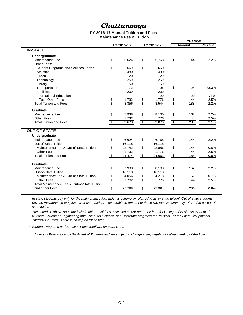## *Chattanooga*

#### **FY 2016-17 Annual Tuition and Fees Maintenance Fee & Tuition**

|                                               |                          |            |                          |            |                           | <b>CHANGE</b>   |                |
|-----------------------------------------------|--------------------------|------------|--------------------------|------------|---------------------------|-----------------|----------------|
|                                               |                          | FY 2015-16 |                          | FY 2016-17 |                           | <b>Amount</b>   | <b>Percent</b> |
| <b>IN-STATE</b>                               |                          |            |                          |            |                           |                 |                |
| Undergraduate                                 |                          |            |                          |            |                           |                 |                |
| Maintenance Fee                               | \$                       | 6,624      | \$                       | 6,768      | \$                        | 144             | 2.2%           |
| Other Fees:                                   |                          |            |                          |            |                           |                 |                |
| Student Programs and Services Fees *          | \$                       | 660        | \$                       | 660        |                           |                 |                |
| Athletics                                     |                          | 480        |                          | 480        |                           |                 |                |
| Green                                         |                          | 20         |                          | 20         |                           |                 |                |
| Technology                                    |                          | 250        |                          | 250        |                           |                 |                |
| Library                                       |                          | 50         |                          | 50         |                           |                 |                |
| Transportation                                |                          | 72         |                          | 96         | \$                        | 24              | 33.3%          |
| <b>Facilities</b>                             |                          | 200        |                          | 200        |                           |                 |                |
| International Education                       |                          |            |                          | 20         |                           | 20              | <b>NEW</b>     |
| <b>Total Other Fees</b>                       | $\frac{1}{3}$            | 1,732      | $\frac{\$}{\$}$          | 1,776      | $\frac{6}{3}$             | 44              | 2.5%           |
| <b>Total Tuition and Fees</b>                 |                          | 8,356      |                          | 8,544      |                           | 188             | 2.2%           |
| Graduate                                      |                          |            |                          |            |                           |                 |                |
| Maintenance Fee                               | \$                       | 7,938      | \$                       | 8,100      | \$                        | 162             | 2.2%           |
| Other Fees:                                   |                          | 1,732      |                          | 1,776      |                           | 44              | 2.5%           |
| <b>Total Tuition and Fees</b>                 | $\sqrt[6]{\frac{2}{5}}$  | 9,670      | $\overline{\mathcal{E}}$ | 9,876      | $\boldsymbol{\mathsf{S}}$ | $\frac{206}{ }$ | 2.1%           |
| <b>OUT-OF-STATE</b>                           |                          |            |                          |            |                           |                 |                |
| Undergraduate                                 |                          |            |                          |            |                           |                 |                |
| Maintenance Fee                               | \$                       | 6,624      | \$                       | 6,768      | \$                        | 144             | 2.2%           |
| Out-of-State Tuition                          |                          | 16,118     |                          | 16,118     |                           |                 |                |
| Maintenance Fee & Out-of-State Tuition        | $\overline{\mathcal{L}}$ | 22,742     | $\sqrt[6]{\frac{2}{5}}$  | 22,886     | $\sqrt[6]{\frac{4}{5}}$   | 144             | 0.6%           |
| Other Fees                                    |                          | 1,732      |                          | 1,776      |                           | 44              | 2.5%           |
| <b>Total Tuition and Fees</b>                 | $\overline{\mathbf{S}}$  | 24,474     | $\overline{\mathcal{L}}$ | 24,662     | $\sqrt[6]{\frac{2}{5}}$   | 188             | 0.8%           |
| Graduate                                      |                          |            |                          |            |                           |                 |                |
| Maintenance Fee                               | \$                       | 7,938      | \$                       | 8,100      | \$                        | 162             | 2.2%           |
| Out-of-State Tuition                          |                          | 16,118     |                          | 16,118     |                           |                 |                |
| Maintenance Fee & Out-of-State Tuition        |                          | 24,056     |                          | 24,218     |                           | 162             | 0.7%           |
| Other Fees                                    | $\frac{1}{\sqrt{2}}$     | 1,732      | $\frac{s}{s}$            | 1,776      | $\frac{1}{\sqrt{2}}$      | 44              | 2.5%           |
| Total Maintenance Fee & Out-of-State Tuition, |                          |            |                          |            |                           |                 |                |
| and Other Fees                                | \$                       | 25,788     | $$\mathfrak{s}$$         | 25,994     | \$                        | 206             | 0.8%           |
|                                               |                          |            |                          |            |                           |                 |                |

*In-state students pay only for the maintenance fee, which is commonly referred to as 'in-state tuition'. Out-of-state students pay the maintenance fee plus out-of-state tuition. The combined amount of these two fees is commonly referred to as 'out-ofstate tuition'.*

*The schedule above does not include differential fees assessed at \$56 per credit hour for College of Business, School of Nursing, College of Engineering and Computer Science, and Doctorate programs for Physical Therapy and Occupational Therapy Courses. There is no cap on these fees.*

*\* Student Programs and Services Fees detail are on page C-24.*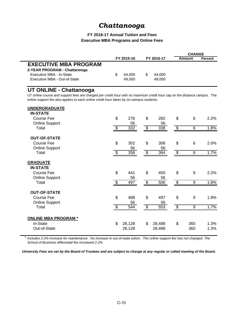## *Chattanooga*

#### **FY 2016-17 Annual Tuition and Fees Executive MBA Programs and Online Fees**

|                              |              |            | <b>CHANGE</b> |                |
|------------------------------|--------------|------------|---------------|----------------|
|                              | FY 2015-16   | FY 2016-17 | Amount        | <b>Percent</b> |
| <b>EXECUTIVE MBA PROGRAM</b> |              |            |               |                |
| 2-YEAR PROGRAM - Chattanooga |              |            |               |                |
| Executive MBA - In-State     | \$<br>44.000 | 44.000     |               |                |
| Executive MBA - Out-of-State | 49,000       | 49,000     |               |                |
|                              |              |            |               |                |

### **UT ONLINE - Chattanooga**

UT online course and support fees are charged per credit hour with no maximum credit hour cap on the distance campus. The online support fee also applies to each online credit hour taken by on-campus students.

| <b>UNDERGRADUATE</b>       |                |        |                          |                  |                                  |     |      |
|----------------------------|----------------|--------|--------------------------|------------------|----------------------------------|-----|------|
| <b>IN-STATE</b>            |                |        |                          |                  |                                  |     |      |
| <b>Course Fee</b>          | $\mathfrak{S}$ | 276    | \$                       | 282              | \$                               | 6   | 2.2% |
| <b>Online Support</b>      |                | 56     |                          | 56               |                                  |     |      |
| Total                      | s)             | 332    | $\overline{\mathbf{3}}$  | 338              | $\overline{\mathbf{3}}$          | 6   | 1.8% |
| <b>OUT-OF-STATE</b>        |                |        |                          |                  |                                  |     |      |
| Course Fee                 | \$             | 302    | \$                       | 308              | \$                               | 6   | 2.0% |
| <b>Online Support</b>      |                | 56     |                          | 56               |                                  |     |      |
| Total                      | க              | 358    | $\overline{\mathbf{3}}$  | $\overline{364}$ | $\overline{\boldsymbol{\theta}}$ | 6   | 1.7% |
| <b>GRADUATE</b>            |                |        |                          |                  |                                  |     |      |
| <b>IN-STATE</b>            |                |        |                          |                  |                                  |     |      |
| Course Fee                 | \$             | 441    | \$                       | 450              | \$                               | 9   | 2.2% |
| <b>Online Support</b>      |                | 56     |                          | 56               |                                  |     |      |
| Total                      | \$             | 497    | $\overline{\mathcal{S}}$ | 506              | s)                               | 9   | 1.8% |
| <b>OUT-OF-STATE</b>        |                |        |                          |                  |                                  |     |      |
| Course Fee                 | \$             | 488    | \$                       | 497              | \$                               | 9   | 1.9% |
| <b>Online Support</b>      |                | 56     |                          | 56               |                                  |     |      |
| Total                      | s)             | 544    | $\overline{\$}$          | 553              | $\overline{\$}$                  | 9   | 1.7% |
| <b>ONLINE MBA PROGRAM*</b> |                |        |                          |                  |                                  |     |      |
| In-State                   | \$             | 28,128 | \$                       | 28,488           | \$                               | 360 | 1.3% |
| Out-of-State               |                | 28,128 |                          | 28,488           |                                  | 360 | 1.3% |
|                            |                |        |                          |                  |                                  |     |      |

\* *Includes 2.2% increase for maintenance. No increase in out-of-state tuition. The online support fee has not changed. The School of Business differentail fee increased 2.2%.*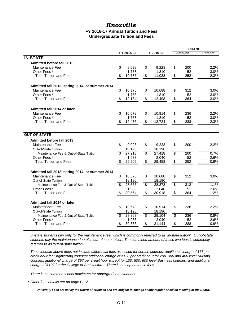## *Knoxville*

#### **FY 2016-17 Annual Tuition and Fees Undergraduate Tuition and Fees**

|                                                 |               |                                  |            |                          | <b>CHANGE</b> |                |  |
|-------------------------------------------------|---------------|----------------------------------|------------|--------------------------|---------------|----------------|--|
|                                                 | FY 2015-16    |                                  | FY 2016-17 | <b>Amount</b>            |               | <b>Percent</b> |  |
| <b>IN-STATE</b>                                 |               |                                  |            |                          |               |                |  |
| <b>Admitted before fall 2013</b>                |               |                                  |            |                          |               |                |  |
| Maintenance Fee                                 | \$<br>9,028   | \$                               | 9,228      | \$                       | 200           | 2.2%           |  |
| Other Fees *                                    | 1,758         |                                  | 1,810      |                          | 52            | 3.0%           |  |
| <b>Total Tuition and Fees</b>                   | \$<br>10,786  | $\boldsymbol{\mathsf{\$}}$       | 11,038     | $\overline{\mathcal{S}}$ | 252           | 2.3%           |  |
| Admitted fall 2013, spring 2014, or summer 2014 |               |                                  |            |                          |               |                |  |
| Maintenance Fee                                 | \$<br>10,376  | \$                               | 10,688     | \$                       | 312           | 3.0%           |  |
| Other Fees*                                     | 1,758         |                                  | 1,810      |                          | 52            | 3.0%           |  |
| <b>Total Tuition and Fees</b>                   | S<br>12,134   | $\overline{\boldsymbol{\theta}}$ | 12,498     | $\overline{\mathcal{E}}$ | 364           | 3.0%           |  |
| Admitted fall 2014 or later                     |               |                                  |            |                          |               |                |  |
| Maintenance Fee                                 | \$<br>10,678  | \$                               | 10,914     | \$                       | 236           | 2.2%           |  |
| Other Fees*                                     | 1,758         |                                  | 1,810      |                          | 52            | 3.0%           |  |
| <b>Total Tuition and Fees</b>                   | 12,436        | $\overline{\$}$                  | 12,724     | $\overline{\mathcal{E}}$ | 288           | 2.3%           |  |
| <b>OUT-OF-STATE</b>                             |               |                                  |            |                          |               |                |  |
| <b>Admitted before fall 2013</b>                |               |                                  |            |                          |               |                |  |
| Maintenance Fee                                 | \$<br>9,028   | \$                               | 9.228      | \$                       | 200           | 2.2%           |  |
| Out-of-State Tuition                            | 18,190        |                                  | 18,190     |                          |               |                |  |
| Maintenance Fee & Out-of-State Tuition          | \$<br>27,218  | $\overline{\$}$                  | 27,418     | $\overline{\$}$          | 200           | 0.7%           |  |
| Other Fees*                                     | 1,988         |                                  | 2.040      |                          | 52            | 2.6%           |  |
| <b>Total Tuition and Fees</b>                   | \$<br>29,206  | $\overline{\mathcal{S}}$         | 29,458     | $\overline{\mathcal{E}}$ | 252           | 0.9%           |  |
| Admitted fall 2013, spring 2014, or summer 2014 |               |                                  |            |                          |               |                |  |
| Maintenance Fee                                 | \$<br>10,376  | \$                               | 10,688     | \$                       | 312           | 3.0%           |  |
| Out-of-State Tuition                            | 18,190        |                                  | 18,190     |                          |               |                |  |
| Maintenance Fee & Out-of-State Tuition          | 28,566        | \$                               | 28,878     | \$                       | 312           | 1.1%           |  |
| Other Fees*                                     | 1,988         |                                  | 2,040      |                          | 52            | 2.6%           |  |
| <b>Total Tuition and Fees</b>                   | 30,554        | \$                               | 30,918     | \$                       | 364           | 1.2%           |  |
| Admitted fall 2014 or later                     |               |                                  |            |                          |               |                |  |
| Maintenance Fee                                 | \$.<br>10,678 | \$                               | 10,914     | \$                       | 236           | 2.2%           |  |
| Out-of-State Tuition                            | 18,190        |                                  | 18,190     |                          |               |                |  |
| Maintenance Fee & Out-of-State Tuition          | \$.<br>28,868 | \$                               | 29,104     | \$                       | 236           | 0.8%           |  |
| Other Fees *                                    | 1,988         |                                  | 2,040      |                          | 52            | 2.6%           |  |
| <b>Total Tuition and Fees</b>                   | \$<br>30,856  | $\overline{\$}$                  | 31.144     | $\overline{\$}$          | 288           | 0.9%           |  |

*In-state students pay only for the maintenance fee, which is commonly referred to as 'in-state tuition'. Out-of-state students pay the maintenance fee plus out-of-state tuition. The combined amount of these two fees is commonly referred to as 'out-of-state tuition'.*

*The schedule above does not include differential fees assessed for certain courses: additional charge of \$63 per credit hour for Engineering courses; additional charge of \$130 per credit hour for 200, 300 and 400 level Nursing courses; additional charge of \$97 per credit hour except for 100, 500, 600 level Business courses; and additional charge of \$107 for the College of Architecture. There is no cap on these fees.* 

*There is no summer school maximum for undergraduate students.*

\* *Other fees details are on page C-12.*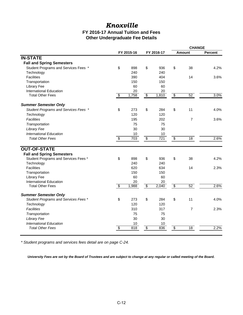## *Knoxville*

#### **Other Undergraduate Fee Details FY 2016-17 Annual Tuition and Fees**

|                                      |                 |            |                          |            |                          | <b>CHANGE</b>  |                |  |
|--------------------------------------|-----------------|------------|--------------------------|------------|--------------------------|----------------|----------------|--|
|                                      |                 | FY 2015-16 |                          | FY 2016-17 |                          | <b>Amount</b>  | <b>Percent</b> |  |
| <b>IN-STATE</b>                      |                 |            |                          |            |                          |                |                |  |
| <b>Fall and Spring Semesters</b>     |                 |            |                          |            |                          |                |                |  |
| Student Programs and Services Fees * | \$              | 898        | \$                       | 936        | \$                       | 38             | 4.2%           |  |
| Technology                           |                 | 240        |                          | 240        |                          |                |                |  |
| <b>Facilities</b>                    |                 | 390        |                          | 404        |                          | 14             | 3.6%           |  |
| Transportation                       |                 | 150        |                          | 150        |                          |                |                |  |
| <b>Library Fee</b>                   |                 | 60         |                          | 60         |                          |                |                |  |
| <b>International Education</b>       |                 | 20         |                          | 20         |                          |                |                |  |
| <b>Total Other Fees</b>              | \$              | 1,758      | $\overline{\mathcal{E}}$ | 1,810      | \$                       | 52             | 3.0%           |  |
| <b>Summer Semester Only</b>          |                 |            |                          |            |                          |                |                |  |
| Student Programs and Services Fees * | \$              | 273        | \$                       | 284        | \$                       | 11             | 4.0%           |  |
| Technology                           |                 | 120        |                          | 120        |                          |                |                |  |
| <b>Facilities</b>                    |                 | 195        |                          | 202        |                          | $\overline{7}$ | 3.6%           |  |
| Transportation                       |                 | 75         |                          | 75         |                          |                |                |  |
| Library Fee                          |                 | 30         |                          | 30         |                          |                |                |  |
| International Education              |                 | 10         |                          | 10         |                          |                |                |  |
| <b>Total Other Fees</b>              | \$              | 703        | \$                       | 721        | \$                       | 18             | 2.6%           |  |
|                                      |                 |            |                          |            |                          |                |                |  |
| <b>OUT-OF-STATE</b>                  |                 |            |                          |            |                          |                |                |  |
| <b>Fall and Spring Semesters</b>     |                 |            |                          |            |                          |                |                |  |
| Student Programs and Services Fees * | \$              | 898<br>240 | \$                       | 936<br>240 | \$                       | 38             | 4.2%           |  |
| Technology<br><b>Facilities</b>      |                 | 620        |                          | 634        |                          | 14             | 2.3%           |  |
| Transportation                       |                 | 150        |                          | 150        |                          |                |                |  |
| <b>Library Fee</b>                   |                 | 60         |                          | 60         |                          |                |                |  |
| <b>International Education</b>       |                 | 20         |                          | 20         |                          |                |                |  |
| <b>Total Other Fees</b>              | $\overline{\$}$ | 1,988      | $\overline{\mathbf{3}}$  | 2,040      | \$                       | 52             | 2.6%           |  |
| <b>Summer Semester Only</b>          |                 |            |                          |            |                          |                |                |  |
| Student Programs and Services Fees * | \$              | 273        | \$                       | 284        | \$                       | 11             | 4.0%           |  |
| Technology                           |                 | 120        |                          | 120        |                          |                |                |  |
| <b>Facilities</b>                    |                 | 310        |                          | 317        |                          | $\overline{7}$ | 2.3%           |  |
| Transportation                       |                 | 75         |                          | 75         |                          |                |                |  |
| Library Fee                          |                 | 30         |                          | 30         |                          |                |                |  |
| International Education              |                 | 10         |                          | 10         |                          |                |                |  |
| <b>Total Other Fees</b>              | \$              | 818        | $\overline{\mathcal{E}}$ | 836        | $\overline{\mathcal{E}}$ | 18             | 2.2%           |  |
|                                      |                 |            |                          |            |                          |                |                |  |

*\* Student programs and services fees detail are on page C-24.*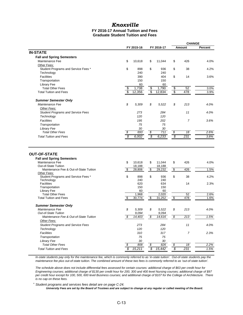#### **FY 2016-17 Annual Tuition and Fees** *Knoxville*

#### **Graduate Student Tuition and Fees**

|                                                                            |                                    |                                     | <b>CHANGE</b>                   |                |
|----------------------------------------------------------------------------|------------------------------------|-------------------------------------|---------------------------------|----------------|
|                                                                            | FY 2015-16                         | FY 2016-17                          | Amount                          | <b>Percent</b> |
| <b>IN-STATE</b>                                                            |                                    |                                     |                                 |                |
| <b>Fall and Spring Semesters</b>                                           |                                    |                                     |                                 |                |
| Maintenance Fee                                                            | \$<br>10,618                       | \$<br>11,044                        | \$<br>426                       | 4.0%           |
| Other Fees:                                                                |                                    |                                     |                                 |                |
| Student Programs and Service Fees *                                        | \$<br>898                          | \$<br>936                           | \$<br>38                        | 4.2%           |
| Technology                                                                 | 240                                | 240                                 |                                 |                |
| <b>Facilities</b>                                                          | 390                                | 404                                 | \$<br>14                        | 3.6%           |
| Transportation                                                             | 150                                | 150                                 |                                 |                |
| <b>Library Fee</b>                                                         | 60                                 | 60                                  |                                 |                |
| <b>Total Other Fees</b>                                                    | 1,738<br>\$                        | \$<br>1,790                         | 52<br>\$                        | 3.0%           |
| <b>Total Tuition and Fees</b>                                              | $\overline{\mathcal{S}}$<br>12,356 | $\overline{\mathfrak{s}}$<br>12,834 | $\overline{\mathcal{E}}$<br>478 | 3.9%           |
| <b>Summer Semester Only</b>                                                |                                    |                                     |                                 |                |
| Maintenance Fee                                                            | \$<br>5,309                        | \$<br>5,522                         | \$<br>213                       | 4.0%           |
| Other Fees:                                                                |                                    |                                     |                                 |                |
| <b>Student Programs and Service Fees</b>                                   | 273                                | 284                                 | 11                              | 4.0%           |
| Technology                                                                 | 120                                | 120                                 |                                 |                |
| Facilities                                                                 | 195                                | 202                                 | $\overline{7}$                  | 3.6%           |
| Transportation                                                             | 75                                 | 75                                  |                                 |                |
|                                                                            | 30                                 | 30                                  |                                 |                |
| <b>Library Fee</b><br><b>Total Other Fees</b>                              | 693<br>\$                          | \$<br>711                           | \$<br>18                        | 2.6%           |
|                                                                            |                                    |                                     |                                 |                |
| <b>Total Tuition and Fees</b>                                              | S<br>6,002                         | \$<br>6,233                         | \$<br>231                       | 3.8%           |
| <b>OUT-OF-STATE</b><br><b>Fall and Spring Semesters</b><br>Maintenance Fee | \$<br>10,618                       | \$<br>11,044                        | \$<br>426                       | 4.0%           |
| Out-of-State Tuition                                                       | 18,188                             | 18,188                              |                                 |                |
| Maintenance Fee & Out-of-State Tuition                                     | \$<br>28,806                       | $\overline{\mathbf{e}}$<br>29,232   | $\sqrt{2}$<br>426               | 1.5%           |
| Other Fees:<br>Student Programs and Service Fees *                         | \$<br>898                          | \$<br>936                           | \$<br>38                        | 4.2%           |
| Technology                                                                 | 240                                | 240                                 |                                 |                |
| <b>Facilities</b>                                                          | 620                                | 634                                 | 14                              | 2.3%           |
| Transportation                                                             | 150                                | 150                                 |                                 |                |
| <b>Library Fee</b>                                                         | 60                                 | 60                                  |                                 |                |
| <b>Total Other Fees</b>                                                    | 1,968                              | 2,020                               | 52                              | 2.6%           |
| <b>Total Tuition and Fees</b>                                              | \$<br>30,774                       | \$<br>31,252                        | $\frac{1}{2}$<br>478            | 1.6%           |
| <b>Summer Semester Only</b>                                                |                                    |                                     |                                 |                |
| Maintenance Fee                                                            | \$<br>5,309                        | \$<br>5,522                         | \$<br>213                       | 4.0%           |
| <b>Out-of-State Tuition</b>                                                | 9,094                              | 9.094                               |                                 |                |
| Maintenance Fee & Out-of-State Tuition                                     | \$<br>14.403                       | \$<br>14,616                        | $\overline{\mathcal{S}}$<br>213 | 1.5%           |
| Other Fees:                                                                |                                    |                                     |                                 |                |
| <b>Student Programs and Service Fees</b>                                   | 273                                | 284                                 | 11                              | 4.0%           |
| Technology                                                                 | 120                                | 120                                 |                                 |                |
| Facilities                                                                 | 310                                | 317                                 | $\overline{7}$                  | 2.3%           |
| Transportation                                                             | 75                                 | 75                                  |                                 |                |
| Library Fee                                                                | 30                                 | 30                                  |                                 |                |
| <b>Total Other Fees</b>                                                    | 808                                | 826<br>\$                           | \$<br>18                        | 2.2%           |
| <b>Total Tuition and Fees</b>                                              | s<br>15,211                        | \$<br>15,442                        | $\overline{\mathcal{S}}$<br>231 | 1.5%           |

*In-state students pay only for the maintenance fee, which is commonly referred to as 'in-state tuition'. Out-of-state students pay the maintenance fee plus out-of-state tuition. The combined amount of these two fees is commonly referred to as 'out-of-state tuition'.*

*The schedule above does not include differential fees assessed for certain courses: additional charge of \$63 per credit hour for Engineering courses; additional charge of \$130 per credit hour for 200, 300 and 400 level Nursing courses; additional charge of \$97 per credit hour except for 100, 500, 600 level Business courses; and additional charge of \$107 for the College of Architecture. There is no cap on these fees.* 

\* *Student programs and services fees detail are on page C-24.*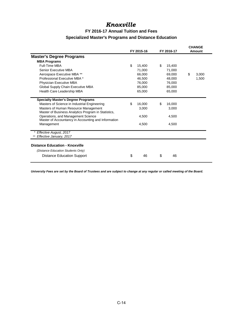## *Knoxville*

### **FY 2016-17 Annual Tuition and Fees Specialized Master's Programs and Distance Education**

|                                                                                             | FY 2015-16   | FY 2016-17   | <b>CHANGE</b><br>Amount |
|---------------------------------------------------------------------------------------------|--------------|--------------|-------------------------|
| <b>Master's Degree Programs</b>                                                             |              |              |                         |
| <b>MBA Programs</b>                                                                         |              |              |                         |
| Full-Time MBA                                                                               | \$<br>15,400 | \$<br>15,400 |                         |
| Senior Executive MBA                                                                        | 71,000       | 71,000       |                         |
| Aerospace Executive MBA **                                                                  | 66,000       | 69,000       | \$<br>3,000             |
| Professional Executive MBA *                                                                | 46,500       | 48,000       | 1,500                   |
| Physician Executive MBA                                                                     | 76,000       | 76.000       |                         |
| Global Supply Chain Executive MBA                                                           | 85,000       | 85,000       |                         |
| Health Care Leadership MBA                                                                  | 65,000       | 65,000       |                         |
| <b>Specialty Master's Degree Programs</b>                                                   |              |              |                         |
| Masters of Science in Industrial Engineering                                                | \$<br>16.000 | \$<br>16,000 |                         |
| Masters of Human Resource Management<br>Master of Business Analytics Program in Statistics, | 3,000        | 3,000        |                         |
| Operations, and Management Science<br>Master of Accountancy in Accounting and Information   | 4,500        | 4,500        |                         |
| Management                                                                                  | 4,500        | 4,500        |                         |
| Effective August, 2017<br>Effective January, 2017                                           |              |              |                         |
| <b>Distance Education - Knoxville</b>                                                       |              |              |                         |
| (Distance Education Students Only)                                                          |              |              |                         |
|                                                                                             | 46           | 46           |                         |
| Distance Education Support                                                                  | \$           | \$           |                         |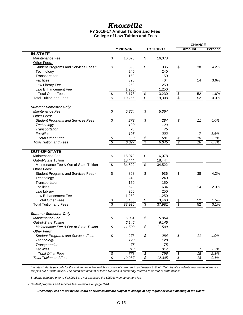## *Knoxville*

#### **FY 2016-17 Annual Tuition and Fees College of Law Tuition and Fees**

|                                           |                                   |            |                                   |            |                                   | <b>CHANGE</b>   |                |  |
|-------------------------------------------|-----------------------------------|------------|-----------------------------------|------------|-----------------------------------|-----------------|----------------|--|
|                                           |                                   | FY 2015-16 |                                   | FY 2016-17 |                                   | Amount          | <b>Percent</b> |  |
| <b>IN-STATE</b>                           |                                   |            |                                   |            |                                   |                 |                |  |
| Maintenance Fee                           | \$                                | 16,078     | \$                                | 16,078     |                                   |                 |                |  |
| Other Fees:                               |                                   |            |                                   |            |                                   |                 |                |  |
| Student Programs and Services Fees *      | \$                                | 898        | \$                                | 936        | \$                                | 38              | 4.2%           |  |
| Technology                                |                                   | 240        |                                   | 240        |                                   |                 |                |  |
| Transportation                            |                                   | 150        |                                   | 150        |                                   |                 |                |  |
| <b>Facilities</b>                         |                                   | 390        |                                   | 404        |                                   | 14              | 3.6%           |  |
| Law Library Fee                           |                                   | 250        |                                   | 250        |                                   |                 |                |  |
| Law Enhancement Fee                       |                                   | 1,250      |                                   | 1,250      |                                   |                 |                |  |
| <b>Total Other Fees</b>                   |                                   | 3,178      |                                   | 3,230      |                                   | 52              | 1.6%           |  |
| <b>Total Tuition and Fees</b>             | $\frac{1}{2}$                     | 19,256     | $\frac{\$}{\$}$                   | 19,308     | $\frac{\$}{\$}$                   | 52              | 0.3%           |  |
| <b>Summer Semester Only</b>               |                                   |            |                                   |            |                                   |                 |                |  |
| Maintenance Fee                           | \$                                | 5,364      | \$                                | 5,364      |                                   |                 |                |  |
| Other Fees:                               |                                   |            |                                   |            |                                   |                 |                |  |
| <b>Student Programs and Services Fees</b> | \$                                | 273        | \$                                | 284        | \$                                | 11              | 4.0%           |  |
| Technology                                |                                   | 120        |                                   | 120        |                                   |                 |                |  |
| Transportation                            |                                   | 75         |                                   | 75         |                                   |                 |                |  |
| Facilities                                |                                   | 195        |                                   | 202        |                                   | 7               | 3.6%           |  |
| <b>Total Other Fees</b>                   |                                   | 663        |                                   | 681        |                                   | $\overline{18}$ | 2.7%           |  |
| <b>Total Tuition and Fees</b>             | $\frac{\sqrt[6]{3}}{\sqrt[6]{3}}$ | 6,027      | $\frac{\sqrt[6]{3}}{\sqrt[6]{3}}$ | 6,045      | $\frac{\sqrt[6]{5}}{\sqrt[6]{5}}$ | $\overline{18}$ | 0.3%           |  |
|                                           |                                   |            |                                   |            |                                   |                 |                |  |
| <b>OUT-OF-STATE</b>                       |                                   |            |                                   |            |                                   |                 |                |  |
| Maintenance Fee                           | \$                                | 16,078     | \$                                | 16,078     |                                   |                 |                |  |
| Out-of-State Tuition                      |                                   | 18,444     |                                   | 18,444     |                                   |                 |                |  |
| Maintenance Fee & Out-of-State Tuition    | \$                                | 34,522     | $\overline{\mathbf{3}}$           | 34,522     |                                   |                 |                |  |
| Other Fees:                               |                                   |            |                                   |            |                                   |                 |                |  |
| Student Programs and Services Fees *      | \$                                | 898        | \$                                | 936        | \$                                | 38              | 4.2%           |  |
| Technology                                |                                   | 240        |                                   | 240        |                                   |                 |                |  |
| Transportation                            |                                   | 150        |                                   | 150        |                                   |                 |                |  |
| <b>Facilities</b>                         |                                   | 620        |                                   | 634        |                                   | 14              | 2.3%           |  |
| Law Library                               |                                   | 250        |                                   | 250        |                                   |                 |                |  |
| Law Enhancement Fee                       |                                   | 1,250      |                                   | 1,250      |                                   |                 |                |  |
| <b>Total Other Fees</b>                   |                                   | 3,408      |                                   | 3,460      |                                   | 52              | 1.5%           |  |
| <b>Total Tuition and Fees</b>             | $\frac{1}{2}$                     | 37,930     | $\frac{3}{3}$                     | 37,982     | $\frac{6}{3}$                     | 52              | 0.1%           |  |
|                                           |                                   |            |                                   |            |                                   |                 |                |  |
| <b>Summer Semester Only</b>               |                                   |            |                                   |            |                                   |                 |                |  |
| Maintenance Fee                           | \$                                | 5,364      | \$                                | 5,364      |                                   |                 |                |  |
| Out-of-State Tuition                      |                                   | 6,145      |                                   | 6,145      |                                   |                 |                |  |
| Maintenance Fee & Out-of-State Tuition    | \$                                | 11,509     | \$                                | 11,509     |                                   |                 |                |  |
| Other Fees:                               |                                   |            |                                   |            |                                   |                 |                |  |
| <b>Student Programs and Services Fees</b> | \$                                | 273        | \$                                | 284        | \$                                | 11              | 4.0%           |  |
| Technology                                |                                   | 120        |                                   | 120        |                                   |                 |                |  |
| Transportation                            |                                   | 75         |                                   | 75         |                                   |                 |                |  |
| Facilities                                |                                   | 310        |                                   | 317        |                                   | $\sqrt{2}$      | 2.3%           |  |
| <b>Total Other Fees</b>                   | \$                                | 778        | \$                                | 796        | \$                                | $\overline{18}$ | 2.3%           |  |
| <b>Total Tuition and Fees</b>             |                                   | 12,287     | $\overline{\mathcal{S}}$          | 12,305     | $\overline{\mathcal{S}}$          | $\overline{18}$ | 0.1%           |  |

*In-state students pay only for the maintenance fee, which is commonly referred to as 'in-state tuition'. Out-of-state students pay the maintenance fee plus out-of-state tuition. The combined amount of these two fees is commonly referred to as 'out-of-state tuition'.*

*Students admitted prior to Fall 2013 are not assessed the \$250 law enhancement fee.*

*\* Student programs and services fees detail are on page C-24.*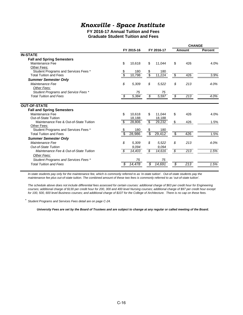## *Knoxville - Space Institute*

#### **FY 2016-17 Annual Tuition and Fees Graduate Student Tuition and Fees**

|                                        |              |                                                 | <b>CHANGE</b>                   |                |  |  |
|----------------------------------------|--------------|-------------------------------------------------|---------------------------------|----------------|--|--|
|                                        | FY 2015-16   | FY 2016-17                                      | Amount                          | <b>Percent</b> |  |  |
| <b>IN-STATE</b>                        |              |                                                 |                                 |                |  |  |
| <b>Fall and Spring Semesters</b>       |              |                                                 |                                 |                |  |  |
| Maintenance Fee                        | \$<br>10,618 | \$<br>11,044                                    | \$<br>426                       | 4.0%           |  |  |
| Other Fees:                            |              |                                                 |                                 |                |  |  |
| Student Programs and Services Fees *   | 180<br>S     | \$<br>180                                       |                                 |                |  |  |
| <b>Total Tuition and Fees</b>          | S<br>10,798  | $\overline{\mathcal{S}}$<br>11,224              | 426<br>s,                       | 3.9%           |  |  |
| <b>Summer Semester Only</b>            |              |                                                 |                                 |                |  |  |
| Maintenance Fee                        | \$<br>5,309  | \$<br>5,522                                     | \$<br>213                       | 4.0%           |  |  |
| Other Fees:                            |              |                                                 |                                 |                |  |  |
| Student Programs and Service Fees *    | 75           | 75                                              |                                 |                |  |  |
| <b>Total Tuition and Fees</b>          | 5,384<br>\$  | 5,597<br>\$                                     | S,<br>213                       | 4.0%           |  |  |
| <b>OUT-OF-STATE</b>                    |              |                                                 |                                 |                |  |  |
| <b>Fall and Spring Semesters</b>       |              |                                                 |                                 |                |  |  |
| Maintenance Fee                        | \$<br>10,618 | \$<br>11,044                                    | \$<br>426                       | 4.0%           |  |  |
| Out-of-State Tuition                   | 18,188       | 18,188                                          |                                 |                |  |  |
| Maintenance Fee & Out-of-State Tuition | \$<br>28,806 | $\overline{\mathbf{e}}$<br>29,232               | \$<br>426                       | 1.5%           |  |  |
| Other Fees:                            |              |                                                 |                                 |                |  |  |
| Student Programs and Services Fees *   | 180<br>\$    | \$<br>180                                       |                                 |                |  |  |
| <b>Total Tuition and Fees</b>          | \$<br>28,986 | $\overline{\mathcal{S}}$<br>$\overline{29,}412$ | $\overline{\mathbf{S}}$<br>426  | 1.5%           |  |  |
| <b>Summer Semester Only</b>            |              |                                                 |                                 |                |  |  |
| Maintenance Fee                        | \$<br>5.309  | \$<br>5.522                                     | \$<br>213                       | 4.0%           |  |  |
| Out-of-State Tuition                   | 9,094        | 9.094                                           |                                 |                |  |  |
| Maintenance Fee & Out-of-State Tuition | \$<br>14,403 | \$<br>14,616                                    | $\overline{213}$<br>\$          | 1.5%           |  |  |
| Other Fees:                            |              |                                                 |                                 |                |  |  |
|                                        |              | 75                                              |                                 |                |  |  |
| <b>Total Tuition and Fees</b>          | S<br>14,478  | \$<br>14,691                                    | $\overline{\mathcal{S}}$<br>213 | 1.5%           |  |  |
| Student Programs and Services Fees *   | 75           |                                                 |                                 |                |  |  |

In-state students pay only for the maintenance fee, which is commonly referred to as 'in-state tuition'. Out-of-state students pay the *maintenance fee plus out-of-state tuition. The combined amount of these two fees is commonly referred to as 'out-of-state tuition'.*

*The schedule above does not include differential fees assessed for certain courses: additional charge of \$63 per credit hour for Engineering courses; additional charge of \$130 per credit hour for 200, 300 and 400 level Nursing courses; additional charge of \$97 per credit hour except for 100, 500, 600 level Business courses; and additional charge of \$107 for the College of Architecture. There is no cap on these fees.* 

*\* Student Programs and Services Fees detail are on page C-24.*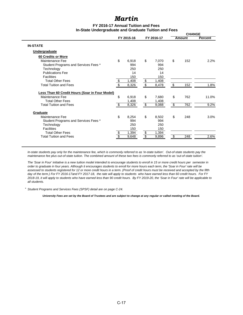#### **FY 2016-17 Annual Tuition and Fees In-State Undergraduate and Graduate Tuition and Fees**

|                                                |                         |            |                         |       | <b>CHANGE</b><br><b>Amount</b>   |     |                |  |
|------------------------------------------------|-------------------------|------------|-------------------------|-------|----------------------------------|-----|----------------|--|
|                                                |                         | FY 2015-16 | FY 2016-17              |       |                                  |     | <b>Percent</b> |  |
| <b>IN-STATE</b>                                |                         |            |                         |       |                                  |     |                |  |
| <b>Undergraduate</b>                           |                         |            |                         |       |                                  |     |                |  |
| 60 Credits or More                             |                         |            |                         |       |                                  |     |                |  |
| Maintenance Fee                                | \$                      | 6,918      | \$                      | 7,070 | \$                               | 152 | 2.2%           |  |
| Student Programs and Services Fees *           |                         | 994        |                         | 994   |                                  |     |                |  |
| Technology                                     |                         | 250        |                         | 250   |                                  |     |                |  |
| <b>Publications Fee</b>                        |                         | 14         |                         | 14    |                                  |     |                |  |
| <b>Facilities</b>                              |                         | 150        |                         | 150   |                                  |     |                |  |
| <b>Total Other Fees</b>                        | $\frac{1}{2}$           | 1,408      | $\overline{\mathbf{3}}$ | 1,408 |                                  |     |                |  |
| <b>Total Tuition and Fees</b>                  | \$                      | 8,326      | \$                      | 8,478 | \$                               | 152 | 1.8%           |  |
| Less Than 60 Credit Hours (Soar in Four Model) |                         |            |                         |       |                                  |     |                |  |
| Maintenance Fee                                | \$                      | 6,918      | \$                      | 7,680 | \$                               | 762 | 11.0%          |  |
| <b>Total Other Fees</b>                        |                         | 1,408      |                         | 1,408 |                                  |     |                |  |
| <b>Total Tuition and Fees</b>                  | S                       | 8,326      | \$                      | 9,088 | $\overline{\boldsymbol{\theta}}$ | 762 | 9.2%           |  |
| Graduate                                       |                         |            |                         |       |                                  |     |                |  |
| Maintenance Fee                                | \$                      | 8,254      | \$                      | 8,502 | \$                               | 248 | 3.0%           |  |
| Student Programs and Services Fees *           |                         | 994        |                         | 994   |                                  |     |                |  |
| Technology                                     |                         | 250        |                         | 250   |                                  |     |                |  |
| Facilities                                     |                         | 150        |                         | 150   |                                  |     |                |  |
| <b>Total Other Fees</b>                        | $\frac{1}{2}$           | 1,394      | \$                      | 1,394 |                                  |     |                |  |
| <b>Total Tuition and Fees</b>                  | $\overline{\mathbb{S}}$ | 9,648      | $\overline{\mathbf{s}}$ | 9,896 | \$                               | 248 | 2.6%           |  |
|                                                |                         |            |                         |       |                                  |     |                |  |

*In-state students pay only for the maintenance fee, which is commonly referred to as 'in-state tuition'. Out-of-state students pay the maintenance fee plus out-of-state tuition. The combined amount of these two fees is commonly referred to as 'out-of-state tuition'.*

*The 'Soar in Four' initiative is a new tuition model intended to encourage students to enroll in 15 or more credit hours per semester in order to graduate in four years. Although it encourages students to enroll for more hours each term, the 'Soar in Four' rate will be assessed to students registered for 12 or more credit hours in a term. (Proof of credit hours must be received and accepted by the fifth*  day of the term.) For FY 2016-17and FY 2017-18, the rate will apply to students who have earned less than 60 credit hours. For FY *2018-19, it will apply to students who have earned less than 90 credit hours. By FY 2019-20, the 'Soar in Four' rate will be applicable to all students.*

*\* Student Programs and Services Fees (SPSF) detail are on page C-24.*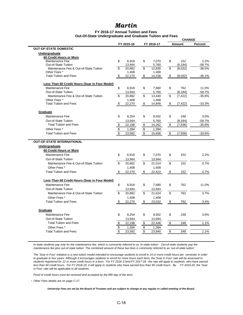#### **FY 2016-17 Annual Tuition and Fees Out-Of-State Undergraduate and Graduate Tuition and Fees**

|                                                                   |    |                 |                      |                 |                      |               | <b>CHANGE</b>                                                 |  |
|-------------------------------------------------------------------|----|-----------------|----------------------|-----------------|----------------------|---------------|---------------------------------------------------------------|--|
|                                                                   |    | FY 2015-16      |                      | FY 2016-17      |                      | <b>Amount</b> | <b>Percent</b>                                                |  |
| <b>OUT-OF-STATE DOMESTIC</b>                                      |    |                 |                      |                 |                      |               |                                                               |  |
| Undergraduate                                                     |    |                 |                      |                 |                      |               |                                                               |  |
| 60 Credit Hours or More                                           |    |                 |                      |                 |                      |               |                                                               |  |
| Maintenance Fee                                                   | \$ | 6,918           | \$                   | 7,070           | \$                   | 152           | 2.2%                                                          |  |
| Out-of-State Tuition                                              |    | 13,944          |                      | 5,760           |                      | (8, 184)      | $-58.7%$                                                      |  |
| Maintenance Fee & Out-of-State Tuition<br>Other Fees <sup>*</sup> | S  | 20.862<br>1,408 | \$                   | 12,830<br>1,408 | \$                   | (8,032)       | $-38.5%$                                                      |  |
| <b>Total Tuition and Fees</b>                                     | \$ | 22,270          | \$                   | 14,238          | \$                   | (8,032)       | $-36.1%$                                                      |  |
|                                                                   |    |                 |                      |                 |                      |               |                                                               |  |
| Less Than 60 Credit Hours (Soar in Four Model)                    |    |                 |                      |                 |                      |               |                                                               |  |
| Maintenance Fee                                                   | \$ | 6,918           | \$                   | 7,680           | \$                   | 762           | 11.0%                                                         |  |
| Out-of-State Tuition                                              |    | 13,944          |                      | 5,760           |                      | (8, 184)      | $-58.7%$                                                      |  |
| Maintenance Fee & Out-of-State Tuition                            | \$ | 20,862          | \$                   | 13,440          | \$                   | (7, 422)      | $-35.6%$                                                      |  |
| Other Fees*                                                       |    | 1,408           |                      | 1,408           |                      |               |                                                               |  |
| <b>Total Tuition and Fees</b>                                     | \$ | 22,270          | \$                   | 14,848          | \$                   | (7, 422)      | $-33.3%$                                                      |  |
| Graduate                                                          |    |                 |                      |                 |                      |               |                                                               |  |
| Maintenance Fee                                                   | \$ | 8,254           | \$                   | 8,502           | \$                   | 248           | 3.0%                                                          |  |
| Out-of-State Tuition                                              |    | 13,944          |                      | 5,760           |                      | (8, 184)      | $-58.7%$                                                      |  |
| <b>Total Tuition and Fees</b>                                     | \$ | 22,198          | $\pmb{\mathfrak{P}}$ | 14,262          | $\pmb{\mathfrak{z}}$ | (7,936)       | $-35.8%$                                                      |  |
| Other Fees <sup>*</sup>                                           | \$ | 1,394           | \$                   | 1,394           |                      |               |                                                               |  |
| <b>Total Tuition and Fees</b>                                     | \$ | 23,592          | \$                   | 15,656          | \$                   | (7,936)       | $-33.6%$                                                      |  |
| <b>OUT-OF-STATE INTERNATIONAL</b>                                 |    |                 |                      |                 |                      |               |                                                               |  |
| Undergraduate                                                     |    |                 |                      |                 |                      |               |                                                               |  |
| 60 Credit Hours or More                                           |    |                 |                      |                 |                      |               |                                                               |  |
| Maintenance Fee                                                   | \$ | 6,918           | \$                   | 7,070           | \$                   | 152           |                                                               |  |
| Out-of-State Tuition                                              |    | 13,944          |                      | 13,944          |                      |               |                                                               |  |
| Maintenance Fee & Out-of-State Tuition                            | \$ | 20,862          | \$                   | 21,014          | \$                   | 152           |                                                               |  |
| Other Fees *                                                      |    | 1,408           |                      | 1,408           |                      |               |                                                               |  |
| <b>Total Tuition and Fees</b>                                     | \$ | 22,270          | \$                   | 22,422          | \$                   | 152           |                                                               |  |
|                                                                   |    |                 |                      |                 |                      |               |                                                               |  |
| <b>Less Than 60 Credit Hours (Soar in Four Model)</b>             |    |                 |                      |                 |                      |               |                                                               |  |
| Maintenance Fee                                                   | \$ | 6,918           | \$                   | 7,680           | \$                   | 762           |                                                               |  |
| Out-of-State Tuition                                              |    | 13,944          |                      | 13,944          |                      |               |                                                               |  |
| Maintenance Fee & Out-of-State Tuition                            | \$ | 20,862          | \$                   | 21,624          | \$                   | 762           |                                                               |  |
| Other Fees*                                                       |    | 1,408           |                      | 1,408           |                      |               |                                                               |  |
| <b>Total Tuition and Fees</b>                                     | \$ | 22,270          | \$                   | 23,032          | \$                   | 762           |                                                               |  |
| Graduate                                                          |    |                 |                      |                 |                      |               |                                                               |  |
| Maintenance Fee                                                   | \$ | 8,254           | \$                   | 8,502           | \$                   | 248           |                                                               |  |
| Out-of-State Tuition                                              |    | 13,944          |                      | 13,944          |                      |               |                                                               |  |
| <b>Total Tuition and Fees</b>                                     | \$ | 22,198          |                      | 22,446          |                      | 248           |                                                               |  |
| Other Fees *                                                      | \$ | 1,394           | $\frac{1}{2}$<br>\$  | 1,394           | $\sqrt{2}$           |               | 2.2%<br>0.7%<br>0.7%<br>11.0%<br>3.7%<br>3.4%<br>3.0%<br>1.1% |  |

*In-state students pay only for the maintenance fee, which is commonly referred to as 'in-state tuition'. Out-of-state students pay the maintenance fee plus out-of-state tuition. The combined amount of these two fees is commonly referred to as 'out-of-state tuition'.*

*The 'Soar in Four' initiative is a new tuition model intended to encourage students to enroll in 15 or more credit hours per semester in order to graduate in four years. Although it encourages students to enroll for more hours each term, the 'Soar in Four' rate will be assessed to*  students registered for 12 or more credit hours in a term. For FY 2016-17and FY 2017-18, the rate will apply to students who have earned *less than 60 credit hours. For FY 2018-19, it will apply to students who have earned less than 90 credit hours. By FY 2019-20, the 'Soar in Four' rate will be applicable to all students.*

*Proof of credit hours must be received and accepted by the fifth day of the term.*

*\* Other Fees details are on page C-17.*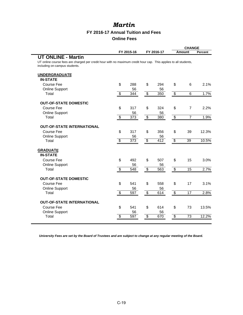### **FY 2016-17 Annual Tuition and Fees Online Fees**

|                                                                                                                  |                           |            |                          | <b>CHANGE</b>    |                          |                 |         |
|------------------------------------------------------------------------------------------------------------------|---------------------------|------------|--------------------------|------------------|--------------------------|-----------------|---------|
|                                                                                                                  |                           | FY 2015-16 |                          | FY 2016-17       |                          | <b>Amount</b>   | Percent |
| <b>UT ONLINE - Martin</b>                                                                                        |                           |            |                          |                  |                          |                 |         |
| UT online course fees are charged per credit hour with no maximum credit hour cap. This applies to all students, |                           |            |                          |                  |                          |                 |         |
| including on-campus students.                                                                                    |                           |            |                          |                  |                          |                 |         |
| <b>UNDERGRADUATE</b>                                                                                             |                           |            |                          |                  |                          |                 |         |
| <b>IN-STATE</b>                                                                                                  |                           |            |                          |                  |                          |                 |         |
| <b>Course Fee</b>                                                                                                | \$                        | 288        | \$                       | 294              | \$                       | 6               | 2.1%    |
| <b>Online Support</b>                                                                                            |                           | 56         |                          | 56               |                          |                 |         |
| Total                                                                                                            | $\overline{\$}$           | 344        | $\overline{\$}$          | $\overline{350}$ | $\overline{\mathcal{E}}$ | 6               | 1.7%    |
|                                                                                                                  |                           |            |                          |                  |                          |                 |         |
| <b>OUT-OF-STATE DOMESTIC</b>                                                                                     |                           |            |                          |                  |                          |                 |         |
| <b>Course Fee</b>                                                                                                | \$                        | 317        | \$                       | 324              | \$                       | $\overline{7}$  | 2.2%    |
| <b>Online Support</b>                                                                                            |                           | 56         |                          | 56               |                          |                 |         |
| Total                                                                                                            | $\boldsymbol{\mathsf{S}}$ | 373        | $\overline{\mathcal{S}}$ | 380              | $\overline{\mathbf{3}}$  | $\overline{7}$  | 1.9%    |
|                                                                                                                  |                           |            |                          |                  |                          |                 |         |
| <b>OUT-OF-STATE INTERNATIONAL</b>                                                                                |                           |            |                          |                  |                          |                 |         |
| <b>Course Fee</b>                                                                                                | \$                        | 317        | \$                       | 356              | \$                       | 39              | 12.3%   |
| <b>Online Support</b>                                                                                            | $\overline{\$}$           | 56<br>373  | $\overline{\$}$          | 56<br>412        | $\overline{\$}$          | $\overline{39}$ | 10.5%   |
| Total                                                                                                            |                           |            |                          |                  |                          |                 |         |
| <b>GRADUATE</b>                                                                                                  |                           |            |                          |                  |                          |                 |         |
| <b>IN-STATE</b>                                                                                                  |                           |            |                          |                  |                          |                 |         |
| <b>Course Fee</b>                                                                                                | \$                        | 492        | \$                       | 507              | \$                       | 15              | 3.0%    |
| <b>Online Support</b>                                                                                            |                           | 56         |                          | 56               |                          |                 |         |
| Total                                                                                                            | $\overline{\$}$           | 548        | $\overline{\$}$          | 563              | $\overline{\$}$          | $\overline{15}$ | 2.7%    |
|                                                                                                                  |                           |            |                          |                  |                          |                 |         |
| <b>OUT-OF-STATE DOMESTIC</b>                                                                                     |                           |            |                          |                  |                          |                 |         |
| <b>Course Fee</b>                                                                                                | \$                        | 541        | \$                       | 558              | \$                       | 17              | 3.1%    |
| <b>Online Support</b>                                                                                            |                           | 56         |                          | 56               |                          |                 |         |
| Total                                                                                                            | $\overline{\mathbf{S}}$   | 597        | \$                       | 614              | $\overline{\mathbf{3}}$  | 17              | 2.8%    |
| <b>OUT-OF-STATE INTERNATIONAL</b>                                                                                |                           |            |                          |                  |                          |                 |         |
|                                                                                                                  |                           |            |                          |                  |                          |                 |         |
| <b>Course Fee</b><br><b>Online Support</b>                                                                       | \$                        | 541<br>56  | \$                       | 614<br>56        | \$                       | 73              | 13.5%   |
| Total                                                                                                            | \$                        | 597        | \$                       | 670              | $\overline{\mathbf{e}}$  | 73              | 12.2%   |
|                                                                                                                  |                           |            |                          |                  |                          |                 |         |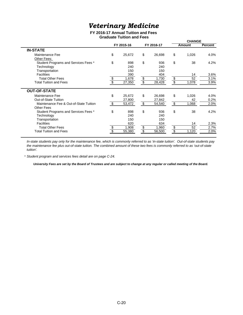## *Veterinary Medicine*

#### **FY 2016-17 Annual Tuition and Fees Graduate Tuition and Fees**

|                 |    |                                         |               | <b>CHANGE</b>                  |                |  |
|-----------------|----|-----------------------------------------|---------------|--------------------------------|----------------|--|
| FY 2015-16      |    |                                         | <b>Amount</b> |                                | <b>Percent</b> |  |
|                 |    |                                         |               |                                |                |  |
| \$<br>25,672    | \$ | 26,698                                  | \$            | 1,026                          | 4.0%           |  |
|                 |    |                                         |               |                                |                |  |
| \$<br>898       | \$ | 936                                     | \$            | 38                             | 4.2%           |  |
| 240             |    | 240                                     |               |                                |                |  |
| 150             |    | 150                                     |               |                                |                |  |
| 390             |    | 404                                     |               | 14                             | 3.6%           |  |
| 1,678           |    | 1,730                                   |               | 52                             | 3.1%           |  |
| 27,350          |    | 28,428                                  | S             | 1,078                          | 3.9%           |  |
|                 |    |                                         |               |                                |                |  |
| \$<br>25,672    | \$ | 26,698                                  | \$            | 1,026                          | 4.0%           |  |
| 27,800          |    | 27,842                                  |               | 42                             | 0.2%           |  |
| \$<br>53,472    | \$ | 54,540                                  | \$            | 1,068                          | 2.0%           |  |
|                 |    |                                         |               |                                |                |  |
| \$<br>898       | \$ | 936                                     | \$            | 38                             | 4.2%           |  |
| 240             |    | 240                                     |               |                                |                |  |
| 150             |    | 150                                     |               |                                |                |  |
| 620             |    | 634                                     |               | 14                             | 2.3%           |  |
| \$<br>1,908     |    | 1,960                                   |               | 52                             | 2.7%           |  |
| 55,380          |    | 56,500                                  |               | 1,120                          | 2.0%           |  |
| $\overline{\$}$ |    | $\frac{1}{\sqrt[6]{}}$<br>$\frac{1}{2}$ | FY 2016-17    | $\frac{1}{2}$<br>$\frac{6}{3}$ |                |  |

*In-state students pay only for the maintenance fee, which is commonly referred to as 'in-state tuition'. Out-of-state students pay the maintenance fee plus out-of-state tuition. The combined amount of these two fees is commonly referred to as 'out-of-state tuition'.*

\* *Student program and services fees detail are on page C-24.*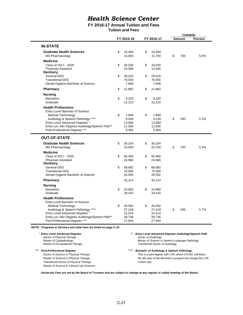### **FY 2016-17 Annual Tuition and Fees**

**Tuition and Fees**

|                                               |    |            |              |    | <b>CHANGE</b> |         |  |
|-----------------------------------------------|----|------------|--------------|----|---------------|---------|--|
|                                               |    | FY 2015-16 | FY 2016-17   |    | Amount        | Percent |  |
|                                               |    |            |              |    |               |         |  |
| <b>IN-STATE</b>                               |    |            |              |    |               |         |  |
|                                               |    |            |              |    |               |         |  |
| <b>Graduate Health Sciences</b>               | \$ | 10,484     | \$<br>10,484 |    |               |         |  |
| <b>MS Pharmacology</b>                        |    | 15,000     | 15,750       | \$ | 750           | 5.0%    |  |
| <b>Medicine</b>                               |    |            |              |    |               |         |  |
| Class of 2017 - 2020                          |    | 33,030     | \$<br>33,030 |    |               |         |  |
|                                               | \$ |            |              |    |               |         |  |
| Physician Assistant                           |    | 14,560     | 14,560       |    |               |         |  |
| <b>Dentistry</b>                              |    |            |              |    |               |         |  |
| General DDS                                   | \$ | 29,016     | \$<br>29,016 |    |               |         |  |
| <b>Transitional DDS</b>                       |    | 70,000     | 70,000       |    |               |         |  |
| Dental Hygiene Bachelor of Science            |    | 7,848      | 7,848        |    |               |         |  |
| <b>Pharmacy</b>                               | \$ | 21,862     | \$<br>21,862 |    |               |         |  |
|                                               |    |            |              |    |               |         |  |
| <b>Nursing</b>                                |    |            |              |    |               |         |  |
| <b>Bachelors</b>                              | \$ | 8,320      | \$<br>8,320  |    |               |         |  |
| Graduate                                      |    | 12,210     | 12,210       |    |               |         |  |
| <b>Health Professions</b>                     |    |            |              |    |               |         |  |
| Entry Level Bachelor of Science               |    |            |              |    |               |         |  |
|                                               |    |            |              |    |               |         |  |
| <b>Medical Technology</b>                     | \$ | 7,848      | \$<br>7,848  |    |               |         |  |
| Audiology & Speech Pathology ****             |    | 9,028      | 9,228        | \$ | 200           | 2.2%    |  |
| Entry Level Advanced Degrees *                |    | 13,084     | 13,084       |    |               |         |  |
| Entry Lev Adv Degrees Audiology/Speech Path** |    | 11,930     | 11,930       |    |               |         |  |
| Post-Professional Degrees ***                 |    | 9,484      | 9,484        |    |               |         |  |
|                                               |    |            |              |    |               |         |  |
| <b>OUT-OF-STATE</b>                           |    |            |              |    |               |         |  |
| <b>Graduate Health Sciences</b>               | \$ | 30,204     | \$<br>30,204 |    |               |         |  |
| <b>MS Pharmacology</b>                        |    | 23,000     | 23,750       | \$ | 750           | 3.3%    |  |
|                                               |    |            |              |    |               |         |  |
| <b>Medicine</b>                               |    |            |              |    |               |         |  |
| Class of 2017 - 2020                          | \$ | 65,460     | \$<br>65,460 |    |               |         |  |
| Physician Assistant                           |    | 24,960     | 24,960       |    |               |         |  |
| <b>Dentistry</b>                              |    |            |              |    |               |         |  |
| <b>General DDS</b>                            | \$ | 68,682     | \$<br>68,682 |    |               |         |  |
| <b>Transitional DDS</b>                       |    | 70,000     | 70,000       |    |               |         |  |
| Dental Hygiene Bachelor of Science            |    | 26,592     | 26,592       |    |               |         |  |
| <b>Pharmacy</b>                               |    | 42,214     | 42,214       |    |               |         |  |
|                                               |    |            |              |    |               |         |  |
| <b>Nursing</b>                                |    |            |              |    |               |         |  |
| <b>Bachelors</b>                              | \$ | 24,960     | \$<br>24,960 |    |               |         |  |
| Graduate                                      |    | 29,432     | 29,432       |    |               |         |  |
| <b>Health Professions</b>                     |    |            |              |    |               |         |  |
| Entry Level Bachelor of Science               |    |            |              |    |               |         |  |
|                                               |    |            |              |    |               |         |  |
| <b>Medical Technology</b>                     | \$ | 26,592     | \$<br>26,592 | \$ | 200           | 0.7%    |  |
| Audiology & Speech Pathology ****             |    | 27,218     | 27,418       |    |               |         |  |
| Entry Level Advanced Degrees *                |    | 31,514     | 31,514       |    |               |         |  |
| Entry Lev Adv Degrees Audiology/Speech Path** |    | 28,736     | 28,736       |    |               |         |  |
| Post-Professional Degrees ***                 |    | 27,944     | 27,944       |    |               |         |  |

*NOTE: Programs & Services and other fees are listed on page C-22.*

\* *Entry Level Advanced Degrees \*\* Entry Level Advanced Degrees Audiology/Speech Path Doctor of Physical Therapy Master of Cytopathology Master of Science in Speech-Language Pathology Master of Cytopathology*<br> *Master of Cytopathology*<br> *Master of Occupational Therapy* \*\*\* *Post-Professional Degrees \*\*\*\* Bachelor of Audiology & Speech Pathology Doctor of Science in Physical Therapy This is a joint degree with UTK where UTHSC will teach Master of Science in Physical Therapy the 4th year of the Bachelor's program but charge the UTK Transitional Doctor of Physical Therapy Tuition rate. Master of Science in Clinical Lab Sciences*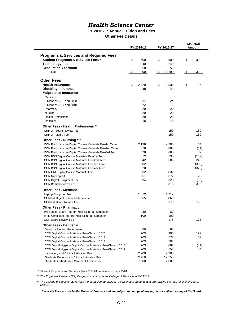#### **FY 2016-17 Annual Tuition and Fees Other Fee Details**

|                                                                                                                                                                                                                                                                                                                                                                                                                                                                                                                                                                                    | FY 2015-16 |                                                                      |          | FY 2016-17                                                        | <b>CHANGE</b><br>Amount |                                                                         |  |
|------------------------------------------------------------------------------------------------------------------------------------------------------------------------------------------------------------------------------------------------------------------------------------------------------------------------------------------------------------------------------------------------------------------------------------------------------------------------------------------------------------------------------------------------------------------------------------|------------|----------------------------------------------------------------------|----------|-------------------------------------------------------------------|-------------------------|-------------------------------------------------------------------------|--|
| <b>Programs &amp; Services and Required Fees</b><br><b>Student Programs &amp; Services Fees *</b><br><b>Technology Fee</b><br><b>Graduation/Yearbook</b><br>Total                                                                                                                                                                                                                                                                                                                                                                                                                  | \$<br>\$   | 600<br>240<br>50<br>890                                              | \$<br>\$ | 900<br>240<br>50<br>1,190                                         | \$<br>\$                | 300<br>300                                                              |  |
|                                                                                                                                                                                                                                                                                                                                                                                                                                                                                                                                                                                    |            |                                                                      |          |                                                                   |                         |                                                                         |  |
| <b>Other Fees</b><br><b>Health Insurance</b><br><b>Disability Insurance</b><br><b>Malpractice Insurance</b><br>Medicine                                                                                                                                                                                                                                                                                                                                                                                                                                                            | \$         | 2,420<br>48                                                          | \$       | 2,536<br>48                                                       | \$                      | 116                                                                     |  |
| Class of 2019 and 2020<br>Class of 2017 and 2018<br>Pharmacy<br>Nursing<br><b>Health Professions</b><br>Dentistry                                                                                                                                                                                                                                                                                                                                                                                                                                                                  |            | 24<br>72<br>20<br>20<br>20<br>18                                     |          | 24<br>72<br>20<br>20<br>20<br>18                                  |                         |                                                                         |  |
| Other Fees - Health Professions **<br>CHP OT Board Review Fee<br>CHP OT Media Fee                                                                                                                                                                                                                                                                                                                                                                                                                                                                                                  |            |                                                                      |          | 150<br>150                                                        |                         | 150<br>150                                                              |  |
| <b>Other Fees - Nursing ***</b><br>CON Pre-Licensure Digital Course Materials Fee-1st Term<br>CON Pre-Licensure Digital Course Materials Fee-2nd Term<br>CON Pre-Licensure Digital Course Materials Fee-3rd Term<br>CON BSN Digital Course Materials Fee-1st Term<br>CON BSN Digital Course Materials Fee-2nd Term<br>CON BSN Digital Course Materials Fee-3rd Term<br>CON BSN Digital Course Materials Fee-4th Term<br>CON CNL Digital Course Materials Fee<br><b>CON Nursing Kit</b><br>CON Digital Equipment Fee<br><b>CON Board Review Fee</b><br><b>Other Fees - Medicine</b> |            | 2,136<br>876<br>828<br>872<br>342<br>302<br>320<br>832<br>357<br>394 |          | 2,200<br>865<br>865<br>735<br>585<br>832<br>377<br>328<br>315     |                         | 64<br>(11)<br>37<br>(137)<br>243<br>(302)<br>(320)<br>20<br>(66)<br>315 |  |
| Laptop Computer Fee<br>COM PA Digital Course Materials Fee<br>COM PA Board Review Fee                                                                                                                                                                                                                                                                                                                                                                                                                                                                                              |            | 1,312<br>865                                                         |          | 1,312<br>865<br>175                                               |                         | 175                                                                     |  |
| <b>Other Fees - Pharmacy</b><br>Pre-Naplex Exam Fee-4th Year all in Fall Semester<br>MTM Certificate Fee-3rd Year all in Fall Semester<br><b>COP Board Review Fee</b>                                                                                                                                                                                                                                                                                                                                                                                                              |            | 80<br>100                                                            |          | 80<br>100<br>175                                                  |                         | 175                                                                     |  |
| <b>Other Fees - Dentistry</b><br>Dentistry Student Government<br>COD Digital Course Materials Fee-Class of 2020<br>COD Digital Course Materials Fee-Class of 2019<br>COD Digital Course Materials Fee-Class of 2018<br>COD Dental Hygiene Digital Course Materials Fee-Class of 2018<br>COD Dental Hygiene Digital Course Materials Fee-Class of 2017<br>Laboratory and Clinical Utilization Fee<br><b>Graduate Endodontics Clinical Utilization Fee</b><br>Graduate Orthodontics Clinical Utilization Fee                                                                         |            | 60<br>703<br>703<br>703<br>703<br>703<br>2,200<br>12,750<br>7,000    |          | 60<br>900<br>772<br>703<br>662<br>757<br>2,200<br>12,750<br>7,000 |                         | 197<br>69<br>(41)<br>54                                                 |  |

\* *Student Programs and Services Fees (SPSF) detail are on page C-24.*

\*\* *The Physician Assistant (PA) Program is moving to the College of Medicine in Fall 2017*

\*\*\* *The College of Nursing has revised the curriculum for BSN & Pre-Licensure students and are revising the fees for Digital Course Materials.*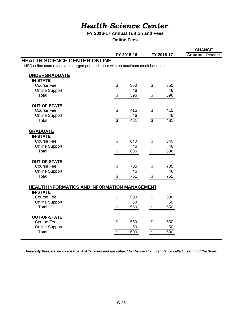### **FY 2016-17 Annual Tuition and Fees**

**Online Fees**

|                                                                                     |                          |            |                          |            | <b>CHANGE</b>         |  |  |  |
|-------------------------------------------------------------------------------------|--------------------------|------------|--------------------------|------------|-----------------------|--|--|--|
|                                                                                     |                          | FY 2015-16 |                          | FY 2016-17 | <b>Amount Percent</b> |  |  |  |
| <b>HEALTH SCIENCE CENTER ONLINE</b>                                                 |                          |            |                          |            |                       |  |  |  |
| HSC online course fees are charged per credit hour with no maximum credit hour cap. |                          |            |                          |            |                       |  |  |  |
|                                                                                     |                          |            |                          |            |                       |  |  |  |
| <b>UNDERGRADUATE</b>                                                                |                          |            |                          |            |                       |  |  |  |
| <b>IN-STATE</b>                                                                     |                          |            |                          |            |                       |  |  |  |
| <b>Course Fee</b>                                                                   | $\mathfrak{L}$           | 350        | $\mathfrak{L}$           | 350        |                       |  |  |  |
| <b>Online Support</b>                                                               |                          | 46         |                          | 46         |                       |  |  |  |
| Total                                                                               | $\overline{\mathcal{S}}$ | 396        | $\overline{\$}$          | 396        |                       |  |  |  |
| <b>OUT-OF-STATE</b>                                                                 |                          |            |                          |            |                       |  |  |  |
| Course Fee                                                                          | \$                       | 415        | \$                       | 415        |                       |  |  |  |
| <b>Online Support</b>                                                               |                          | 46         |                          | 46         |                       |  |  |  |
| Total                                                                               | $\overline{\mathcal{S}}$ | 461        | $\overline{\mathcal{S}}$ | 461        |                       |  |  |  |
|                                                                                     |                          |            |                          |            |                       |  |  |  |
| <b>GRADUATE</b>                                                                     |                          |            |                          |            |                       |  |  |  |
| <b>IN-STATE</b>                                                                     |                          |            |                          |            |                       |  |  |  |
| Course Fee                                                                          | \$                       | 640        | \$                       | 640        |                       |  |  |  |
| <b>Online Support</b>                                                               |                          | 46         |                          | 46         |                       |  |  |  |
| Total                                                                               | $\overline{\$}$          | 686        | $\overline{\$}$          | 686        |                       |  |  |  |
| <b>OUT-OF-STATE</b>                                                                 |                          |            |                          |            |                       |  |  |  |
| Course Fee                                                                          | \$                       | 705        | \$                       | 705        |                       |  |  |  |
| <b>Online Support</b>                                                               |                          | 46         |                          | 46         |                       |  |  |  |
| Total                                                                               | S                        | 751        | \$                       | 751        |                       |  |  |  |
|                                                                                     |                          |            |                          |            |                       |  |  |  |
| HEALTH INFORMATICS AND INFORMATION MANAGEMENT                                       |                          |            |                          |            |                       |  |  |  |
| <b>IN-STATE</b>                                                                     |                          |            |                          |            |                       |  |  |  |
| <b>Course Fee</b>                                                                   | \$                       | 500        | \$                       | 500        |                       |  |  |  |
| <b>Online Support</b>                                                               |                          | 50         |                          | 50         |                       |  |  |  |
| Total                                                                               | $\overline{\$}$          | 550        | $\overline{\$}$          | 550        |                       |  |  |  |
| <b>OUT-OF-STATE</b>                                                                 |                          |            |                          |            |                       |  |  |  |
| Course Fee                                                                          | \$                       | 550        | \$                       | 550        |                       |  |  |  |
| <b>Online Support</b>                                                               |                          | 50         |                          | 50         |                       |  |  |  |
| Total                                                                               | $\overline{\mathcal{S}}$ | 600        | $\overline{\$}$          | 600        |                       |  |  |  |
|                                                                                     |                          |            |                          |            |                       |  |  |  |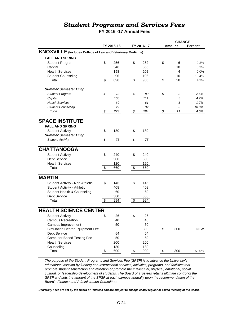## *Student Programs and Services Fees*

## **FY 2016 -17 Annual Fees**

|                                                             |            |                 |            |                          | <b>CHANGE</b> |                    |
|-------------------------------------------------------------|------------|-----------------|------------|--------------------------|---------------|--------------------|
|                                                             | FY 2015-16 |                 | FY 2016-17 |                          | Amount        | <b>Percent</b>     |
| KNOXVILLE (Includes College of Law and Veterinary Medicine) |            |                 |            |                          |               |                    |
| <b>FALL AND SPRING</b>                                      |            |                 |            |                          |               |                    |
| <b>Student Program</b>                                      | \$<br>256  | \$              | 262        | \$                       | 6             | 2.3%               |
| Capital                                                     | 348        |                 | 366        |                          | 18            | 5.2%               |
| <b>Health Services</b>                                      | 198        |                 | 202        |                          | 4             | 2.0%               |
| <b>Student Counseling</b>                                   | 96         |                 | 106        |                          | 10            | 10.4%              |
| Total                                                       | \$<br>898  | $\overline{\$}$ | 936        | $\overline{\mathcal{E}}$ | 38            | $\overline{4.2\%}$ |
| <b>Summer Semester Only</b>                                 |            |                 |            |                          |               |                    |
| <b>Student Program</b>                                      | \$<br>78   | \$              | 80         | \$                       | 2             | 2.6%               |
| Capital                                                     | 106        |                 | 111        |                          | 5             | 4.7%               |
| <b>Health Services</b>                                      | 60         |                 | 61         |                          | $\mathbf{1}$  | 1.7%               |
| <b>Student Counseling</b>                                   | 29         |                 | 32         |                          | 3             | 10.3%              |
| Total                                                       | \$<br>273  | \$              | 284        | \$                       | 11            | 4.0%               |
| <b>SPACE INSTITUTE</b>                                      |            |                 |            |                          |               |                    |
| <b>FALL AND SPRING</b>                                      |            |                 |            |                          |               |                    |
| <b>Student Activity</b>                                     | \$<br>180  | \$              | 180        |                          |               |                    |
| <b>Summer Semester Only</b>                                 |            |                 |            |                          |               |                    |
| <b>Student Activity</b>                                     | \$<br>75   | \$              | 75         |                          |               |                    |
|                                                             |            |                 |            |                          |               |                    |
| <b>CHATTANOOGA</b>                                          |            |                 |            |                          |               |                    |
| <b>Student Activity</b>                                     | \$<br>240  | \$              | 240        |                          |               |                    |
| <b>Debt Service</b>                                         | 300        |                 | 300        |                          |               |                    |
| <b>Health Services</b>                                      | 120        |                 | 120        |                          |               |                    |
| Total                                                       | \$<br>660  | \$              | 660        |                          |               |                    |
| <b>MARTIN</b>                                               |            |                 |            |                          |               |                    |
| Student Activity - Non Athletic                             | \$<br>146  | \$              | 146        |                          |               |                    |
| Student Activity - Athletic                                 | 408        |                 | 408        |                          |               |                    |
| Student Health & Counseling                                 | 60         |                 | 60         |                          |               |                    |
| <b>Debt Service</b>                                         | 380        |                 | 380        |                          |               |                    |
| Total                                                       | \$<br>994  | \$              | 994        |                          |               |                    |
|                                                             |            |                 |            |                          |               |                    |
| <b>HEALTH SCIENCE CENTER</b>                                |            |                 |            |                          |               |                    |
| <b>Student Activity</b>                                     | \$<br>26   | \$              | 26         |                          |               |                    |
| <b>Campus Recreation</b>                                    | 40         |                 | 40         |                          |               |                    |
| Campus Improvement                                          | 50         |                 | 50         |                          |               |                    |
| Simulation Center Equipment Fee                             |            |                 | 300        | \$                       | 300           | NEW                |
| <b>Debt Service</b>                                         | 54         |                 | 54         |                          |               |                    |
| <b>Computer Based Testing Fee</b>                           | 50         |                 | 50         |                          |               |                    |
| <b>Health Services</b>                                      | 200        |                 | 200        |                          |               |                    |
| Counseling                                                  | 180        |                 | 180        |                          |               |                    |
| Total                                                       | \$<br>600  | \$              | 900        | \$                       | 300           | 50.0%              |

*The purpose of the Student Programs and Services Fee (SPSF) is to advance the University's educational mission by funding non-instructional services, activities, programs, and facilities that promote student satisfaction and retention or promote the intellectual, physical, emotional, social, cultural, or leadership development of students. The Board of Trustees retains ultimate control of the SPSF and sets the amount of the SPSF at each campus annually upon the recommendation of the Board's Finance and Administration Committee.*

*University Fees are set by the Board of Trustees and are subject to change at any regular or called meeting of the Board.*